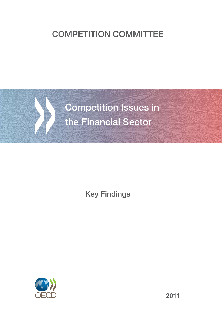# **COMPETITION COMMITTEE**



**Key Findings**

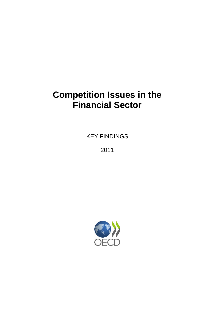# **Competition Issues in the Financial Sector**

KEY FINDINGS

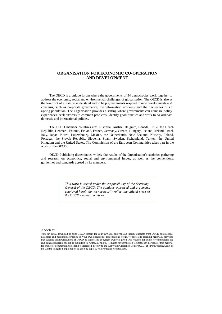### **ORGANISATION FOR ECONOMIC CO-OPERATION AND DEVELOPMENT**

The OECD is a unique forum where the governments of 34 democracies work together to address the economic, social and environmental challenges of globalisation. The OECD is also at the forefront of efforts to understand and to help governments respond to new developments and concerns, such as corporate governance, the information economy and the challenges of an ageing population. The Organisation provides a setting where governments can compare policy experiences, seek answers to common problems, identify good practice and work to co-ordinate domestic and international policies.

The OECD member countries are: Australia, Austria, Belgium, Canada, Chile, the Czech Republic, Denmark, Estonia, Finland, France, Germany, Greece, Hungary, Iceland, Ireland, Israel, Italy, Japan, Korea, Luxembourg, Mexico, the Netherlands, New Zealand, Norway, Poland, Portugal, the Slovak Republic, Slovenia, Spain, Sweden, Switzerland, Turkey, the United Kingdom and the United States. The Commission of the European Communities takes part in the work of the OECD.

OECD Publishing disseminates widely the results of the Organisation"s statistics gathering and research on economics, social and environmental issues, as well as the conventions, guidelines and standards agreed by its members.

> *This work is issued under the responsibility of the Secretary-General of the OECD. The opinions expressed and arguments employed herein do not necessarily reflect the official views of the OECD member countries.*

© OECD 2011

You can copy, download or print OECD content for your own use, and you can include excerpts from OECD publications, databases and multimedia products in your own documents, presentations, blogs, websites and teaching materials, provided that suitable acknowledgment of OECD as source and copyright owner is given. All requests for public or commercial use and translation rights should be submitted to *rights@oecd.org*. Requests for permission to photocopy portions of this material for public or commercial use shall be addressed directly to the Copyright Clearance Center (CCC) at *info@copyright.com* or the Centre français d"exploitation du droit de copie (CFC) *contact@cfcopies.com*.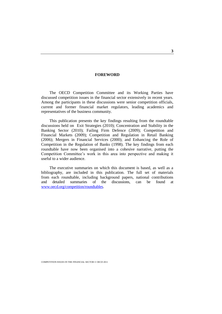#### **FOREWORD**

The OECD Competition Committee and its Working Parties have discussed competition issues in the financial sector extensively in recent years. Among the participants in these discussions were senior competition officials, current and former financial market regulators, leading academics and representatives of the business community.

This publication presents the key findings resulting from the roundtable discussions held on Exit Strategies (2010); Concentration and Stability in the Banking Sector (2010); Failing Firm Defence (2009); Competition and Financial Markets (2009); Competition and Regulation in Retail Banking (2006); Mergers in Financial Services (2000); and Enhancing the Role of Competition in the Regulation of Banks (1998). The key findings from each roundtable have now been organised into a cohesive narrative, putting the Competition Committee"s work in this area into perspective and making it useful to a wider audience.

The executive summaries on which this document is based, as well as a bibliography, are included in this publication. The full set of materials from each roundtable, including background papers, national contributions and detailed summaries of the discussions, can be found at www.oecd.org/competition/roundtables.

**3**

COMPETITION ISSUES IN THE FINANCIAL SECTOR © OECD 2011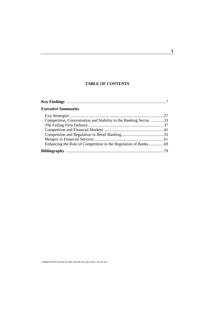# **TABLE OF CONTENTS**

| <b>Executive Summaries</b>                                        |  |
|-------------------------------------------------------------------|--|
|                                                                   |  |
| Competition, Concentration and Stability in the Banking Sector 33 |  |
|                                                                   |  |
|                                                                   |  |
|                                                                   |  |
|                                                                   |  |
|                                                                   |  |
|                                                                   |  |

COMPETITION ISSUES IN THE FINANCIAL SECTOR  $\circledcirc$  OECD 2011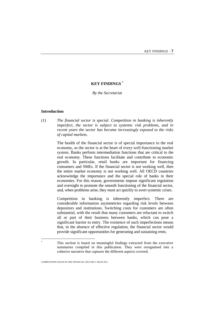# **KEY FINDINGS \***

*By the Secretariat*

# **Introduction**

l \*

*(1) The financial sector is special. Competition in banking is inherently imperfect, the sector is subject to systemic risk problems, and in recent years the sector has become increasingly exposed to the risks of capital markets.*

> The health of the financial sector is of special importance to the real economy, as the sector is at the heart of every well-functioning market system. Banks perform intermediation functions that are critical to the real economy. These functions facilitate and contribute to economic growth. In particular, retail banks are important for financing consumers and SMEs. If the financial sector is not working well, then the entire market economy is not working well. All OECD countries acknowledge the importance and the special role of banks in their economies. For this reason, governments impose significant regulation and oversight to promote the smooth functioning of the financial sector, and, when problems arise, they must act quickly to avert systemic crises.

> Competition in banking is inherently imperfect. There are considerable information asymmetries regarding risk levels between depositors and institutions. Switching costs for customers are often substantial, with the result that many customers are reluctant to switch all or part of their business between banks, which can pose a significant barrier to entry. The existence of such imperfections means that, in the absence of effective regulation, the financial sector would provide significant opportunities for generating and sustaining rents.

This section is based on meaningful findings extracted from the executive summaries compiled in this publication. They were reorganised into a cohesive narrative that captures the different aspects covered.

COMPETITION ISSUES IN THE FINANCIAL SECTOR © OECD 2011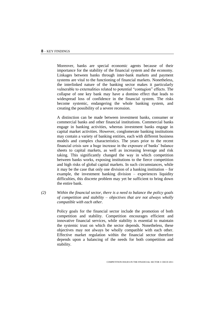Moreover, banks are special economic agents because of their importance for the stability of the financial system and the economy. Linkages between banks through inter-bank markets and payment systems are vital to the functioning of financial markets. Nonetheless, the interlinked nature of the banking sector makes it particularly vulnerable to externalities related to potential "contagion" effects. The collapse of one key bank may have a domino effect that leads to widespread loss of confidence in the financial system. The risks become systemic, endangering the whole banking system, and creating the possibility of a severe recession.

A distinction can be made between investment banks, consumer or commercial banks and other financial institutions. Commercial banks engage in banking activities, whereas investment banks engage in capital market activities. However, conglomerate banking institutions may contain a variety of banking entities, each with different business models and complex characteristics. The years prior to the recent financial crisis saw a huge increase in the exposure of banks" balance sheets to capital markets, as well as increasing leverage and risk taking. This significantly changed the way in which competition between banks works, exposing institutions to the fierce competition and high risks of global capital markets. In such circumstances, while it may be the case that only one division of a banking institution – for example, the investment banking division – experiences liquidity difficulties, this discrete problem may yet be sufficient to bring down the entire bank.

*(2) Within the financial sector, there is a need to balance the policy goals of competition and stability – objectives that are not always wholly compatible with each other.*

> Policy goals for the financial sector include the promotion of both competition and stability. Competition encourages efficient and innovative financial services, while stability is essential to maintain the systemic trust on which the sector depends. Nonetheless, these objectives may not always be wholly compatible with each other. Effective market regulation within the financial sector therefore depends upon a balancing of the needs for both competition and stability.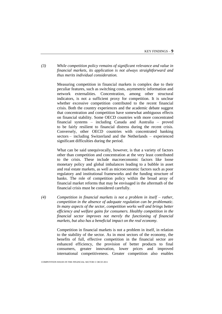*(3) While competition policy remains of significant relevance and value in financial markets, its application is not always straightforward and thus merits individual consideration.*

> Measuring competition in financial markets is complex due to their peculiar features, such as switching costs, asymmetric information and network externalities. Concentration, among other structural indicators, is not a sufficient proxy for competition. It is unclear whether excessive competition contributed to the recent financial crisis. Both the country experiences and the academic debate suggest that concentration and competition have somewhat ambiguous effects on financial stability. Some OECD countries with more concentrated financial systems – including Canada and Australia – proved to be fairly resilient to financial distress during the recent crisis. Conversely, other OECD countries with concentrated banking sectors – including Switzerland and the Netherlands – experienced significant difficulties during the period.

> What can be said unequivocally, however, is that a variety of factors other than competition and concentration at the very least contributed to the crisis. These include macroeconomic factors like loose monetary policy and global imbalances leading to a bubble in asset and real estate markets, as well as microeconomic factors such as poor regulatory and institutional frameworks and the funding structure of banks. The role of competition policy within the broad array of financial market reforms that may be envisaged in the aftermath of the financial crisis must be considered carefully.

*(4) Competition in financial markets is not a problem in itself – rather, competition in the absence of adequate regulation can be problematic. In many aspects of the sector, competition works well and brings better efficiency and welfare gains for consumers. Healthy competition in the financial sector improves not merely the functioning of financial markets, but also has a beneficial impact on the real economy.*

> Competition in financial markets is not a problem in itself, in relation to the stability of the sector. As in most sectors of the economy, the benefits of full, effective competition in the financial sector are enhanced efficiency, the provision of better products to final consumers, greater innovation, lower prices and improved international competitiveness. Greater competition also enables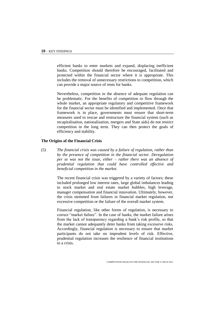efficient banks to enter markets and expand, displacing inefficient banks. Competition should therefore be encouraged, facilitated and protected within the financial sector where it is appropriate. This includes the removal of unnecessary restrictions to competition, which can provide a major source of rents for banks.

Nevertheless, competition in the absence of adequate regulation can be problematic. For the benefits of competition to flow through the whole market, an appropriate regulatory and competitive framework for the financial sector must be identified and implemented. Once that framework is in place, governments must ensure that short-term measures used to rescue and restructure the financial system (such as recapitalisation, nationalisation, mergers and State aids) do not restrict competition in the long term. They can then protect the goals of efficiency and stability.

# **The Origins of the Financial Crisis**

*(5) The financial crisis was caused by a failure of regulation, rather than by the presence of competition in the financial sector. Deregulation per se was not the issue, either – rather there was an absence of prudential regulation that could have controlled effective and beneficial competition in the market.*

> The recent financial crisis was triggered by a variety of factors; these included prolonged low interest rates, large global imbalances leading to stock market and real estate market bubbles, high leverage, manager compensation and financial innovation. Ultimately, however, the crisis stemmed from failures in financial market regulation, not excessive competition or the failure of the overall market system.

> Financial regulation, like other forms of regulation, is necessary to correct "market failure". In the case of banks, the market failure arises from the lack of transparency regarding a bank"s risk profile, so that the market cannot adequately deter banks from taking excessive risks. Accordingly, financial regulation is necessary to ensure that market participants do not take on imprudent levels of risk. Effective, prudential regulation increases the resilience of financial institutions to a crisis.

> > COMPETITION ISSUES IN THE FINANCIAL SECTOR © OECD 2011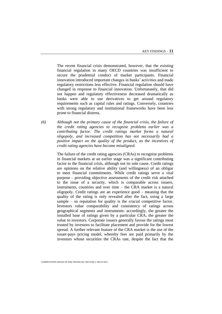The recent financial crisis demonstrated, however, that the existing financial regulation in many OECD countries was insufficient to secure the prudential conduct of market participants. Financial innovation introduced important changes in banks" activities and made regulatory restrictions less effective. Financial regulation should have changed in response to financial innovation. Unfortunately, that did not happen and regulatory effectiveness decreased dramatically as banks were able to use derivatives to get around regulatory requirements such as capital rules and ratings. Conversely, countries with strong regulatory and institutional frameworks have been less prone to financial distress.

*(6) Although not the primary cause of the financial crisis, the failure of the credit rating agencies to recognise problems earlier was a contributing factor. The credit ratings market forms a natural oligopoly, and increased competition has not necessarily had a positive impact on the quality of the product, as the incentives of credit rating agencies have become misaligned.*

> The failure of the credit rating agencies (CRAs) to recognise problems in financial markets at an earlier stage was a significant contributing factor to the financial crisis, although not its sole cause. Credit ratings are opinions on the relative ability (and willingness) of an obligor to meet financial commitments. While credit ratings serve a vital purpose – providing objective assessments of the credit risk attached to the issue of a security, which is comparable across issuers, instruments, countries and over time – the CRA market is a natural oligopoly. Credit ratings are an experience good – meaning that the quality of the rating is only revealed after the fact, using a large sample – so reputation for quality is the crucial competitive factor. Investors value comparability and consistency of ratings across geographical segments and instruments: accordingly, the greater the installed base of ratings given by a particular CRA, the greater the value to investors. Corporate issuers generally favour the ratings most trusted by investors to facilitate placement and provide for the lowest spread. A further relevant feature of the CRA market is the use of the issuer-pays pricing model, whereby fees are paid primarily by the investors whose securities the CRAs rate, despite the fact that the

COMPETITION ISSUES IN THE FINANCIAL SECTOR © OECD 2011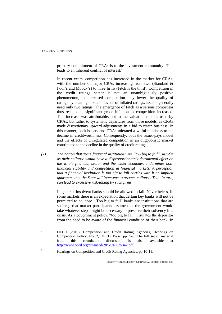primary commitment of CRAs is to the investment community. This leads to an inherent conflict of interest.<sup>1</sup>

In recent years, competition has increased in the market for CRAs, with the number of major CRAs increasing from two (Standard & Poor"s and Moody"s) to three firms (Fitch is the third). Competition in the credit ratings sector is not an unambiguously positive phenomenon, as increased competition may lower the quality of ratings by creating a bias in favour of inflated ratings. Issuers generally need only two ratings. The emergence of Fitch as a serious competitor thus resulted in significant grade inflation as competition increased. This increase was attributable, not to the valuation models used by CRAs, but rather to systematic departures from those models, as CRAs made discretionary upward adjustments in a bid to retain business. In this manner, both issuers and CRAs tolerated a wilful blindness to the decline in creditworthiness. Consequently, both the issuer-pays model and the effects of unregulated competition in an oligopolistic market contributed to the decline in the quality of credit ratings.<sup>2</sup>

*(7) The notion that some financial institutions are "too big to fail", insofar as their collapse would have a disproportionately detrimental effect on the whole financial sector and the wider economy, undermines both financial stability and competition in financial markets. A perception that a financial institution is too big to fail carries with it an implicit guarantee that the State will intervene to prevent collapse. That, in turn, can lead to excessive risk-taking by such firms.*

> In general, insolvent banks should be allowed to fail. Nevertheless, in some markets there is an expectation that certain key banks will not be permitted to collapse. "Too big to fail" banks are institutions that are so large that market participants assume that the government would take whatever steps might be necessary to preserve their solvency in a crisis. As a government policy, "too big to fail" insulates the depositor from the need to be aware of the financial condition of their bank. In

 $\overline{1}$ <sup>1</sup> OECD (2010), Competition and Credit Rating Agencies, Hearings on Competition Policy, No. 2, OECD, Paris, pp. 5-6. The full set of material from this roundtable discussion is also available at [http://www.oecd.org/dataoecd/28/51/46825342.pdf.](http://www.oecd.org/dataoecd/28/51/46825342.pdf)

<sup>&</sup>lt;sup>2</sup> Hearings on Competition and Credit Rating Agencies, pp.10-11.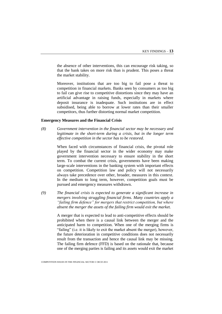the absence of other interventions, this can encourage risk taking, so that the bank takes on more risk than is prudent. This poses a threat the market stability.

Moreover, institutions that are too big to fail pose a threat to competition in financial markets. Banks seen by consumers as too big to fail can give rise to competitive distortions since they may have an artificial advantage in raising funds, especially in markets where deposit insurance is inadequate. Such institutions are in effect subsidised, being able to borrow at lower rates than their smaller competitors, thus further distorting normal market competition.

## **Emergency Measures and the Financial Crisis**

*(8) Government intervention in the financial sector may be necessary and legitimate in the short-term during a crisis, but in the longer term effective competition in the sector has to be restored.*

> When faced with circumstances of financial crisis, the pivotal role played by the financial sector in the wider economy may make government intervention necessary to ensure stability in the short term. To combat the current crisis, governments have been making large-scale interventions in the banking system with important effects on competition. Competition law and policy will not necessarily always take precedence over other, broader, measures in this context. In the medium to long term, however, competition goals must be pursued and emergency measures withdrawn.

*(9) The financial crisis is expected to generate a significant increase in mergers involving struggling financial firms. Many countries apply a "failing firm defence" for mergers that restrict competition, but where absent the merger the assets of the failing firm would exit the market.*

> A merger that is expected to lead to anti-competitive effects should be prohibited when there is a causal link between the merger and the anticipated harm to competition. When one of the merging firms is "failing" (i.e. it is likely to exit the market absent the merger), however, the future deterioration in competitive conditions does not necessarily result from the transaction and hence the causal link may be missing. The failing firm defence (FFD) is based on the rationale that, because one of the merging parties is failing and its assets would exit the market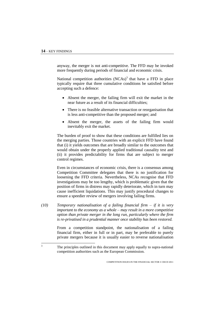anyway, the merger is not anti-competitive. The FFD may be invoked more frequently during periods of financial and economic crisis.

National competition authorities  $(NCAs)^3$  that have a FFD in place typically require that three cumulative conditions be satisfied before accepting such a defence:

- Absent the merger, the failing firm will exit the market in the near future as a result of its financial difficulties;
- There is no feasible alternative transaction or reorganisation that is less anti-competitive than the proposed merger; and
- Absent the merger, the assets of the failing firm would inevitably exit the market.

The burden of proof to show that these conditions are fulfilled lies on the merging parties. Those countries with an explicit FFD have found that (i) it yields outcomes that are broadly similar to the outcomes that would obtain under the properly applied traditional causality test and (ii) it provides predictability for firms that are subject to merger control regimes.

Even in circumstances of economic crisis, there is a consensus among Competition Committee delegates that there is no justification for loosening the FFD criteria. Nevertheless, NCAs recognise that FFD investigations may be too lengthy, which is problematic given that the position of firms in distress may rapidly deteriorate, which in turn may cause inefficient liquidations. This may justify procedural changes to ensure a speedier review of mergers involving failing firms.

*(10) Temporary nationalisation of a failing financial firm – if it is very important to the economy as a whole – may result in a more competitive option than private merger in the long run, particularly where the firm is re-privatised in a prudential manner once stability has been restored.*

> From a competition standpoint, the nationalisation of a failing financial firm, either in full or in part, may be preferable to purely private mergers because it is usually easier to reverse nationalisation

 $\overline{a}$ 

The principles outlined in this document may apply equally to supra-national competition authorities such as the European Commission.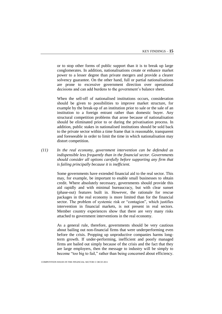or to stop other forms of public support than it is to break up large conglomerates. In addition, nationalisations create or enhance market power to a lesser degree than private mergers and provide a clearer solvency guarantee. On the other hand, full or partial nationalisations are prone to excessive government direction over operational decisions and can add burdens to the government's balance sheet.

When the sell-off of nationalised institutions occurs, consideration should be given to possibilities to improve market structure, for example by the break-up of an institution prior to sale or the sale of an institution to a foreign entrant rather than domestic buyer. Any structural competition problems that arose because of nationalisation should be eliminated prior to or during the privatisation process. In addition, public stakes in nationalised institutions should be sold back to the private sector within a time frame that is reasonable, transparent and foreseeable in order to limit the time in which nationalisation may distort competition.

*(11) In the real economy, government intervention can be defended as indispensible less frequently than in the financial sector. Governments should consider all options carefully before supporting any firm that is failing principally because it is inefficient.*

> Some governments have extended financial aid to the real sector. This may, for example, be important to enable small businesses to obtain credit. Where absolutely necessary, governments should provide this aid rapidly and with minimal bureaucracy, but with clear sunset (phase-out) features built in. However, the rationale for rescue packages in the real economy is more limited than for the financial sector. The problem of systemic risk or "contagion", which justifies intervention in financial markets, is not present in real sectors. Member country experiences show that there are very many risks attached to government interventions in the real economy.

> As a general rule, therefore, governments should be very cautious about bailing out non-financial firms that were underperforming even before the crisis. Propping up unproductive companies harms longterm growth. If under-performing, inefficient and poorly managed firms are bailed out simply because of the crisis and the fact that they are large employers, then the message to industry will be simply to become "too big to fail," rather than being concerned about efficiency.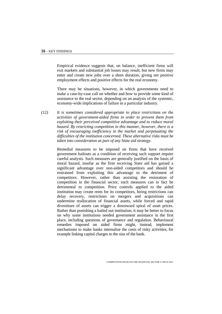Empirical evidence suggests that, on balance, inefficient firms will exit markets and substantial job losses may result, but new firms may enter and create new jobs over a short duration, giving net positive employment effects and positive effects for the real economy.

There may be situations, however, in which governments need to make a case-by-case call on whether and how to provide some kind of assistance to the real sector, depending on an analysis of the systemic, economy-wide implications of failure in a particular industry.

*(12) It is sometimes considered appropriate to place restrictions on the activities of government-aided firms in order to prevent them from exploiting their perceived competitive advantage and to reduce moral hazard. By restricting competition in this manner, however, there is a risk of encouraging inefficiency in the market and perpetuating the difficulties of the institution concerned. These alternative risks must be taken into consideration as part of any State aid strategy.*

> Remedial measures to be imposed on firms that have received government bailouts as a condition of receiving such support require careful analysis. Such measures are generally justified on the basis of moral hazard, insofar as the firm receiving State aid has gained a significant advantage over non-aided competitors and should be restrained from exploiting this advantage to the detriment of competitors. However, rather than assisting the restoration of competition in the financial sector, such measures can in fact be detrimental to competition. Price controls applied to the aided institution may create rents for its competitors, hiring restrictions can delay recovery, restrictions on mergers and acquisitions can undermine reallocation of financial assets, while forced and rapid divestiture of assets can trigger a downward spiral of asset prices. Rather than punishing a bailed out institution, it may be better to focus on why some institutions needed government assistance in the first place, including questions of governance and regulation. Behavioural remedies imposed on aided firms might, instead, implement mechanisms to make banks internalise the costs of risky activities, for example linking capital charges to the size of the bank.

> > COMPETITION ISSUES IN THE FINANCIAL SECTOR © OECD 2011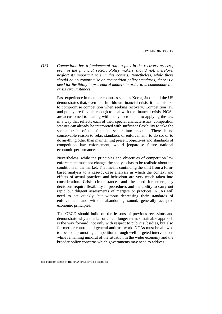*(13) Competition has a fundamental role to play in the recovery process, even in the financial sector. Policy makers should not, therefore, neglect its important role in this context. Nonetheless, while there should be no compromise on competition policy standards, there is a need for flexibility in procedural matters in order to accommodate the crisis circumstances.*

> Past experience in member countries such as Korea, Japan and the US demonstrates that, even in a full-blown financial crisis, it is a mistake to compromise competition when seeking recovery. Competition law and policy are flexible enough to deal with the financial crisis. NCAs are accustomed to dealing with many sectors and to applying the law in a way that reflects each of their special characteristics; competition statutes can already be interpreted with sufficient flexibility to take the special traits of the financial sector into account. There is no conceivable reason to relax standards of enforcement: to do so, or to do anything other than maintaining present objectives and standards of competition law enforcement, would jeopardise future national economic performance.

> Nevertheless, while the principles and objectives of competition law enforcement must not change, the analysis has to be realistic about the conditions in the market. That means continuing the shift from a formbased analysis to a case-by-case analysis in which the context and effects of actual practices and behaviour are very much taken into consideration. Crisis circumstances and the need for emergency decisions require flexibility in procedures and the ability to carry out rapid but diligent assessments of mergers or practices. NCAs will need to act quickly, but without decreasing their standards of enforcement, and without abandoning sound, generally accepted economic principles.

> The OECD should build on the lessons of previous recessions and demonstrate why a market-oriented, longer term, sustainable approach is the way forward, not only with respect to public subsidies, but also for merger control and general antitrust work. NCAs must be allowed to focus on promoting competition through well-targeted interventions while remaining mindful of the situation in the wider economy and the broader policy concerns which governments may need to address.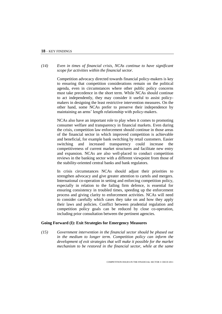# *(14) Even in times of financial crisis, NCAs continue to have significant scope for activities within the financial sector.*

Competition advocacy directed towards financial policy-makers is key to ensuring that competition considerations remain on the political agenda, even in circumstances where other public policy concerns must take precedence in the short term. While NCAs should continue to act independently, they may consider it useful to assist policymakers in designing the least restrictive intervention measures. On the other hand, some NCAs prefer to preserve their independence by maintaining an arms' length relationship with policy-makers.

NCAs also have an important role to play when it comes to promoting consumer welfare and transparency in financial markets. Even during the crisis, competition law enforcement should continue in those areas of the financial sector in which improved competition is achievable and beneficial, for example bank switching by retail customers. Easier switching and increased transparency could increase the competitiveness of current market structures and facilitate new entry and expansion. NCAs are also well-placed to conduct competition reviews in the banking sector with a different viewpoint from those of the stability-oriented central banks and bank regulators.

In crisis circumstances NCAs should adjust their priorities to strengthen advocacy and give greater attention to cartels and mergers. International co-operation in setting and enforcing competition policy, especially in relation to the failing firm defence, is essential for ensuring consistency in troubled times, speeding up the enforcement process and giving clarity to enforcement activities. NCAs will need to consider carefully which cases they take on and how they apply their laws and policies. Conflict between prudential regulation and competition policy goals can be reduced by close co-operation, including prior consultation between the pertinent agencies.

## **Going Forward (I): Exit Strategies for Emergency Measures**

*(15) Government intervention in the financial sector should be phased out in the medium to longer term. Competition policy can inform the development of exit strategies that will make it possible for the market mechanism to be restored in the financial sector, while at the same*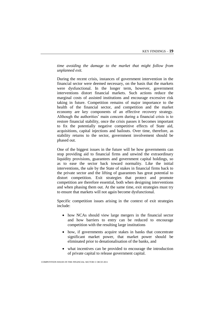*time avoiding the damage to the market that might follow from unplanned exit.*

During the recent crisis, instances of government intervention in the financial sector were deemed necessary, on the basis that the markets were dysfunctional. In the longer term, however, government interventions distort financial markets. Such actions reduce the marginal costs of assisted institutions and encourage excessive risk taking in future. Competition remains of major importance to the health of the financial sector, and competition and the market economy are key components of an effective recovery strategy. Although the authorities" main concern during a financial crisis is to restore financial stability, once the crisis passes it becomes important to fix the potentially negative competitive effects of State aid, acquisitions, capital injections and bailouts. Over time, therefore, as stability returns to the sector, government involvement should be phased out.

One of the biggest issues in the future will be how governments can stop providing aid to financial firms and unwind the extraordinary liquidity provisions, guarantees and government capital holdings, so as to ease the sector back toward normality. Like the initial interventions, the sale by the State of stakes in financial firms back to the private sector and the lifting of guarantees has great potential to distort competition. Exit strategies that protect and promote competition are therefore essential, both when designing interventions and when phasing them out. At the same time, exit strategies must try to ensure that markets will not again become dysfunctional.

Specific competition issues arising in the context of exit strategies include:

- how NCAs should view large mergers in the financial sector and how barriers to entry can be reduced to encourage competition with the resulting large institutions
- how, if governments acquire stakes in banks that concentrate significant market power, that market power should be eliminated prior to denationalisation of the banks, and
- what incentives can be provided to encourage the introduction of private capital to release government capital.

COMPETITION ISSUES IN THE FINANCIAL SECTOR © OECD 2011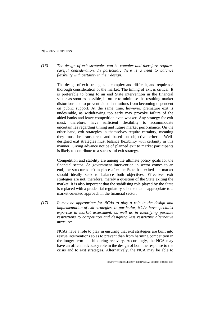*(16) The design of exit strategies can be complex and therefore requires careful consideration. In particular, there is a need to balance flexibility with certainty in their design.*

> The design of exit strategies is complex and difficult, and requires a thorough consideration of the market. The timing of exit is critical. It is preferable to bring to an end State intervention in the financial sector as soon as possible, in order to minimise the resulting market distortions and to prevent aided institutions from becoming dependent on public support. At the same time, however, premature exit is undesirable, as withdrawing too early may provoke failure of the aided banks and leave competition even weaker. Any strategy for exit must, therefore, have sufficient flexibility to accommodate uncertainties regarding timing and future market performance. On the other hand, exit strategies in themselves require certainty, meaning they must be transparent and based on objective criteria. Welldesigned exit strategies must balance flexibility with certainty in this manner. Giving advance notice of planned exit to market participants is likely to contribute to a successful exit strategy.

> Competition and stability are among the ultimate policy goals for the financial sector. As government intervention in sector comes to an end, the structures left in place after the State has exited the market should ideally seek to balance both objectives. Effectives exit strategies are not, therefore, merely a question of the State exiting the market. It is also important that the stabilising role played by the State is replaced with a prudential regulatory scheme that is appropriate to a market-oriented approach in the financial sector.

*(17) It may be appropriate for NCAs to play a role in the design and implementation of exit strategies. In particular, NCAs have specialist expertise in market assessment, as well as in identifying possible restrictions to competition and designing less restrictive alternative measures.*

> NCAs have a role to play in ensuring that exit strategies are built into rescue interventions so as to prevent than from harming competition in the longer term and hindering recovery. Accordingly, the NCA may have an official advocacy role in the design of both the response to the crisis and to exit strategies. Alternatively, the NCA may be able to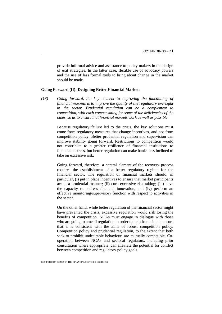provide informal advice and assistance to policy makers in the design of exit strategies. In the latter case, flexible use of advocacy powers and the use of less formal tools to bring about change in the market should be made.

#### **Going Forward (II): Designing Better Financial Markets**

*(18) Going forward, the key element to improving the functioning of financial markets is to improve the quality of the regulatory oversight in the sector. Prudential regulation can be a complement to competition, with each compensating for some of the deficiencies of the other, so as to ensure that financial markets work as well as possible.*

> Because regulatory failure led to the crisis, the key solutions must come from regulatory measures that change incentives, and not from competition policy. Better prudential regulation and supervision can improve stability going forward. Restrictions to competition would not contribute to a greater resilience of financial institutions to financial distress, but better regulation can make banks less inclined to take on excessive risk.

> Going forward, therefore, a central element of the recovery process requires the establishment of a better regulatory regime for the financial sector. The regulation of financial markets should, in particular, (i) put in place incentives to ensure that market participants act in a prudential manner; (ii) curb excessive risk-taking; (iii) have the capacity to address financial innovation; and (iv) perform an effective monitoring/supervisory function with respect to activities in the sector.

> On the other hand, while better regulation of the financial sector might have prevented the crisis, excessive regulation would risk losing the benefits of competition. NCAs must engage in dialogue with those who are going to amend regulation in order to help frame it and ensure that it is consistent with the aims of robust competition policy. Competition policy and prudential regulation, to the extent that both seek to prohibit undesirable behaviour, are mutually compatible. Cooperation between NCAs and sectoral regulators, including prior consultation where appropriate, can alleviate the potential for conflict between competition and regulatory policy goals.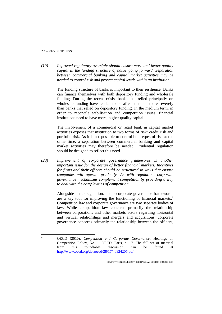$\overline{a}$ 

*(19) Improved regulatory oversight should ensure more and better quality capital in the funding structure of banks going forward. Separation between commercial banking and capital market activities may be needed to control risk and protect capital levels within an institution.*

> The funding structure of banks is important to their resilience. Banks can finance themselves with both depository funding and wholesale funding. During the recent crisis, banks that relied principally on wholesale funding have tended to be affected much more severely than banks that relied on depository funding. In the medium term, in order to reconcile stabilisation and competition issues, financial institutions need to have more, higher quality capital.

> The involvement of a commercial or retail bank in capital market activities exposes that institution to two forms of risk: credit risk and portfolio risk. As it is not possible to control both types of risk at the same time, a separation between commercial banking and capital market activities may therefore be needed. Prudential regulation should be designed to reflect this need.

*(20) Improvement of corporate governance frameworks is another important issue for the design of better financial markets. Incentives for firms and their officers should be structured in ways that ensure companies will operate prudently. As with regulation, corporate governance mechanisms complement competition by providing a way to deal with the complexities of competition.*

> Alongside better regulation, better corporate governance frameworks are a key tool for improving the functioning of financial markets.<sup>4</sup> Competition law and corporate governance are two separate bodies of law. While competition law concerns primarily the relationship between corporations and other markets actors regarding horizontal and vertical relationships and mergers and acquisitions, corporate governance concerns primarily the relationship between the officers,

<sup>4</sup> OECD (2010), *Competition and Corporate Governance*, Hearings on Competition Policy, No. 1, OECD, Paris, p. 17. The full set of material from this roundtable discussion can be found at [http://www.oecd.org/dataoecd/28/17/46824205.pdf.](http://www.oecd.org/dataoecd/28/17/46824205.pdf)

COMPETITION ISSUES IN THE FINANCIAL SECTOR © OECD 2011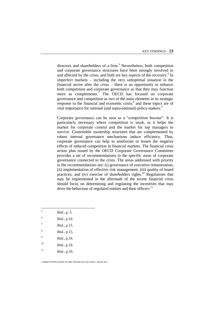directors and shareholders of a firm.<sup>5</sup> Nevertheless, both competition and corporate governance structures have been strongly involved in and affected by the crisis, and both are key aspects of the recovery.<sup>6</sup> In imperfect markets – including the very suboptimal situation in the financial sector after the crisis – there is an opportunity to enhance both competition and corporate governance so that they may function more as complements.<sup>7</sup> The OECD has focused on corporate governance and competition as two of the main elements in its strategic  $r$ esponse to the financial and economic crisis, $\delta$  and these topics are of vital importance for national (and supra-national) policy-makers.<sup>9</sup>

Corporate governance can be seen as a "competition booster". It is particularly necessary where competition is weak, as it helps the market for corporate control and the market for top managers to survive. Contestable ownership structures that are complemented by robust internal governance mechanisms induce efficiency. Thus, corporate governance can help to ameliorate or lessen the negative effects of reduced competition in financial markets. The financial crisis action plan issued by the OECD Corporate Governance Committee provides a set of recommendations in the specific areas of corporate governance connected to the crisis. The areas addressed with priority in the recommendations are: (i) governance of executive remuneration; (ii) implementation of effective risk management; (iii) quality of board practices; and (iv) exercise of shareholders rights.<sup>10</sup> Regulations that may be implemented in the aftermath of the recent financial crisis should focus on determining and regulating the incentives that may drive the behaviour of regulated entities and their officers.<sup>11</sup>

| 5  | <i>Ibid.</i> , p. 5. |
|----|----------------------|
| 6  | <i>Ibid.</i> , p.16. |
| 7  | <i>Ibid.</i> , p.15. |
| 8  | <i>Ibid.</i> , p.15. |
| 9  | <i>Ibid.</i> , p.16. |
| 10 | <i>Ibid.</i> , p.16. |
| 11 | <i>Ibid.</i> , p.10. |

COMPETITION ISSUES IN THE FINANCIAL SECTOR © OECD 2011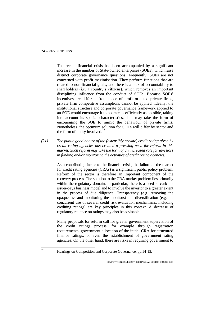The recent financial crisis has been accompanied by a significant increase in the number of State-owned enterprises (SOEs), which raise distinct corporate governance questions. Frequently, SOEs are not concerned with profit maximisation. They perform functions that are related to non-financial goals, and there is a lack of accountability to shareholders (i.e. a country's citizens), which removes an important disciplining influence from the conduct of SOEs. Because SOEs' incentives are different from those of profit-oriented private firms, private firm competitive assumptions cannot be applied. Ideally, the institutional structure and corporate governance framework applied to an SOE would encourage it to operate as efficiently as possible, taking into account its special characteristics. This may take the form of encouraging the SOE to mimic the behaviour of private firms. Nonetheless, the optimum solution for SOEs will differ by sector and the form of entity involved.<sup>12</sup>

*(21) The public good nature of the (ostensibly private) credit rating given by credit rating agencies has created a pressing need for reform in this market. Such reform may take the form of an increased role for investors in funding and/or monitoring the activities of credit rating agencies.*

> As a contributing factor to the financial crisis, the failure of the market for credit rating agencies (CRAs) is a significant public policy problem. Reform of the sector is therefore an important component of the recovery process. The solution to the CRA market problem lies primarily within the regulatory domain. In particular, there is a need to curb the issuer-pays business model and to involve the investor to a greater extent in the process of due diligence. Transparency (e.g. removing the opaqueness and monitoring the monitors) and diversification (e.g. the concurrent use of several credit risk evaluation mechanisms, including crediting ratings) are key principles in this context. A decrease of regulatory reliance on ratings may also be advisable.

> Many proposals for reform call for greater government supervision of the credit ratings process, for example through registration requirements, government allocation of the initial CRA for structured finance ratings, or even the establishment of government rating agencies. On the other hand, there are risks in requiring government to

Hearings on Competition and Corporate Governance, pp.14-15.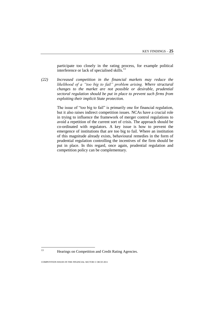participate too closely in the rating process, for example political interference or lack of specialised skills.<sup>13</sup>

*(22) Increased competition in the financial markets may reduce the likelihood of a "too big to fail" problem arising. Where structural changes to the market are not possible or desirable, prudential sectoral regulation should be put in place to prevent such firms from exploiting their implicit State protection.*

> The issue of "too big to fail" is primarily one for financial regulation, but it also raises indirect competition issues. NCAs have a crucial role in trying to influence the framework of merger control regulations to avoid a repetition of the current sort of crisis. The approach should be co-ordinated with regulators. A key issue is how to prevent the emergence of institutions that are too big to fail. Where an institution of this magnitude already exists, behavioural remedies in the form of prudential regulation controlling the incentives of the firm should be put in place. In this regard, once again, prudential regulation and competition policy can be complementary.

Hearings on Competition and Credit Rating Agencies.

COMPETITION ISSUES IN THE FINANCIAL SECTOR © OECD 2011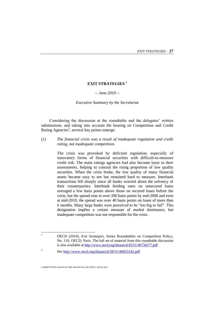# **EXIT STRATEGIES <sup>1</sup>**

# *-- June 2010 --*

#### *Executive Summary by the Secretariat*

Considering the discussion at the roundtable and the delegates' written submissions, and taking into account the hearing on Competition and Credit Rating Agencies<sup>2</sup>, several key points emerge:

# *(1) The financial crisis was a result of inadequate regulation and credit rating, not inadequate competition.*

The crisis was provoked by deficient regulation, especially of innovatory forms of financial securities with difficult-to-measure credit risk. The main ratings agencies had also become laxer in their assessments, helping to conceal the rising proportion of low quality securities. When the crisis broke, the low quality of many financial assets became easy to see but remained hard to measure. Interbank transactions fell sharply since all banks worried about the solvency of their counterparties. Interbank lending rates on unsecured loans averaged a few basis points above those on secured loans before the crisis, but the spread rose to over 200 basis points by end-2008 and even at mid-2010, the spread was over 40 basis points on loans of more than 6 months. Many large banks were perceived to be "too big to fail". This designation implies a certain measure of market dominance, but inadequate competition was not responsible for the crisis.

 $\mathbf{1}$ 

<sup>1</sup> OECD (2010), *Exit Strategies*, Series Roundtables on Competition Policy, No. 110, OECD, Paris. The full set of material from this roundtable discussion is also available at<http://www.oecd.org/dataoecd/43/51/46734277.pdf>

See<http://www.oecd.org/dataoecd/28/51/46825342.pdf>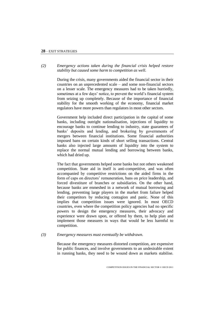# *(2) Emergency actions taken during the financial crisis helped restore stability but caused some harm to competition as well.*

During the crisis, many governments aided the financial sector in their countries on an unprecedented scale – and some non-financial sectors on a lesser scale. The emergency measures had to be taken hurriedly, sometimes at a few days' notice, to prevent the world's financial system from seizing up completely. Because of the importance of financial stability for the smooth working of the economy, financial market regulators have more powers than regulators in most other sectors.

Government help included direct participation in the capital of some banks, including outright nationalisation, injections of liquidity to encourage banks to continue lending to industry, state guarantees of banks" deposits and lending, and brokering by governments of mergers between financial institutions. Some financial authorities imposed bans on certain kinds of short selling transactions. Central banks also injected large amounts of liquidity into the system to replace the normal mutual lending and borrowing between banks, which had dried up.

The fact that governments helped some banks but not others weakened competition. State aid in itself is anti-competitive, and was often accompanied by competitive restrictions on the aided firms in the form of caps on directors' remuneration, bans on price leadership, and forced divestiture of branches or subsidiaries. On the other hand, because banks are enmeshed in a network of mutual borrowing and lending, preventing large players in the market from failure helped their competitors by reducing contagion and panic. None of this implies that competition issues were ignored. In most OECD countries, even where the competition policy agencies had no specific powers to design the emergency measures, their advocacy and experience were drawn upon, or offered by them, to help plan and implement those measures in ways that would be less harmful to competition.

# *(3) Emergency measures must eventually be withdrawn.*

Because the emergency measures distorted competition, are expensive for public finances, and involve governments to an undesirable extent in running banks, they need to be wound down as markets stabilise.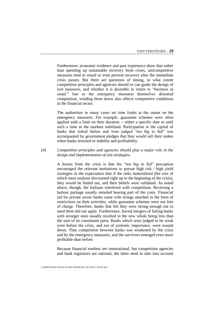Furthermore, economic evidence and past experience show that rather than speeding up sustainable recovery from crises, anticompetitive measures tend to retard or even prevent recovery after the immediate crisis passes. But there are questions of timing, to what extent competition principles and agencies should or can guide the design of exit measures, and whether it is desirable to return to "business as usual." Just as the emergency measures themselves distorted competition, winding them down also affects competitive conditions in the financial sector.

The authorities in many cases set time limits at the outset on the emergency measures. For example, guarantee schemes were often applied with a limit on their duration -- either a specific date or until such a time as the markets stabilised. Participation in the capital of banks that risked failure and were judged "too big to fail" was accompanied by government pledges that they would sell their stakes when banks returned to stability and profitability.

*(4) Competition principles and agencies should play a major role in the design and implementation of exit strategies.*

> A lesson from the crisis is that the "too big to fail" perception encouraged the relevant institutions to pursue high risk / high yield strategies in the expectation that if the risks materialised (the size of which most analysts discounted right up to the beginning of the crisis). they would be bailed out, and their beliefs were validated. As noted above, though, the bailouts interfered with competition. Receiving a bailout package usually entailed bearing part of the costs. Financial aid for private sector banks came with strings attached in the form of restrictions on their activities, while guarantee schemes were not free of charge. Therefore, banks that felt they were strong enough not to need them did not apply. Furthermore, forced mergers of failing banks with stronger ones usually resulted in the new whole being less than the sum of its constituent parts. Banks which were judged to be weak even before the crisis, and not of systemic importance, were wound down. Thus competition between banks was weakened by the crisis and by the emergency measures, and the survivors emerged even more profitable than before.

> Because financial markets are international, but competition agencies and bank regulators are national, the latter need to take into account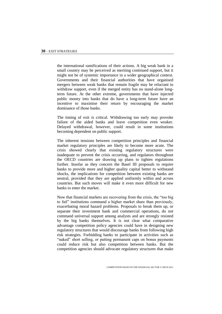the international ramifications of their actions. A big weak bank in a small country may be perceived as meriting continued support, but it might not be of systemic importance in a wider geographical context. Governments and their financial authorities that have organised mergers between weak banks that remain fragile may be reluctant to withdraw support, even if the merged entity has no stand-alone longterm future. At the other extreme, governments that have injected public money into banks that do have a long-term future have an incentive to maximise their return by encouraging the market dominance of those banks.

The timing of exit is critical. Withdrawing too early may provoke failure of the aided banks and leave competition even weaker. Delayed withdrawal, however, could result in some institutions becoming dependent on public support.

The inherent tensions between competition principles and financial market regulatory principles are likely to become more acute. The crisis showed clearly that existing regulatory structures were inadequate to prevent the crisis occurring, and regulators throughout the OECD countries are drawing up plans to tighten regulations further. Insofar as they concern the Basel III proposals to require banks to provide more and higher quality capital better to withstand shocks, the implications for competition between existing banks are neutral, provided that they are applied uniformly within and across countries. But such moves will make it even more difficult for new banks to enter the market.

Now that financial markets are recovering from the crisis, the "too big to fail" institutions command a higher market share than previously, exacerbating moral hazard problems. Proposals to break them up, or separate their investment bank and commercial operations, do not command universal support among analysts and are strongly resisted by the big banks themselves. It is not clear what comparative advantage competition policy agencies could have in designing new regulatory structures that would discourage banks from following high risk strategies. Forbidding banks to participate in activities such as "naked" short selling, or putting permanent caps on bonus payments could reduce risk but also competition between banks. But the competition agencies should advocate regulatory structures that make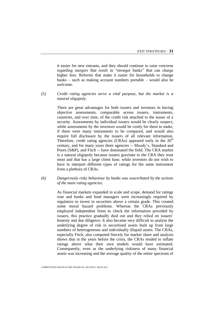it easier for new entrants, and they should continue to raise concerns regarding mergers that result in "stronger banks" that can charge higher fees. Reforms that make it easier for households to change banks – such as making account numbers portable – would also be welcome.

*(5) Credit rating agencies serve a vital purpose, but the market is a natural oligopoly.*

> There are great advantages for both issuers and investors in having objective assessments, comparable across issuers, instruments, countries, and over time, of the credit risk attached to the issuer of a security. Assessments by individual issuers would be clearly suspect, while assessments by the investors would be costly for them to make, if there were many instruments to be compared, and would also require full disclosure by the issuers of all relevant information. Therefore, credit rating agencies (CRAs) appeared early in the  $20<sup>th</sup>$ century, and for many years three agencies -- Moody"s, Standard and Poors (S&P), and Fitch -- have dominated the field. The CRA market is a natural oligopoly because issuers gravitate to the CRA they trust most and that has a large client base, while investors do not wish to have to interpret different types of ratings for the same instrument from a plethora of CRAs.

*(6) Dangerously risky behaviour by banks was exacerbated by the actions of the main rating agencies.*

> As financial markets expanded in scale and scope, demand for ratings rose and banks and fund managers were increasingly required by regulators to invest in securities above a certain grade. This created some moral hazard problems. Whereas the CRAs previously employed independent firms to check the information provided by issuers, this practice gradually died out and they relied on issuers' honesty and due diligence. It also became very difficult to analyse the underlying degree of risk in securitised assets built up from large numbers of heterogeneous and individually illiquid assets. The CRAs, especially Fitch, also competed fiercely for market share and analysis shows that in the years before the crisis, the CRAs tended to inflate ratings above what their own models would have estimated. Consequently, even as the underlying riskiness of many financial assets was increasing and the average quality of the entire spectrum of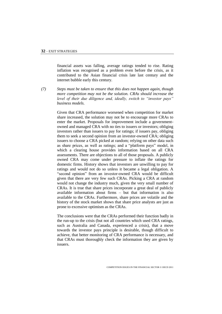financial assets was falling, average ratings tended to rise. Rating inflation was recognised as a problem even before the crisis, as it contributed to the Asian financial crisis late last century and the internet bubble early this century.

*(7) Steps must be taken to ensure that this does not happen again, though more competition may not be the solution. CRAs should increase the level of their due diligence and, ideally, switch to "investor pays" business models.*

> Given that CRA performance worsened when competition for market share increased, the solution may not be to encourage more CRAs to enter the market. Proposals for improvement include a governmentowned and managed CRA with no ties to issuers or investors; obliging investors rather than issuers to pay for ratings; if issuers pay, obliging them to seek a second opinion from an investor-owned CRA; obliging issuers to choose a CRA picked at random; relying on other data such as share prices, as well as ratings; and a "platform pays" model, in which a clearing house provides information based on all CRA assessments. There are objections to all of those proposals. A publicly owned CRA may come under pressure to inflate the ratings for domestic firms. History shows that investors are unwilling to pay for ratings and would not do so unless it became a legal obligation. A "second opinion" from an investor-owned CRA would be difficult given that there are very few such CRAs. Picking a CRA at random would not change the industry much, given the very small number of CRAs. It is true that share prices incorporate a great deal of publicly available information about firms – but that information is also available to the CRAs. Furthermore, share prices are volatile and the history of the stock market shows that share price analysts are just as prone to excessive optimism as the CRAs.

> The conclusions were that the CRAs performed their function badly in the run-up to the crisis (but not all countries which used CRA ratings, such as Australia and Canada, experienced a crisis), that a move towards the investor pays principle is desirable, though difficult to achieve, that better monitoring of CRA performance is necessary, and that CRAs must thoroughly check the information they are given by issuers.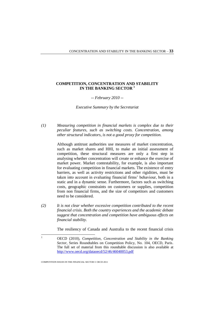# **COMPETITION, CONCENTRATION AND STABILITY IN THE BANKING SECTOR 1**

### *-- February 2010 --*

*Executive Summary by the Secretariat*

*(1) Measuring competition in financial markets is complex due to their peculiar features, such as switching costs. Concentration, among other structural indicators, is not a good proxy for competition.*

> Although antitrust authorities use measures of market concentration, such as market shares and HHI, to make an initial assessment of competition, these structural measures are only a first step in analysing whether concentration will create or enhance the exercise of market power. Market contestability, for example, is also important for evaluating competition in financial markets. The existence of entry barriers, as well as activity restrictions and other rigidities, must be taken into account in evaluating financial firms" behaviour, both in a static and in a dynamic sense. Furthermore, factors such as switching costs, geographic constraints on customers or supplies, competition from non financial firms, and the size of competitors and customers need to be considered.

*(2) It is not clear whether excessive competition contributed to the recent financial crisis. Both the country experiences and the academic debate suggest that concentration and competition have ambiguous effects on financial stability.*

The resiliency of Canada and Australia to the recent financial crisis

 $\mathbf{1}$ <sup>1</sup> OECD (2010), *Competition, Concentration and Stability in the Banking Sector*, Series Roundtables on Competition Policy, No. 104, OECD, Paris. The full set of material from this roundtable discussion is also available at <http://www.oecd.org/dataoecd/52/46/46040053.pdf>

COMPETITION ISSUES IN THE FINANCIAL SECTOR © OECD 2011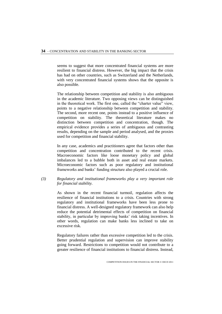seems to suggest that more concentrated financial systems are more resilient to financial distress. However, the big impact that the crisis has had on other countries, such as Switzerland and the Netherlands, with very concentrated financial systems shows that the opposite is also possible.

The relationship between competition and stability is also ambiguous in the academic literature. Two opposing views can be distinguished in the theoretical work. The first one, called the "charter value" view, points to a negative relationship between competition and stability. The second, more recent one, points instead to a positive influence of competition on stability. The theoretical literature makes no distinction between competition and concentration, though. The empirical evidence provides a series of ambiguous and contrasting results, depending on the sample and period analysed, and the proxies used for competition and financial stability.

In any case, academics and practitioners agree that factors other than competition and concentration contributed to the recent crisis. Macroeconomic factors like loose monetary policy and global imbalances led to a bubble both in asset and real estate markets. Microeconomic factors such as poor regulatory and institutional frameworks and banks" funding structure also played a crucial role.

# *(3) Regulatory and institutional frameworks play a very important role for financial stability.*

As shown in the recent financial turmoil, regulation affects the resilience of financial institutions to a crisis. Countries with strong regulatory and institutional frameworks have been less prone to financial distress. A well-designed regulatory framework can also help reduce the potential detrimental effects of competition on financial stability, in particular by improving banks' risk taking incentives. In other words, regulation can make banks less inclined to take on excessive risk.

Regulatory failures rather than excessive competition led to the crisis. Better prudential regulation and supervision can improve stability going forward. Restrictions to competition would not contribute to a greater resilience of financial institutions to financial distress. Instead,

COMPETITION ISSUES IN THE FINANCIAL SECTOR © OECD 2011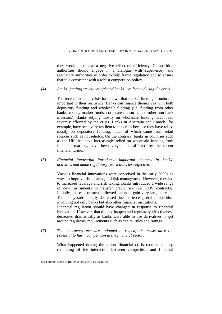they would just have a negative effect on efficiency. Competition authorities should engage in a dialogue with supervisory and regulatory authorities in order to help frame regulation and to ensure that it is consistent with a robust competition policy.

# *(4) Banks' funding structures affected banks' resilience during the crisis.*

The recent financial crisis has shown that banks' funding structure is important to their resilience. Banks can finance themselves with both depository funding and wholesale funding (i.e. funding from other banks, money market funds, corporate treasuries and other non-bank investors). Banks relying mostly on wholesale funding have been severely affected by the crisis. Banks in Australia and Canada, for example, have been very resilient to the crisis because they have relied mostly on depository funding, much of which came from retail sources such as households. On the contrary, banks in countries such as the UK that have increasingly relied on wholesale funding from financial markets, have been very much affected by the recent financial turmoil.

*(5) Financial innovation introduced important changes in banks' activities and made regulatory restrictions less effective.* 

> Various financial innovations were conceived in the early 2000s as ways to improve risk sharing and risk management. However, they led to increased leverage and risk taking. Banks introduced a wide range of new instruments to transfer credit risk (i.e. CDS contracts). Initially, these instruments allowed banks to gain very large spreads. Then, they substantially decreased due to fierce global competition involving not only banks but also other financial institutions.

> Financial regulation should have changed in response to financial innovation. However, that did not happen and regulatory effectiveness decreased dramatically as banks were able to use derivatives to get around regulatory requirements such as capital rules and ratings.

*(6) The emergency measures adopted to remedy the crisis have the potential to harm competition in the financial sector.*

> What happened during the recent financial crisis requires a deep rethinking of the interaction between competition and financial

COMPETITION ISSUES IN THE FINANCIAL SECTOR © OECD 2011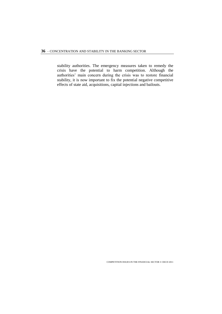stability authorities. The emergency measures taken to remedy the crisis have the potential to harm competition. Although the authorities' main concern during the crisis was to restore financial stability, it is now important to fix the potential negative competitive effects of state aid, acquisitions, capital injections and bailouts.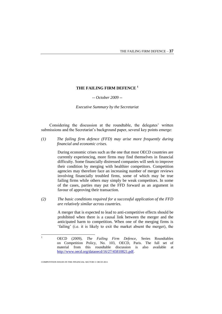# **THE FAILING FIRM DEFENCE <sup>1</sup>**

*-- October 2009 --*

*Executive Summary by the Secretariat*

Considering the discussion at the roundtable, the delegates' written submissions and the Secretariat"s background paper, several key points emerge:

*(1) The failing firm defence (FFD) may arise more frequently during financial and economic crises.*

> During economic crises such as the one that most OECD countries are currently experiencing, more firms may find themselves in financial difficulty. Some financially distressed companies will seek to improve their condition by merging with healthier competitors. Competition agencies may therefore face an increasing number of merger reviews involving financially troubled firms, some of which may be true failing firms while others may simply be weak competitors. In some of the cases, parties may put the FFD forward as an argument in favour of approving their transaction.

*(2) The basic conditions required for a successful application of the FFD are relatively similar across countries.*

> A merger that is expected to lead to anti-competitive effects should be prohibited when there is a causal link between the merger and the anticipated harm to competition. When one of the merging firms is "failing" (i.e. it is likely to exit the market absent the merger), the

 $\mathbf{1}$ <sup>1</sup> OECD (2009), *The Failing Firm Defence*, Series Roundtables on Competition Policy, No. 103, OECD, Paris. The full set of material from this roundtable discussion is also available at [http://www.oecd.org/dataoecd/16/27/45810821.pdf.](http://www.oecd.org/dataoecd/16/27/45810821.pdf) 

COMPETITION ISSUES IN THE FINANCIAL SECTOR © OECD 2011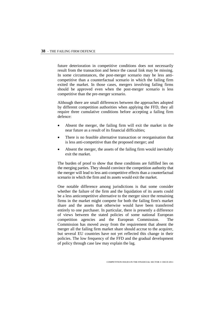future deterioration in competitive conditions does not necessarily result from the transaction and hence the causal link may be missing. In some circumstances, the post-merger scenario may be less anticompetitive than a counterfactual scenario in which the failing firm exited the market. In those cases, mergers involving failing firms should be approved even when the post-merger scenario is less competitive than the pre-merger scenario.

Although there are small differences between the approaches adopted by different competition authorities when applying the FFD, they all require three cumulative conditions before accepting a failing firm defence:

- Absent the merger, the failing firm will exit the market in the near future as a result of its financial difficulties;
- There is no feasible alternative transaction or reorganisation that is less anti-competitive than the proposed merger; and
- Absent the merger, the assets of the failing firm would inevitably exit the market.

The burden of proof to show that these conditions are fulfilled lies on the merging parties. They should convince the competition authority that the merger will lead to less anti-competitive effects than a counterfactual scenario in which the firm and its assets would exit the market.

One notable difference among jurisdictions is that some consider whether the failure of the firm and the liquidation of its assets could be a less anticompetitive alternative to the merger since the remaining firms in the market might compete for both the failing firm's market share and the assets that otherwise would have been transferred entirely to one purchaser. In particular, there is presently a difference of views between the stated policies of some national European competition agencies and the European Commission. The Commission has moved away from the requirement that absent the merger all the failing firm market share should accrue to the acquirer, but several EU countries have not yet reflected this change in their policies. The low frequency of the FFD and the gradual development of policy through case law may explain the lag.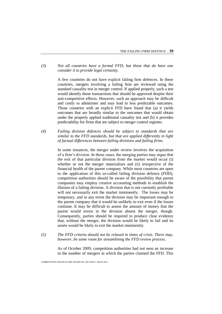*(3) Not all countries have a formal FFD, but those that do have one consider it to provide legal certainty.*

> A few countries do not have explicit failing firm defences. In these countries, mergers involving a failing firm are reviewed using the standard causality test in merger control. If applied properly, such a test would identify those transactions that should be approved despite their anti-competitive effects. However, such an approach may be difficult and costly to administer and may lead to less predictable outcomes. Those countries with an explicit FFD have found that (a) it yields outcomes that are broadly similar to the outcomes that would obtain under the properly applied traditional causality test and (b) it provides predictability for firms that are subject to merger control regimes.

*(4) Failing division defences should be subject to standards that are similar to the FFD standards, but that are applied differently in light of factual differences between failing divisions and failing firms.*

> In some instances, the merger under review involves the acquisition of a firm"s division. In those cases, the merging parties may argue that the exit of that particular division from the market would occur (i) whether or not the merger materialises and (ii) irrespective of the financial health of the parent company. While most countries are open to the application of this so-called failing division defence (FDD), competition authorities should be aware of the possibility that parent companies may employ creative accounting methods to establish the illusion of a failing division. A division that is not currently profitable will not necessarily exit the market imminently. The losses may be temporary, and in any event the division may be important enough to the parent company that it would be unlikely to exit even if the losses continue. It may be difficult to assess the amount of money that the parent would invest in the division absent the merger, though. Consequently, parties should be required to produce clear evidence that, without the merger, the division would be likely to fail and its assets would be likely to exit the market imminently.

*(5) The FFD criteria should not be relaxed in times of crisis. There may, however, be some room for streamlining the FFD review process.*

> As of October 2009, competition authorities had not seen an increase in the number of mergers in which the parties claimed the FFD. This

COMPETITION ISSUES IN THE FINANCIAL SECTOR © OECD 2011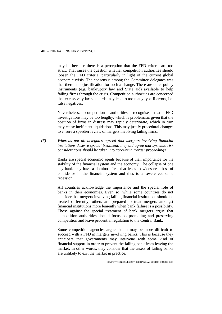may be because there is a perception that the FFD criteria are too strict. That raises the question whether competition authorities should loosen the FFD criteria, particularly in light of the current global economic crisis. The consensus among the Committee delegates was that there is no justification for such a change. There are other policy instruments (e.g. bankruptcy law and State aid) available to help failing firms through the crisis. Competition authorities are concerned that excessively lax standards may lead to too many type II errors, i.e. false negatives.

Nevertheless, competition authorities recognise that FFD investigations may be too lengthy, which is problematic given that the position of firms in distress may rapidly deteriorate, which in turn may cause inefficient liquidations. This may justify procedural changes to ensure a speedier review of mergers involving failing firms.

*(6) Whereas not all delegates agreed that mergers involving financial institutions deserve special treatment, they did agree that systemic risk considerations should be taken into account in merger proceedings.*

> Banks are special economic agents because of their importance for the stability of the financial system and the economy. The collapse of one key bank may have a domino effect that leads to widespread loss of confidence in the financial system and thus to a severe economic recession.

> All countries acknowledge the importance and the special role of banks in their economies. Even so, while some countries do not consider that mergers involving failing financial institutions should be treated differently, others are prepared to treat mergers amongst financial institutions more leniently when bank failure is a possibility. Those against the special treatment of bank mergers argue that competition authorities should focus on promoting and preserving competition and leave prudential regulation to the Central Bank.

> Some competition agencies argue that it may be more difficult to succeed with a FFD in mergers involving banks. This is because they anticipate that governments may intervene with some kind of financial support in order to prevent the failing bank from leaving the market. In other words, they consider that the assets of failing banks are unlikely to exit the market in practice.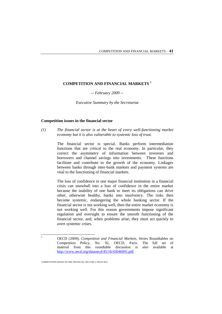# **COMPETITION AND FINANCIAL MARKETS <sup>1</sup>**

*-- February 2009 --*

*Executive Summary by the Secretariat*

### **Competition issues in the financial sector**

*(1) The financial sector is at the heart of every well-functioning market economy but it is also vulnerable to systemic loss of trust.* 

> The financial sector is special. Banks perform intermediation functions that are critical to the real economy. In particular, they correct the asymmetry of information between investors and borrowers and channel savings into investments. These functions facilitate and contribute to the growth of the economy. Linkages between banks through inter-bank markets and payment systems are vital to the functioning of financial markets.

> The loss of confidence in one major financial institution in a financial crisis can snowball into a loss of confidence in the entire market because the inability of one bank to meet its obligations can drive other, otherwise healthy, banks into insolvency. The risks then become systemic, endangering the whole banking sector. If the financial sector is not working well, then the entire market economy is not working well. For this reason governments impose significant regulation and oversight to ensure the smooth functioning of the financial sector, and, when problems arise, they must act quickly to avert systemic crises.

 $\mathbf{1}$ 

<sup>1</sup> OECD (2009), *Competition and Financial Markets*, Series Roundtables on Competition Policy, No. 92, OECD, Paris. The full set of material from this roundtable discussion is also available at [http://www.oecd.org/dataoecd/45/16/43046091.pdf.](http://www.oecd.org/dataoecd/45/16/43046091.pdf) 

COMPETITION ISSUES IN THE FINANCIAL SECTOR © OECD 2011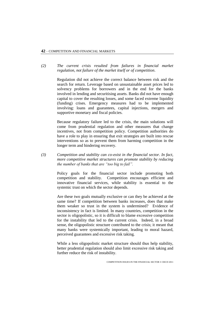## *(2) The current crisis resulted from failures in financial market regulation, not failure of the market itself or of competition*.

Regulation did not achieve the correct balance between risk and the search for return. Leverage based on unsustainable asset prices led to solvency problems for borrowers and in the end for the banks involved in lending and securitising assets. Banks did not have enough capital to cover the resulting losses, and some faced extreme liquidity (funding) crises. Emergency measures had to be implemented involving: loans and guarantees, capital injections, mergers and supportive monetary and fiscal policies.

Because regulatory failure led to the crisis, the main solutions will come from prudential regulation and other measures that change incentives, not from competition policy. Competition authorities do have a role to play in ensuring that exit strategies are built into rescue interventions so as to prevent them from harming competition in the longer term and hindering recovery.

*(3) Competition and stability can co-exist in the financial sector. In fact, more competitive market structures can promote stability by reducing the number of banks that are "too big to fail".*

> Policy goals for the financial sector include promoting both competition and stability. Competition encourages efficient and innovative financial services, while stability is essential to the systemic trust on which the sector depends.

> Are these two goals mutually exclusive or can they be achieved at the same time? If competition between banks increases, does that make them weaker so trust in the system is undermined? Evidence of inconsistency in fact is limited. In many countries, competition in the sector is oligopolistic, so it is difficult to blame excessive competition for the instability that led to the current crisis. Indeed, in a broad sense, the oligopolistic structure contributed to the crisis; it meant that many banks were systemically important, leading to moral hazard, perceived guarantees and excessive risk taking.

> While a less oligopolistic market structure should thus help stability, better prudential regulation should also limit excessive risk taking and further reduce the risk of instability.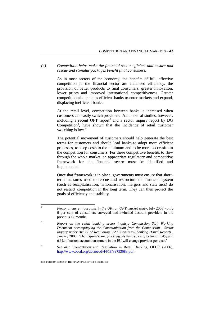### *(4) Competition helps make the financial sector efficient and ensure that rescue and stimulus packages benefit final consumers.*

As in most sectors of the economy, the benefits of full, effective competition in the financial sector are enhanced efficiency, the provision of better products to final consumers, greater innovation, lower prices and improved international competitiveness. Greater competition also enables efficient banks to enter markets and expand, displacing inefficient banks.

At the retail level, competition between banks is increased when customers can easily switch providers. A number of studies, however, including a recent OFT report<sup>2</sup> and a sector inquiry report by DG Competition<sup>3</sup>, have shown that the incidence of retail customer switching is low. 4

The potential movement of customers should help generate the best terms for customers and should lead banks to adopt more efficient processes, to keep costs to the minimum and to be more successful in the competition for consumers. For these competitive benefits to flow through the whole market, an appropriate regulatory and competitive framework for the financial sector must be identified and implemented.

Once that framework is in place, governments must ensure that shortterm measures used to rescue and restructure the financial system (such as recapitalisation, nationalisation, mergers and state aids) do not restrict competition in the long term. They can then protect the goals of efficiency and stability.

 $\overline{\mathcal{L}}$ <sup>2</sup> *Personal current accounts in the UK: an OFT market study*, July 2008 - only 6 per cent of consumers surveyed had switched account providers in the previous 12 months.

<sup>3</sup> *Report on the retail banking sector inquiry: Commission Staff Working Document accompanying the Communication from the Commission - Sector Inquiry under Art 17 of Regulation 1/2003 on retail banking (Final Report)* , January 2007: "The inquiry"s analysis suggests that typically between 5.4% and 6.6% of current account customers in the EU will change provider per year."

<sup>4</sup> *See also* Competition and Regulation in Retail Banking, OECD (2006), [http://www.oecd.org/dataoecd/44/18/39753683.pdf.](http://www.oecd.org/dataoecd/44/18/39753683.pdf)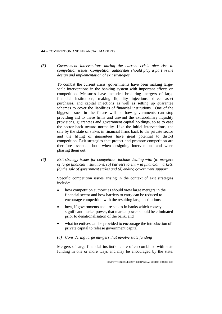*(5) Government interventions during the current crisis give rise to competition issues. Competition authorities should play a part in the design and implementation of exit strategies.*

> To combat the current crisis, governments have been making largescale interventions in the banking system with important effects on competition. Measures have included brokering mergers of large financial institutions, making liquidity injections, direct asset purchases, and capital injections as well as setting up guarantee schemes to cover the liabilities of financial institutions. One of the biggest issues in the future will be how governments can stop providing aid to these firms and unwind the extraordinary liquidity provisions, guarantees and government capital holdings, so as to ease the sector back toward normality. Like the initial interventions, the sale by the state of stakes in financial firms back to the private sector and the lifting of guarantees have great potential to distort competition. Exit strategies that protect and promote competition are therefore essential, both when designing interventions and when phasing them out.

*(6) Exit strategy issues for competition include dealing with (a) mergers of large financial institutions, (b) barriers to entry in financial markets, (c) the sale of government stakes and (d) ending government support.*

> Specific competition issues arising in the context of exit strategies include:

- how competition authorities should view large mergers in the financial sector and how barriers to entry can be reduced to encourage competition with the resulting large institutions
- how, if governments acquire stakes in banks which convey significant market power, that market power should be eliminated prior to denationalisation of the bank, and
- what incentives can be provided to encourage the introduction of private capital to release government capital
- *(a) Considering large mergers that involve state funding*

Mergers of large financial institutions are often combined with state funding in one or more ways and may be encouraged by the state.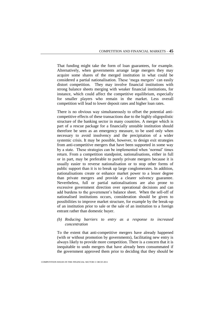That funding might take the form of loan guarantees, for example. Alternatively, when governments arrange large mergers they may acquire some shares of the merged institution in what could be considered a partial nationalisation. These 'mega mergers' can easily distort competition. They may involve financial institutions with strong balance sheets merging with weaker financial institutions, for instance, which could affect the competitive equilibrium, especially for smaller players who remain in the market. Less overall competition will lead to lower deposit rates and higher loan rates.

There is no obvious way simultaneously to offset the potential anticompetitive effects of these transactions due to the highly oligopolistic structure of the banking sector in many countries. A merger which is part of a rescue package for a financially unstable institution should therefore be seen as an emergency measure, to be used only when necessary to avoid insolvency and the precipitation of a wider systemic crisis. It may be possible, however, to design exit strategies from anti-competitive mergers that have been supported in some way by a state. These strategies can be implemented when "normal" times return. From a competition standpoint, nationalisations, either in full or in part, may be preferable to purely private mergers because it is usually easier to reverse nationalisation or to stop other forms of public support than it is to break up large conglomerates. In addition, nationalisations create or enhance market power to a lesser degree than private mergers and provide a clearer solvency guarantee. Nevertheless, full or partial nationalisations are also prone to excessive government direction over operational decisions and can add burdens to the government's balance sheet. When the sell-off of nationalised institutions occurs, consideration should be given to possibilities to improve market structure, for example by the break-up of an institution prior to sale or the sale of an institution to a foreign entrant rather than domestic buyer.

#### *(b) Reducing barriers to entry as a response to increased concentration*

To the extent that anti-competitive mergers have already happened (with or without promotion by governments), facilitating new entry is always likely to provide more competition. There is a concern that it is inequitable to undo mergers that have already been consummated if the government approved them prior to deciding that they should be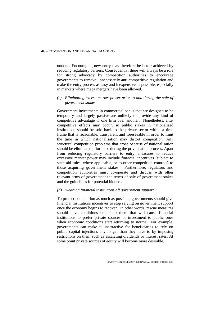undone. Encouraging new entry may therefore be better achieved by reducing regulatory barriers. Consequently, there will always be a role for strong advocacy by competition authorities to encourage governments to remove unnecessarily anti-competitive regulation and make the entry process as easy and inexpensive as possible, especially in markets where mega mergers have been allowed.

### *(c) Eliminating excess market power prior to and during the sale of government stakes*

Government investments in commercial banks that are designed to be temporary and largely passive are unlikely to provide any kind of competitive advantage to one firm over another. Nonetheless, anticompetitive effects may occur, so public stakes in nationalised institutions should be sold back to the private sector within a time frame that is reasonable, transparent and foreseeable in order to limit the time in which nationalisation may distort competition. Any structural competition problems that arose because of nationalisation should be eliminated prior to or during the privatisation process. Apart from reducing regulatory barriers to entry, measures to reduce excessive market power may include financial incentives (subject to state aid rules, where applicable, or to other competition controls) to those acquiring government stakes. Furthermore, regulators and competition authorities must co-operate and discuss with other relevant arms of government the terms of sale of government stakes and the guidelines for potential bidders.

### *(d) Weaning financial institutions off government support*

To protect competition as much as possible, governments should give financial institutions incentives to stop relying on government support once the economy begins to recover. In other words, rescue measures should have conditions built into them that will cause financial institutions to prefer private sources of investment to public ones when economic conditions start returning to normal. For example, governments can make it unattractive for beneficiaries to rely on public capital injections any longer than they have to by imposing restrictions on them such as escalating dividends or interest rates. At some point private sources of equity will become more desirable.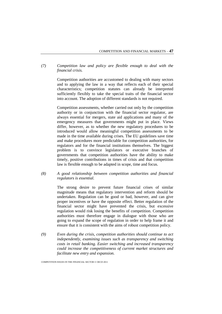# *(7) Competition law and policy are flexible enough to deal with the financial crisis.*

Competition authorities are accustomed to dealing with many sectors and to applying the law in a way that reflects each of their special characteristics; competition statutes can already be interpreted sufficiently flexibly to take the special traits of the financial sector into account. The adoption of different standards is not required.

Competition assessments, whether carried out only by the competition authority or in conjunction with the financial sector regulator, are always essential for mergers, state aid applications and many of the emergency measures that governments might put in place. Views differ, however, as to whether the new regulatory procedures to be introduced would allow meaningful competition assessments to be made in the time available during crises. The EU guidelines save time and make procedures more predictable for competition authorities, for regulators and for the financial institutions themselves. The biggest problem is to convince legislators or executive branches of governments that competition authorities have the ability to make timely, positive contributions in times of crisis and that competition law is flexible enough to be adapted in scope, time and focus.

### *(8) A good relationship between competition authorities and financial regulators is essential.*

The strong desire to prevent future financial crises of similar magnitude means that regulatory intervention and reform should be undertaken. Regulation can be good or bad, however, and can give proper incentives or have the opposite effect. Better regulation of the financial sector might have prevented the crisis, but excessive regulation would risk losing the benefits of competition. Competition authorities must therefore engage in dialogue with those who are going to expand the scope of regulation in order to help frame it and ensure that it is consistent with the aims of robust competition policy.

*(9) Even during the crisis, competition authorities should continue to act independently, examining issues such as transparency and switching costs in retail banking. Easier switching and increased transparency could increase the competitiveness of current market structures and facilitate new entry and expansion.* 

COMPETITION ISSUES IN THE FINANCIAL SECTOR © OECD 2011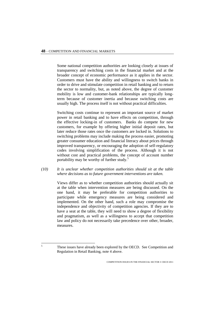Some national competition authorities are looking closely at issues of transparency and switching costs in the financial market and at the broader concept of economic performance as it applies in the sector. Customers must have the ability and willingness to switch banks in order to drive and stimulate competition in retail banking and to return the sector to normality, but, as noted above, the degree of customer mobility is low and customer-bank relationships are typically longterm because of customer inertia and because switching costs are usually high. The process itself is not without practical difficulties.

Switching costs continue to represent an important source of market power in retail banking and to have effects on competition, through the effective locking-in of customers. Banks do compete for new customers, for example by offering higher initial deposit rates, but later reduce those rates once the customers are locked in. Solutions to switching problems may include making the process easier, promoting greater consumer education and financial literacy about prices through improved transparency, or encouraging the adoption of self-regulatory codes involving simplification of the process. Although it is not without cost and practical problems, the concept of account number portability may be worthy of further study.<sup>5</sup>

# *(10) It is unclear whether competition authorities should sit at the table where decisions as to future government interventions are taken.*

Views differ as to whether competition authorities should actually sit at the table when intervention measures are being discussed. On the one hand, it may be preferable for competition authorities to participate while emergency measures are being considered and implemented. On the other hand, such a role may compromise the independence and objectivity of competition agencies. If they are to have a seat at the table, they will need to show a degree of flexibility and pragmatism, as well as a willingness to accept that competition law and policy do not necessarily take precedence over other, broader, measures.

 $\leq$ 

These issues have already been explored by the OECD. See Competition and Regulation in Retail Banking, note 4 above.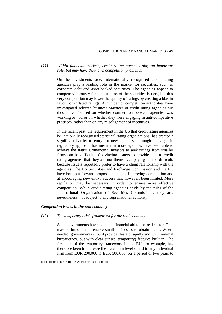## *(11) Within financial markets, credit rating agencies play an important role, but may have their own competition problems.*

On the investments side, internationally recognised credit rating agencies play a leading role in the market for securities, such as corporate debt and asset-backed securities. The agencies appear to compete vigorously for the business of the securities issuers, but this very competition may lower the quality of ratings by creating a bias in favour of inflated ratings. A number of competition authorities have investigated selected business practices of credit rating agencies but these have focused on whether competition between agencies was working or not, or on whether they were engaging in anti-competitive practices, rather than on any misalignment of incentives.

In the recent past, the requirement in the US that credit rating agencies be "nationally recognised statistical rating organisations" has created a significant barrier to entry for new agencies, although a change in regulatory approach has meant that more agencies have been able to achieve the status. Convincing investors to seek ratings from smaller firms can be difficult. Convincing issuers to provide data to credit rating agencies that they are not themselves paying is also difficult, because issuers reportedly prefer to have a client relationship with the agencies. The US Securities and Exchange Commission and the EC have both put forward proposals aimed at improving competition and at encouraging new entry. Success has, however, been limited. More regulation may be necessary in order to ensure more effective competition. While credit rating agencies abide by the rules of the International Organisation of Securities Commissions, they are, nevertheless, not subject to any supranational authority.

#### *Competition issues in the real economy*

### *(12) The temporary crisis framework for the real economy.*

Some governments have extended financial aid to the real sector. This may be important to enable small businesses to obtain credit. Where needed, governments should provide this aid rapidly and with minimal bureaucracy, but with clear sunset (temporary) features built in. The first part of the temporary framework in the EU, for example, has therefore been to increase the maximum level of aid to any individual firm from EUR 200,000 to EUR 500,000, for a period of two years to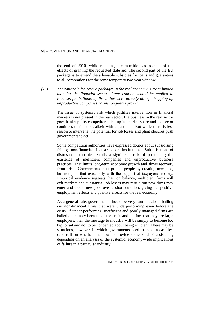the end of 2010, while retaining a competition assessment of the effects of granting the requested state aid. The second part of the EU package is to extend the allowable subsidies for loans and guarantees to all corporations for the same temporary two year window.

*(13) The rationale for rescue packages in the real economy is more limited than for the financial sector. Great caution should be applied to requests for bailouts by firms that were already ailing. Propping up unproductive companies harms long-term growth.*

> The issue of systemic risk which justifies intervention in financial markets is not present in the real sector. If a business in the real sector goes bankrupt, its competitors pick up its market share and the sector continues to function, albeit with adjustment. But while there is less reason to intervene, the potential for job losses and plant closures push governments to act.

> Some competition authorities have expressed doubts about subsidising failing non-financial industries or institutions. Subsidisation of distressed companies entails a significant risk of prolonging the existence of inefficient companies and unproductive business practices. That limits long-term economic growth and slows recovery from crisis. Governments must protect people by creating new jobs, but not jobs that exist only with the support of taxpayers' money. Empirical evidence suggests that, on balance, inefficient firms will exit markets and substantial job losses may result, but new firms may enter and create new jobs over a short duration, giving net positive employment effects and positive effects for the real economy.

> As a general rule, governments should be very cautious about bailing out non-financial firms that were underperforming even before the crisis. If under-performing, inefficient and poorly managed firms are bailed out simply because of the crisis and the fact that they are large employers, then the message to industry will be simply to become too big to fail and not to be concerned about being efficient. There may be situations, however, in which governments need to make a case-bycase call on whether and how to provide some kind of assistance, depending on an analysis of the systemic, economy-wide implications of failure in a particular industry.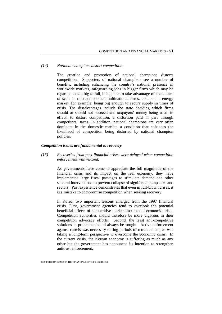### *(14) National champions distort competition.*

The creation and promotion of national champions distorts competition. Supporters of national champions see a number of benefits, including enhancing the country"s national presence in worldwide markets, safeguarding jobs in bigger firms which may be regarded as too big to fail, being able to take advantage of economies of scale in relation to other multinational firms, and, in the energy market, for example, being big enough to secure supply in times of crisis. The disadvantages include the state deciding which firms should or should not succeed and taxpayers' money being used, in effect, to distort competition, a distortion paid in part through competitors" taxes. In addition, national champions are very often dominant in the domestic market, a condition that enhances the likelihood of competition being distorted by national champion policies.

#### *Competition issues are fundamental to recovery*

*(15) Recoveries from past financial crises were delayed when competition enforcement was relaxed.*

> As governments have come to appreciate the full magnitude of the financial crisis and its impact on the real economy, they have implemented large fiscal packages to stimulate demand and other sectoral interventions to prevent collapse of significant companies and sectors. Past experience demonstrates that even in full-blown crises, it is a mistake to compromise competition when seeking recovery.

> In Korea, two important lessons emerged from the 1997 financial crisis. First, government agencies tend to overlook the potential beneficial effects of competitive markets in times of economic crisis. Competition authorities should therefore be more vigorous in their competition advocacy efforts. Second, the least anti-competitive solutions to problems should always be sought. Active enforcement against cartels was necessary during periods of retrenchment, as was taking a long-term perspective to overcome the economic crisis. In the current crisis, the Korean economy is suffering as much as any other but the government has announced its intention to strengthen antitrust enforcement.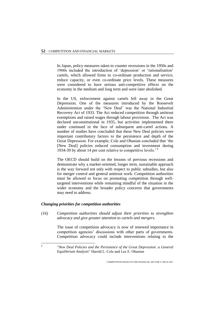In Japan, policy measures taken to counter recessions in the 1950s and 1960s included the introduction of 'depression' or 'rationalisation' cartels, which allowed firms to co-ordinate production and service, reduce capacity, or even co-ordinate price levels. These measures were considered to have serious anti-competitive effects on the economy in the medium and long term and were later abolished.

In the US, enforcement against cartels fell away in the Great Depression. One of the measures introduced by the Roosevelt Administration under the "New Deal" was the National Industrial Recovery Act of 1933. The Act reduced competition through antitrust exemptions and raised wages through labour provisions. The Act was declared unconstitutional in 1935, but activities implemented there under continued in the face of subsequent anti-cartel actions. A number of studies have concluded that these New Deal policies were important contributory factors to the persistence and depth of the Great Depression. For example, Cole and Ohanian concluded that "the [New Deal] policies reduced consumption and investment during 1934-39 by about 14 per cent relative to competitive levels." <sup>6</sup>

The OECD should build on the lessons of previous recessions and demonstrate why a market-oriented, longer term, sustainable approach is the way forward not only with respect to public subsidies, but also for merger control and general antitrust work. Competition authorities must be allowed to focus on promoting competition through welltargeted interventions while remaining mindful of the situation in the wider economy and the broader policy concerns that governments may need to address.

#### *Changing priorities for competition authorities*

6

*(16) Competition authorities should adjust their priorities to strengthen advocacy and give greater attention to cartels and mergers.*

> The issue of competition advocacy is now of renewed importance in competition agencies" discussions with other parts of governments. Competition advocacy could include interventions relating to the

<sup>&</sup>quot;*New Deal Policies and the Persistence of the Great Depression: a General Equilibrium Analysis*" Harold L. Cole and Lee E. Ohanian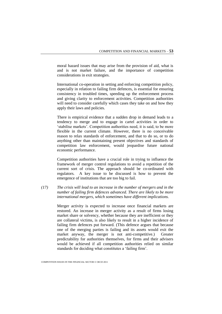moral hazard issues that may arise from the provision of aid, what is and is not market failure, and the importance of competition considerations in exit strategies.

International co-operation in setting and enforcing competition policy, especially in relation to failing firm defences, is essential for ensuring consistency in troubled times, speeding up the enforcement process and giving clarity to enforcement activities. Competition authorities will need to consider carefully which cases they take on and how they apply their laws and policies.

There is empirical evidence that a sudden drop in demand leads to a tendency to merge and to engage in cartel activities in order to "stabilise markets". Competition authorities need, it is said, to be more flexible in the current climate. However, there is no conceivable reason to relax standards of enforcement, and that to do so, or to do anything other than maintaining present objectives and standards of competition law enforcement, would jeopardise future national economic performance.

Competition authorities have a crucial role in trying to influence the framework of merger control regulations to avoid a repetition of the current sort of crisis. The approach should be co-ordinated with regulators. A key issue to be discussed is how to prevent the emergence of institutions that are too big to fail.

# *(17) The crisis will lead to an increase in the number of mergers and in the number of failing firm defences advanced. There are likely to be more international mergers, which sometimes have different implications.*

Merger activity is expected to increase once financial markets are restored. An increase in merger activity as a result of firms losing market share or solvency, whether because they are inefficient or they are collateral victims, is also likely to result in a higher incidence of failing firm defences put forward. (This defence argues that because one of the merging parties is failing and its assets would exit the market anyway, the merger is not anti-competitive.) Greater predictability for authorities themselves, for firms and their advisers would be achieved if all competition authorities relied on similar standards for deciding what constitutes a "failing firm".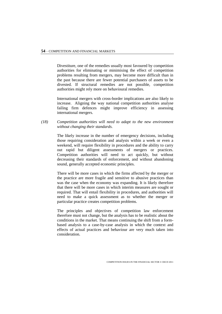Divestiture, one of the remedies usually most favoured by competition authorities for eliminating or minimising the effect of competition problems resulting from mergers, may become more difficult than in the past because there are fewer potential purchasers of assets to be divested. If structural remedies are not possible, competition authorities might rely more on behavioural remedies.

International mergers with cross-border implications are also likely to increase. Aligning the way national competition authorities analyse failing firm defences might improve efficiency in assessing international mergers.

*(18) Competition authorities will need to adapt to the new environment without changing their standards.*

> The likely increase in the number of emergency decisions, including those requiring consideration and analysis within a week or even a weekend, will require flexibility in procedures and the ability to carry out rapid but diligent assessments of mergers or practices. Competition authorities will need to act quickly, but without decreasing their standards of enforcement, and without abandoning sound, generally accepted economic principles.

> There will be more cases in which the firms affected by the merger or the practice are more fragile and sensitive to abusive practices than was the case when the economy was expanding. It is likely therefore that there will be more cases in which interim measures are sought or required. That will entail flexibility in procedures, and authorities will need to make a quick assessment as to whether the merger or particular practice creates competition problems.

> The principles and objectives of competition law enforcement therefore must not change, but the analysis has to be realistic about the conditions in the market. That means continuing the shift from a formbased analysis to a case-by-case analysis in which the context and effects of actual practices and behaviour are very much taken into consideration.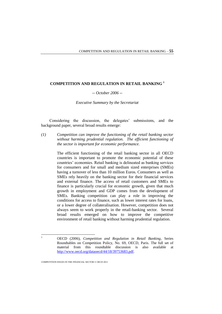# **COMPETITION AND REGULATION IN RETAIL BANKING <sup>1</sup>**

#### *-- October 2006 --*

### *Executive Summary by the Secretariat*

Considering the discussion, the delegates' submissions, and the background paper, several broad results emerge:

*(1) Competition can improve the functioning of the retail banking sector without harming prudential regulation. The efficient functioning of the sector is important for economic performance.* 

> The efficient functioning of the retail banking sector in all OECD countries is important to promote the economic potential of these countries" economies. Retail banking is delineated as banking services for consumers and for small and medium sized enterprises (SMEs) having a turnover of less than 10 million Euros. Consumers as well as SMEs rely heavily on the banking sector for their financial services and external finance. The access of retail customers and SMEs to finance is particularly crucial for economic growth, given that much growth in employment and GDP comes from the development of SMEs. Banking competition can play a role in improving the conditions for access to finance, such as lower interest rates for loans, or a lower degree of collateralisation. However, competition does not always seem to work properly in the retail-banking sector. Several broad results emerged on how to improve the competitive environment of retail banking without harming prudential regulation.

 $\overline{a}$ 

<sup>1</sup> OECD (2006), *Competition and Regulation in Retail Banking*, Series Roundtables on Competition Policy, No. 69, OECD, Paris. The full set of material from this roundtable discussion is also available at [http://www.oecd.org/dataoecd/44/18/39753683.pdf.](http://www.oecd.org/dataoecd/44/18/39753683.pdf) 

COMPETITION ISSUES IN THE FINANCIAL SECTOR © OECD 2011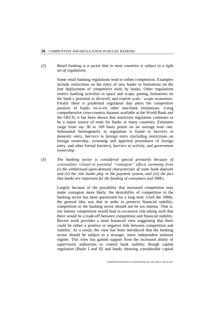## *(2) Retail banking is a sector that in most countries is subject to a tight set of regulations.*

Some retail banking regulations tend to soften competition. Examples include restrictions on the entry of new banks or limitations on the free deployment of competitive tools by banks. Other regulations restrict banking activities in space and scope, putting limitations on the bank"s potential to diversify and exploit scale / scope economies. Finally there is prudential regulation that alters the competitive position of banks vis-à-vis other non-bank institutions. Using comprehensive cross-country datasets available at the World Bank and the OECD, it has been shown that restrictive regulation continues to be a major source of rents for banks in many countries. Estimates range from say 30 to 100 basis points on an average loan rate. Substantial heterogeneity in regulation is found in *barriers to domestic entry, barriers to foreign entry* (including restrictions on foreign ownership, screening and approval procedures of foreign entry, and other formal barriers), *barriers to activity*, and *government ownership*.

*(3) The banking sector is considered special primarily because of externalities related to potential "contagion" effects stemming from (i) the withdrawal-upon-demand characteristic of some bank deposits and (ii) the role banks play in the payment system, and (iii) the fact that banks are important for the funding of consumers and SMEs.*

> Largely because of the possibility that increased competition may make contagion more likely, the desirability of competition in the banking sector has been questioned for a long time. Until the 1980s, the general idea was that in order to preserve financial stability, competition in the banking sector should not be too intense. That is, too intense competition would lead to excessive risk-taking such that there would be a trade-off between competition and financial stability. Recent work provides a more balanced view suggesting that there could be either a positive or negative link between competition and stability. As a result, the view has been introduced that the banking sector should be subject to a stronger, more independent antitrust regime. This view has gained support from the increased ability of supervisory authorities to control bank stability though capital regulation (Basle I and II) and banks showing considerable capital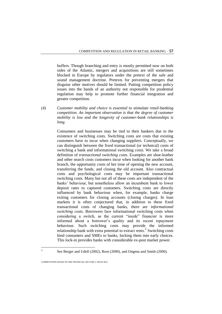buffers. Though branching and entry is mostly permitted now on both sides of the Atlantic, mergers and acquisitions are still sometimes blocked in Europe by regulators under the pretext of the safe and sound management doctrine. Pretexts for preventing mergers that disguise other motives should be limited. Putting competition policy issues into the hands of an authority not responsible for prudential regulation may help to promote further financial integration and greater competition.

*(4) Customer mobility and choice is essential to stimulate retail-banking competition. An important observation is that the degree of customer mobility is low and the longevity of customer-bank relationships is long.* 

> Consumers and businesses may be tied to their bankers due to the existence of switching costs. Switching costs are costs that existing customers have to incur when changing suppliers. Conceptually, we can distinguish between the fixed transactional (or technical) costs of switching a bank and informational switching costs. We take a broad definition of *transactional switching costs*. Examples are shoe-leather and other search costs customers incur when looking for another bank branch, the opportunity costs of her time of opening the new account, transferring the funds, and closing the old account. Also contractual costs and psychological costs may be important transactional switching costs. Many but not all of these costs are independent of the banks" behaviour, but nonetheless allow an incumbent bank to lower deposit rates to captured customers. Switching costs are directly influenced by bank behaviour when, for example, banks charge exiting customers for closing accounts (closing charges). In loan markets it is often conjectured that, in addition to these fixed transactional costs of changing banks, there are *informational switching costs*. Borrowers face informational switching costs when considering a switch, as the current "inside" financier is more informed about a borrower"s quality and its recent repayment behaviour. Such switching costs may provide the informed relationship bank with extra potential to extract rents.<sup>2</sup> Switching costs bind consumers and SMEs to banks, locking them into early choices. This lock-in provides banks with considerable ex-post market power.

 $\frac{1}{2}$ .

See Berger and Udell (2002), Boot (2000), and Ongena and Smith (2000).

COMPETITION ISSUES IN THE FINANCIAL SECTOR © OECD 2011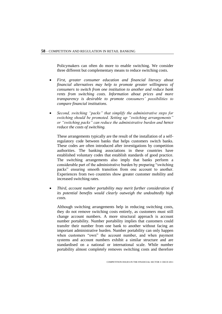Policymakers can often do more to enable switching. We consider three different but complementary means to reduce switching costs.

- *First, greater consumer education and financial literacy about financial alternatives may help to promote greater willingness of consumers to switch from one institution to another and reduce bank rents from switching costs. Information about prices and more transparency is desirable to promote consumers' possibilities to compare financial institutions.*
- *Second, switching "packs" that simplify the administrative steps for switching should be promoted. Setting up "switching arrangements" or "switching packs" can reduce the administrative burden and hence reduce the costs of switching.*

These arrangements typically are the result of the installation of a selfregulatory code between banks that helps customers switch banks. These codes are often introduced after investigations by competition authorities. The banking associations in these countries have established voluntary codes that establish standards of good practice. The switching arrangements also imply that banks perform a considerable part of the administrative burden by preparing "switching packs" ensuring smooth transition from one account to another. Experiences from two countries show greater customer mobility and increased switching rates.

 *Third, account number portability may merit further consideration if its potential benefits would clearly outweigh the undoubtedly high costs.* 

Although switching arrangements help in reducing switching costs, they do not remove switching costs entirely, as customers must still change account numbers. A more structural approach is account number portability. Number portability implies that customers could transfer their number from one bank to another without facing an important administrative burden. Number portability can only happen when customers "own" the account number, and when payment systems and account numbers exhibit a similar structure and are standardised on a national or international scale. While number portability almost completely removes switching costs and therefore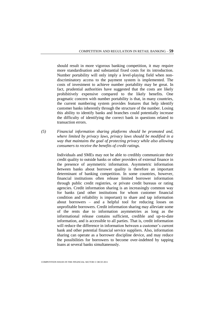should result in more vigorous banking competition, it may require more standardisation and substantial fixed costs for its introduction. Number portability will only imply a level-playing field when nondiscriminatory access to the payment system is implemented. The costs of investment to achieve number portability may be great. In fact, prudential authorities have suggested that the costs are likely prohibitively expensive compared to the likely benefits. One pragmatic concern with number portability is that, in many countries, the current numbering system provides features that help identify customer banks inherently through the structure of the number. Losing this ability to identify banks and branches could potentially increase the difficulty of identifying the correct bank in questions related to transaction errors.

*(5) Financial information sharing platforms should be promoted and, where limited by privacy laws, privacy laws should be modified in a way that maintains the goal of protecting privacy while also allowing consumers to receive the benefits of credit ratings.*

> Individuals and SMEs may not be able to credibly communicate their credit quality to outside banks or other providers of external finance in the presence of asymmetric information. Asymmetric information between banks about borrower quality is therefore an important determinant of banking competition. In some countries, however, financial institutions often release limited borrower information through public credit registries, or private credit bureaus or rating agencies. Credit information sharing is an increasingly common way for banks (and other institutions for whom customer financial condition and reliability is important) to share and tap information about borrowers – and a helpful tool for reducing losses on unprofitable borrowers. Credit information sharing may alleviate some of the rents due to information asymmetries as long as the informational release contains sufficient, credible and up-to-date information, and is accessible to all parties. That is, credit information will reduce the difference in information between a customer's current bank and other potential financial service suppliers. Also, information sharing can operate as a borrower discipline device, and may reduce the possibilities for borrowers to become over-indebted by tapping loans at several banks simultaneously.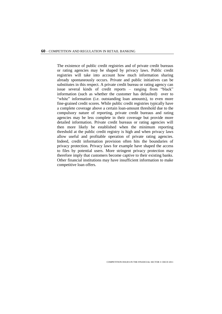The existence of public credit registries and of private credit bureaus or rating agencies may be shaped by privacy laws. Public credit registries will take into account how much information sharing already spontaneously occurs. Private and public initiatives can be substitutes in this respect. A private credit bureau or rating agency can issue several kinds of credit reports – ranging from "black" information (such as whether the customer has defaulted) over to "white" information (i.e. outstanding loan amounts), to even more fine-grained credit scores. While public credit registries typically have a complete coverage above a certain loan-amount threshold due to the compulsory nature of reporting, private credit bureaus and rating agencies may be less complete in their coverage but provide more detailed information. Private credit bureaus or rating agencies will then more likely be established when the minimum reporting threshold at the public credit registry is high and when privacy laws allow useful and profitable operation of private rating agencies. Indeed, credit information provision often hits the boundaries of privacy protection. Privacy laws for example have shaped the access to files by potential users. More stringent privacy protection may therefore imply that customers become captive to their existing banks. Other financial institutions may have insufficient information to make competitive loan offers.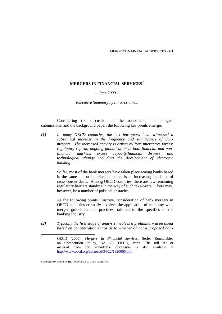# **MERGERS IN FINANCIAL SERVICES <sup>1</sup>**

### *-- June 2000 --*

*Executive Summary by the Secretariat*

Considering the discussion at the roundtable, the delegate submissions, and the background paper, the following key points emerge:

*(1) In many OECD countries, the last few years have witnessed a substantial increase in the frequency and significance of bank mergers. The increased activity is driven by four interactive forces: regulatory reform; ongoing globalisation in both financial and nonfinancial markets; excess capacity/financial distress; and technological change including the development of electronic banking.*

> So far, most of the bank mergers have taken place among banks based in the same national market, but there is an increasing incidence of cross-border deals. Among OECD countries, there are few remaining regulatory barriers standing in the way of such take-overs. There may, however, be a number of political obstacles.

> As the following points illustrate, consideration of bank mergers in OECD countries normally involves the application of economy-wide merger guidelines and practices, tailored to the specifics of the banking industry.

- *(2) Typically the first stage of analysis involves a preliminary assessment based on concentration ratios as to whether or not a proposed bank*
- $\mathbf{1}$ <sup>1</sup> OECD (2000), *Mergers in Financial Services*, Series Roundtables on Competition Policy, No. 29, OECD, Paris. The full set of material from this roundtable discussion is also available at [http://www.oecd.org/dataoecd/34/22/1920060.pdf.](http://www.oecd.org/dataoecd/34/22/1920060.pdf)

COMPETITION ISSUES IN THE FINANCIAL SECTOR © OECD 2011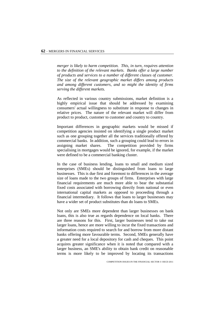*merger is likely to harm competition. This, in turn, requires attention to the definition of the relevant markets. Banks offer a large number of products and services to a number of different classes of customer. The size of the relevant geographic market differs among products and among different customers, and so might the identity of firms serving the different markets.*

As reflected in various country submissions, market definition is a highly empirical issue that should be addressed by examining consumers' actual willingness to substitute in response to changes in relative prices. The nature of the relevant market will differ from product to product, customer to customer and country to country.

Important differences in geographic markets would be missed if competition agencies insisted on identifying a single product market such as one grouping together all the services traditionally offered by commercial banks. In addition, such a grouping could lead to errors in assigning market shares. The competition provided by firms specialising in mortgages would be ignored, for example, if the market were defined to be a commercial banking cluster.

In the case of business lending, loans to small and medium sized enterprises (SMEs) should be distinguished from loans to large businesses. This is due first and foremost to differences in the average size of loans made to the two groups of firms. Enterprises with large financial requirements are much more able to bear the substantial fixed costs associated with borrowing directly from national or even international capital markets as opposed to proceeding through a financial intermediary. It follows that loans to larger businesses may have a wider set of product substitutes than do loans to SMEs.

Not only are SMEs more dependent than larger businesses on bank loans, this is also true as regards dependence on local banks. There are three reasons for this. First, larger businesses tend to take out larger loans, hence are more willing to incur the fixed transactions and information costs required to search for and borrow from more distant banks offering more favourable terms. Second, SMEs generally have a greater need for a local depository for cash and cheques. This point acquires greater significance when it is noted that compared with a larger business, an SME's ability to obtain bank credit on reasonable terms is more likely to be improved by locating its transactions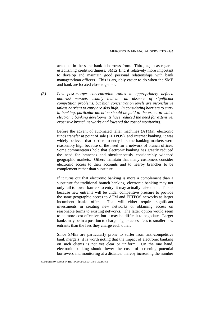accounts in the same bank it borrows from. Third, again as regards establishing creditworthiness, SMEs find it relatively more important to develop and maintain good personal relationships with bank managers/loan officers. This is arguably easier to do when the SME and bank are located close together.

*(3) Low post-merger concentration ratios in appropriately defined antitrust markets usually indicate an absence of significant competition problems, but high concentration levels are inconclusive unless barriers to entry are also high. In considering barriers to entry in banking, particular attention should be paid to the extent to which electronic banking developments have reduced the need for extensive, expensive branch networks and lowered the cost of monitoring.*

> Before the advent of automated teller machines (ATMs), electronic funds transfer at point of sale (EFTPOS), and Internet banking, it was widely believed that barriers to entry in some banking markets were reasonably high because of the need for a network of branch offices. Some commentators hold that electronic banking has greatly reduced the need for branches and simultaneously considerably widened geographic markets. Others maintain that many customers consider electronic access to their accounts and to nearby branches to be complement rather than substitute.

> If it turns out that electronic banking is more a complement than a substitute for traditional branch banking, electronic banking may not only fail to lower barriers to entry, it may actually raise them. This is because new entrants will be under competitive pressure to provide the same geographic access to ATM and EFTPOS networks as larger incumbent banks offer. That will either require significant investments in creating new networks or obtaining access on reasonable terms to existing networks. The latter option would seem to be more cost effective, but it may be difficult to negotiate. Larger banks may be in a position to charge higher access fees to smaller new entrants than the fees they charge each other.

> Since SMEs are particularly prone to suffer from anti-competitive bank mergers, it is worth noting that the impact of electronic banking on such clients is not yet clear or uniform. On the one hand, electronic banking should lower the costs of screening potential borrowers and monitoring at a distance, thereby increasing the number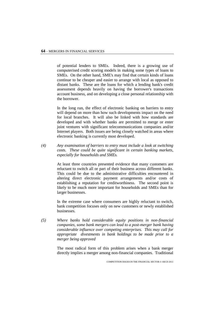of potential lenders to SMEs. Indeed, there is a growing use of computerised credit scoring models in making some types of loans to SMEs. On the other hand, SME's may find that certain kinds of loans continue to be cheaper and easier to arrange with local as opposed to distant banks. These are the loans for which a lending bank's credit assessment depends heavily on having the borrower's transactions account business, and on developing a close personal relationship with the borrower.

In the long run, the effect of electronic banking on barriers to entry will depend on more than how such developments impact on the need for local branches. It will also be linked with how standards are developed and with whether banks are permitted to merge or enter joint ventures with significant telecommunications companies and/or Internet players. Both issues are being closely watched in areas where electronic banking is currently most developed.

*(4) Any examination of barriers to entry must include a look at switching costs. These could be quite significant in certain banking markets, especially for households and SMEs.*

> At least three countries presented evidence that many customers are reluctant to switch all or part of their business across different banks. This could be due to the administrative difficulties encountered in altering direct electronic payment arrangements and/or costs of establishing a reputation for creditworthiness. The second point is likely to be much more important for households and SMEs than for larger businesses.

> In the extreme case where consumers are highly reluctant to switch, bank competition focuses only on new customers or newly established businesses.

*(5) Where banks hold considerable equity positions in non-financial companies, some bank mergers can lead to a post-merger bank having considerable influence over competing enterprises. This may call for appropriate divestments in bank holdings to be made prior to a merger being approved*

> The most radical form of this problem arises when a bank merger directly implies a merger among non-financial companies. Traditional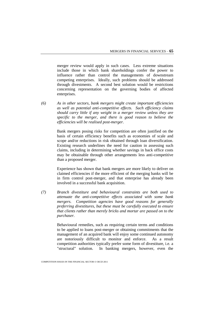merger review would apply in such cases. Less extreme situations include those in which bank shareholdings confer the power to influence rather than control the managements of downstream competing enterprises. Ideally, such problems should be addressed through divestments. A second best solution would be restrictions concerning representation on the governing bodies of affected enterprises.

*(6) As in other sectors, bank mergers might create important efficiencies as well as potential anti-competitive effects. Such efficiency claims should carry little if any weight in a merger review unless they are specific to the merger, and there is good reason to believe the efficiencies will be realised post-merger.*

> Bank mergers posing risks for competition are often justified on the basis of certain efficiency benefits such as economies of scale and scope and/or reductions in risk obtained through loan diversification. Existing research underlines the need for caution in assessing such claims, including in determining whether savings in back office costs may be obtainable through other arrangements less anti-competitive than a proposed merger.

> Experience has shown that bank mergers are more likely to deliver on claimed efficiencies if the more efficient of the merging banks will be in firm control post-merger, and that enterprise has already been involved in a successful bank acquisition.

*(7) Branch divestiture and behavioural constraints are both used to attenuate the anti-competitive effects associated with some bank mergers. Competition agencies have good reasons for generally preferring divestitures, but these must be carefully executed to ensure that clients rather than merely bricks and mortar are passed on to the purchaser.* 

> Behavioural remedies, such as requiring certain terms and conditions to be applied to loans post-merger or obtaining commitments that the management of an acquired bank will enjoy some continued autonomy are notoriously difficult to monitor and enforce. As a result competition authorities typically prefer some form of divestiture, i.e. a "structural" solution. In banking mergers, however, even the

COMPETITION ISSUES IN THE FINANCIAL SECTOR © OECD 2011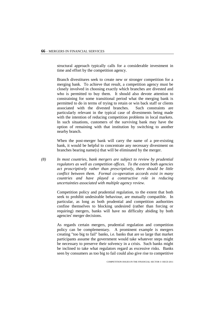structural approach typically calls for a considerable investment in time and effort by the competition agency.

Branch divestitures seek to create new or stronger competition for a merging bank. To achieve that result, a competition agency must be closely involved in choosing exactly which branches are divested and who is permitted to buy them. It should also devote attention to constraining for some transitional period what the merging bank is permitted to do in terms of trying to retain or win back staff or clients associated with the divested branches. Such constraints are particularly relevant in the typical case of divestments being made with the intention of reducing competition problems in local markets. In such situations, customers of the surviving bank may have the option of remaining with that institution by switching to another nearby branch.

When the post-merger bank will carry the name of a pre-existing bank, it would be helpful to concentrate any necessary divestment on branches bearing name(s) that will be eliminated by the merger.

*(8) In most countries, bank mergers are subject to review by prudential regulators as well as competition offices. To the extent both agencies act proscriptively rather than prescriptively, there should be little conflict between them. Formal co-operation accords exist in many countries and have played a constructive role in reducing uncertainties associated with multiple agency review.* 

> Competition policy and prudential regulation, to the extent that both seek to prohibit undesirable behaviour, are mutually compatible. In particular, as long as both prudential and competition authorities confine themselves to blocking undesired (rather than forcing or requiring) mergers, banks will have no difficulty abiding by both agencies' merger decisions.

> As regards certain mergers, prudential regulation and competition policy can be complementary. A prominent example is mergers creating "too big to fail" banks, i.e. banks that are so large that market participants assume the government would take whatever steps might be necessary to preserve their solvency in a crisis. Such banks might be inclined to take what regulators regard as excessive risks. Banks seen by consumers as too big to fail could also give rise to competitive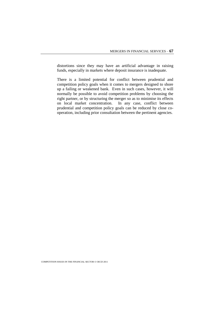distortions since they may have an artificial advantage in raising funds, especially in markets where deposit insurance is inadequate.

There is a limited potential for conflict between prudential and competition policy goals when it comes to mergers designed to shore up a failing or weakened bank. Even in such cases, however, it will normally be possible to avoid competition problems by choosing the right partner, or by structuring the merger so as to minimise its effects on local market concentration. In any case, conflict between prudential and competition policy goals can be reduced by close cooperation, including prior consultation between the pertinent agencies.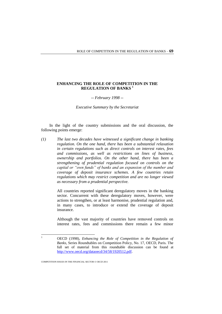# **ENHANCING THE ROLE OF COMPETITION IN THE REGULATION OF BANKS <sup>1</sup>**

#### *-- February 1998 --*

*Executive Summary by the Secretariat*

In the light of the country submissions and the oral discussion, the following points emerge:

*(1) The last two decades have witnessed a significant change in banking regulation. On the one hand, there has been a substantial relaxation in certain regulations such as direct controls on interest rates, fees and commissions, as well as restrictions on lines of business, ownership and portfolios. On the other hand, there has been a strengthening of prudential regulation focused on controls on the capital or "own funds" of banks and an expansion of the number and coverage of deposit insurance schemes. A few countries retain regulations which may restrict competition and are no longer viewed as necessary from a prudential perspective.*

> All countries reported significant deregulatory moves in the banking sector. Concurrent with these deregulatory moves, however, were actions to strengthen, or at least harmonise, prudential regulation and, in many cases, to introduce or extend the coverage of deposit insurance.

> Although the vast majority of countries have removed controls on interest rates, fees and commissions there remain a few minor

l

<sup>1</sup> OECD (1998), *Enhancing the Role of Competition in the Regulation of Banks*, Series Roundtables on Competition Policy, No. 17, OECD, Paris. The full set of material from this roundtable discussion can be found at [http://www.oecd.org/dataoecd/34/58/1920512.pdf.](http://www.oecd.org/dataoecd/34/58/1920512.pdf) 

COMPETITION ISSUES IN THE FINANCIAL SECTOR © OECD 2011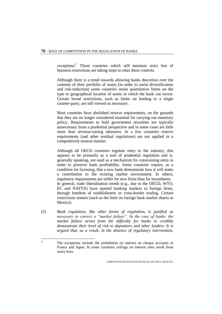exceptions<sup>2</sup>. Those countries which still maintain strict line of business restrictions are taking steps to relax these controls.

Although there is a trend towards allowing banks discretion over the contents of their portfolio of assets (in order to assist diversification and risk-reduction) some countries retain quantitative limits on the type or geographical location of assets in which the bank can invest. Certain broad restrictions, such as limits on lending to a single counter-party, are still viewed as necessary.

Most countries have abolished reserve requirements, on the grounds that they are no longer considered essential for carrying out monetary policy. Requirements to hold government securities are typically unnecessary from a prudential perspective and in some cases are little more than revenue-raising measures. In a few countries reserve requirements (and other residual regulations) are not applied in a competitively-neutral manner.

Although all OECD countries regulate entry to the industry, this appears to be primarily as a tool of prudential regulation and is, generally speaking, not used as a mechanism for constraining entry in order to preserve bank profitability. Some countries require, as a condition for licensing, that a new bank demonstrate how it will make a contribution to the existing market environment. In others, regulatory requirements are stiffer for new firms than for incumbents. In general, trade liberalisation trends (e.g., due to the OECD, WTO, EC and NAFTA) have opened banking markets to foreign firms, through freedom of establishment or cross-border trading. Certain restrictions remain (such as the limit on foreign bank market shares in Mexico).

*(2) Bank regulation, like other forms of regulation, is justified as necessary to correct a "market failure". In the case of banks, the market failure arises from the difficulty for banks to credibly demonstrate their level of risk to depositors and other lenders. It is argued that, as a result, in the absence of regulatory intervention,* 

 $\overline{2}$ 

<sup>2</sup> The exceptions include the prohibition on interest on cheque accounts in France and Japan. In some countries ceilings on interest rates result from usury laws.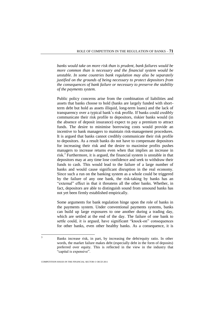*banks would take on more risk than is prudent, bank failures would be more common than is necessary and the financial system would be unstable. In some countries bank regulation may also be separately justified on the grounds of being necessary to protect depositors from the consequences of bank failure or necessary to preserve the stability of the payments system.*

Public policy concerns arise from the combination of liabilities and assets that banks choose to hold (banks are largely funded with shortterm debt but hold as assets illiquid, long-term loans) and the lack of transparency over a typical bank"s risk profile. If banks could credibly communicate their risk profile to depositors, riskier banks would (in the absence of deposit insurance) expect to pay a premium to attract funds. The desire to minimise borrowing costs would provide an incentive to bank managers to maintain risk-management procedures. It is argued that banks cannot credibly communicate their risk profile to depositors. As a result banks do not have to compensate depositors for increasing their risk and the desire to maximise profits pushes managers to increase returns even when that implies an increase in risk.<sup>3</sup> Furthermore, it is argued, the financial system is unstable in that depositors may at any time lose confidence and seek to withdraw their funds to cash. This would lead to the failure of a large number of banks and would cause significant disruption in the real economy. Since such a run on the banking system as a whole could be triggered by the failure of any one bank, the risk-taking by banks has an "external" effect in that it threatens all the other banks. Whether, in fact, depositors are able to distinguish sound from unsound banks has not yet been firmly established empirically.

Some arguments for bank regulation hinge upon the role of banks in the payments system. Under conventional payments systems, banks can build up large exposures to one another during a trading day, which are settled at the end of the day. The failure of one bank to settle could, it is argued, have significant "knock-on" consequences for other banks, even other healthy banks. As a consequence, it is

 $\overline{3}$ 

<sup>3</sup> Banks increase risk, in part, by increasing the debt/equity ratio. In other words, the market failure makes debt (especially debt in the form of deposits) preferred over equity. This is reflected in the view in the industry that "capital is expensive".

COMPETITION ISSUES IN THE FINANCIAL SECTOR © OECD 2011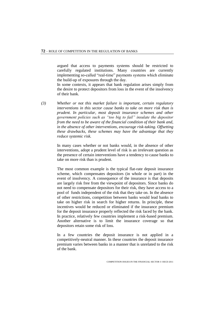argued that access to payments systems should be restricted to carefully regulated institutions. Many countries are currently implementing so-called "real-time" payments systems which eliminate the build-up of exposures through the day.

In some contexts, it appears that bank regulation arises simply from the desire to protect depositors from loss in the event of the insolvency of their bank.

*(3) Whether or not this market failure is important, certain regulatory interventions in this sector cause banks to take on more risk than is prudent. In particular, most deposit insurance schemes and other government policies such as "too big to fail" insulate the depositor from the need to be aware of the financial condition of their bank and, in the absence of other interventions, encourage risk-taking. Offsetting these drawbacks, these schemes may have the advantage that they reduce systemic risk.*

> In many cases whether or not banks would, in the absence of other interventions, adopt a prudent level of risk is an irrelevant question as the presence of certain interventions have a tendency to cause banks to take on more risk than is prudent.

> The most common example is the typical flat-rate deposit insurance scheme, which compensates depositors (in whole or in part) in the event of insolvency. A consequence of the insurance is that deposits are largely risk free from the viewpoint of depositors. Since banks do not need to compensate depositors for their risk, they have access to a pool of funds independent of the risk that they take on. In the absence of other restrictions, competition between banks would lead banks to take on higher risk in search for higher returns. In principle, these incentives would be reduced or eliminated if the insurance premium for the deposit insurance properly reflected the risk faced by the bank. In practice, relatively few countries implement a risk-based premium. Another alternative is to limit the insurance coverage so that depositors retain some risk of loss.

> In a few countries the deposit insurance is not applied in a competitively-neutral manner. In these countries the deposit insurance premium varies between banks in a manner that is unrelated to the risk of the bank.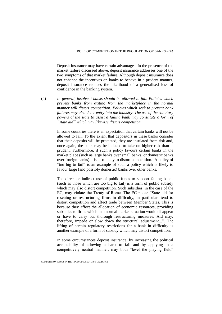Deposit insurance may have certain advantages. In the presence of the market failure discussed above, deposit insurance addresses one of the two symptoms of that market failure. Although deposit insurance does not enhance the incentives on banks to behave in a prudent manner, deposit insurance reduces the likelihood of a generalised loss of confidence in the banking system.

(4) *In general, insolvent banks should be allowed to fail. Policies which prevent banks from exiting from the marketplace in the normal manner will distort competition. Policies which seek to prevent bank failures may also deter entry into the industry. The use of the statutory powers of the state to assist a failing bank may constitute a form of "state aid" which may likewise distort competition.*

> In some countries there is an expectation that certain banks will not be allowed to fail. To the extent that depositors in these banks consider that their deposits will be protected, they are insulated from risk and, once again, the bank may be induced to take on higher risk than is prudent. Furthermore, if such a policy favours certain banks in the market place (such as large banks over small banks, or domestic banks over foreign banks) it is also likely to distort competition. A policy of "too big to fail" is an example of such a policy which is likely to favour large (and possibly domestic) banks over other banks.

> The direct or indirect use of public funds to support failing banks (such as those which are too big to fail) is a form of public subsidy which may also distort competition. Such subsidies, in the case of the EC, may violate the Treaty of Rome. The EC notes: "State aid for rescuing or restructuring firms in difficulty, in particular, tend to distort competition and affect trade between Member States. This is because they affect the allocation of economic resources, providing subsidies to firms which in a normal market situation would disappear or have to carry out thorough restructuring measures. Aid may, therefore, impede or slow down the structural adjustment...". The lifting of certain regulatory restrictions for a bank in difficulty is another example of a form of subsidy which may distort competition.

> In some circumstances deposit insurance, by increasing the political acceptability of allowing a bank to fail and by applying in a competitively neutral manner, may both "level the playing field"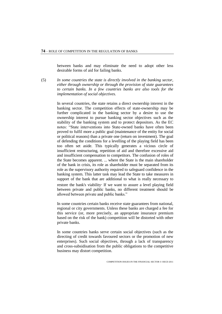between banks and may eliminate the need to adopt other less desirable forms of aid for failing banks.

(5) *In some countries the state is directly involved in the banking sector, either through ownership or through the provision of state guarantees to certain banks. In a few countries banks are also tools for the implementation of social objectives.*

> In several countries, the state retains a direct ownership interest in the banking sector. The competition effects of state-ownership may be further complicated in the banking sector by a desire to use the ownership interest to pursue banking sector objectives such as the stability of the banking system and to protect depositors. As the EC notes: "State interventions into State-owned banks have often been proved to fulfil more a public goal (maintenance of the entity for social or political reasons) than a private one (return on investment). The goal of defending the conditions for a levelling of the playing field has been too often set aside. This typically generates a vicious circle of insufficient restructuring, repetition of aid and therefore excessive aid and insufficient compensation to competitors. The confusion of roles of the State becomes apparent. ... where the State is the main shareholder of the bank in crisis, its role as shareholder must be separated from its role as the supervisory authority required to safeguard confidence in the banking system. This latter task may lead the State to take measures in support of the bank that are additional to what is really necessary to restore the bank's viability. If we want to assure a level playing field between private and public banks, no different treatment should be allowed between private and public banks."

> In some countries certain banks receive state guarantees from national, regional or city governments. Unless these banks are charged a fee for this service (or, more precisely, an appropriate insurance premium based on the risk of the bank) competition will be distorted with other private banks.

> In some countries banks serve certain social objectives (such as the directing of credit towards favoured sectors or the promotion of new enterprises). Such social objectives, through a lack of transparency and cross-subsidisation from the public obligations to the competitive business may distort competition.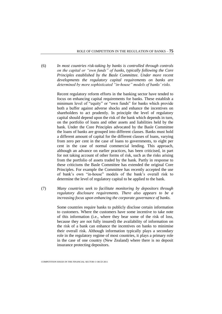(6) *In most countries risk-taking by banks is controlled through controls on the capital or "own funds" of banks, typically following the Core Principles established by the Basle Committee. Under more recent developments the regulatory capital requirements on banks are determined by more sophisticated "in-house" models of banks' risks.*

> Recent regulatory reform efforts in the banking sector have tended to focus on enhancing capital requirements for banks. These establish a minimum level of "equity" or "own funds" for banks which provide both a buffer against adverse shocks and enhance the incentives on shareholders to act prudently. In principle the level of regulatory capital should depend upon the risk of the bank which depends in turn, on the portfolio of loans and other assets and liabilities held by the bank. Under the Core Principles advocated by the Basle Committee the loans of banks are grouped into different classes. Banks must hold a different amount of capital for the different classes of loans, varying from zero per cent in the case of loans to governments, to eight per cent in the case of normal commercial lending. This approach, although an advance on earlier practices, has been criticised, in part for not taking account of other forms of risk, such as the risks arising from the portfolio of assets traded by the bank. Partly in response to these criticisms the Basle Committee has extended the original Core Principles. For example the Committee has recently accepted the use of bank"s own "in-house" models of the bank"s overall risk to determine the level of regulatory capital to be applied to the bank.

(7) *Many countries seek to facilitate monitoring by depositors through regulatory disclosure requirements. There also appears to be a increasing focus upon enhancing the corporate governance of banks.*

> Some countries require banks to publicly disclose certain information to customers. Where the customers have some incentive to take note of this information (i.e., where they bear some of the risk of loss, because they are not fully insured) the availability of information on the risk of a bank can enhance the incentives on banks to minimise their overall risk. Although information typically plays a secondary role in the regulatory regime of most countries, it plays a primary role in the case of one country (New Zealand) where there is no deposit insurance protecting depositors.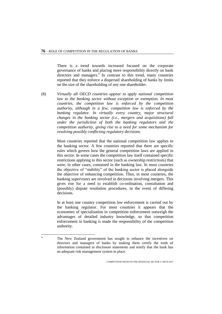There is a trend towards increased focused on the corporate governance of banks and placing more responsibility directly on bank directors and managers.<sup>4</sup> In contrast to this trend, many countries reported that they enforce a dispersed shareholding of banks by limits on the size of the shareholding of any one shareholder.

(8) *Virtually all OECD countries appear to apply national competition*  law to the banking sector without exception or exemption. In most *countries, the competition law is enforced by the competition authority, although in a few, competition law is enforced by the banking regulator. In virtually every country, major structural changes in the banking sector (i.e., mergers and acquisitions) fall under the jurisdiction of both the banking regulators and the competition authority, giving rise to a need for some mechanism for resolving possibly conflicting regulatory decisions.*

> Most countries reported that the national competition law applies to the banking sector. A few countries reported that there are specific rules which govern how the general competition laws are applied in this sector. In some cases the competition law itself contained specific restrictions applying to this sector (such as ownership restrictions) that were, in other cases, contained in the banking law. In most countries the objective of "stability" of the banking sector is placed alongside the objective of enhancing competition. Thus, in most countries, the banking supervisors are involved in decisions involving mergers. This gives rise for a need to establish co-ordination, consultation and (possibly) dispute resolution procedures, in the event of differing decisions.

> In at least one country competition law enforcement is carried out by the banking regulator. For most countries it appears that the economies of specialisation in competition enforcement outweigh the advantages of detailed industry knowledge, so that competition enforcement in banking is made the responsibility of the competition authority.

l

<sup>&</sup>lt;sup>4</sup> The New Zealand government has sought to enhance the incentives on directors and managers of banks by making them certify the truth of information contained in disclosure statements and testify that the bank has an adequate risk management system in place.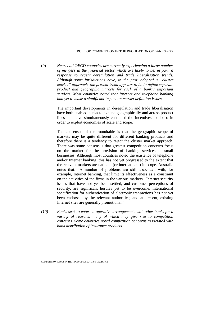(9) *Nearly all OECD countries are currently experiencing a large number of mergers in the financial sector which are likely to be, in part, a response to recent deregulation and trade liberalisation trends. Although some jurisdictions have, in the past, adopted a "cluster market" approach, the present trend appears to be to define separate product and geographic markets for each of a bank's important services. Most countries noted that Internet and telephone banking had yet to make a significant impact on market definition issues.*

> The important developments in deregulation and trade liberalisation have both enabled banks to expand geographically and across product lines and have simultaneously enhanced the incentives to do so in order to exploit economies of scale and scope.

> The consensus of the roundtable is that the geographic scope of markets may be quite different for different banking products and therefore there is a tendency to reject the cluster market approach. There was some consensus that greatest competition concerns focus on the market for the provision of banking services to small businesses. Although most countries noted the existence of telephone and/or Internet banking, this has not yet progressed to the extent that the relevant markets are national (or international) in scope. Australia notes that: "A number of problems are still associated with, for example, Internet banking, that limit its effectiveness as a constraint on the activities of the firms in the various markets. Internet security issues that have not yet been settled, and customer perceptions of security, are significant hurdles yet to be overcome; international specification for authentication of electronic transactions has not yet been endorsed by the relevant authorities; and at present, existing Internet sites are generally promotional."

*(10) Banks seek to enter co-operative arrangements with other banks for a variety of reasons, many of which may give rise to competition concerns. Some countries noted competition concerns associated with bank distribution of insurance products.*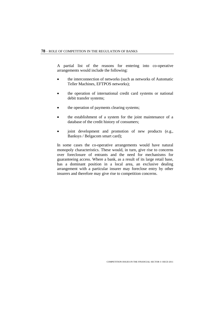A partial list of the reasons for entering into co-operative arrangements would include the following:

- the interconnection of networks (such as networks of Automatic Teller Machines, EFTPOS networks);
- the operation of international credit card systems or national debit transfer systems;
- the operation of payments clearing systems;
- the establishment of a system for the joint maintenance of a database of the credit history of consumers;
- joint development and promotion of new products (e.g., Banksys / Belgacom smart card);

In some cases the co-operative arrangements would have natural monopoly characteristics. These would, in turn, give rise to concerns over foreclosure of entrants and the need for mechanisms for guaranteeing access. Where a bank, as a result of its large retail base, has a dominant position in a local area, an exclusive dealing arrangement with a particular insurer may foreclose entry by other insurers and therefore may give rise to competition concerns.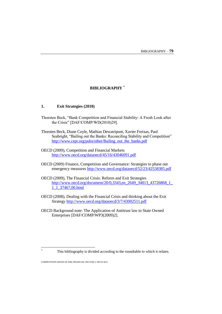# **BIBLIOGRAPHY \***

# **1. Exit Strategies (2010)**

- Thorsten Beck, "Bank Competition and Financial Stability: A Fresh Look after the Crisis" [DAF/COMP/WD(2010)29].
- Thorsten Beck, Diane Coyle, Mathias Dewatripont, Xavier Freixas, Paul Seabright, "Bailing out the Banks: Reconciling Stability and Competition" [http://www.cepr.org/pubs/other/Bailing\\_out\\_the\\_banks.pdf](http://www.cepr.org/pubs/other/Bailing_out_the_banks.pdf)
- OECD (2009), Competition and Financial Markets <http://www.oecd.org/dataoecd/45/16/43046091.pdf>
- OECD (2009) Finance, Competition and Governance: Strategies to phase out emergency measures<http://www.oecd.org/dataoecd/52/23/42538385.pdf>
- OECD (2009), The Financial Crisis: Reform and Exit Strategies [http://www.oecd.org/document/20/0,3343,en\\_2649\\_34813\\_43726868\\_1\\_](http://www.oecd.org/document/20/0,3343,en_2649_34813_43726868_1_1_1_37467,00.html) [1\\_1\\_37467,00.html](http://www.oecd.org/document/20/0,3343,en_2649_34813_43726868_1_1_1_37467,00.html)
- OECD (2008), Dealing with the Financial Crisis and thinking about the Exit Strategy<http://www.oecd.org/dataoecd/3/7/43002511.pdf>
- OECD Background note: The Application of Antitrust law to State Owned Enterprises [DAF/COMP/WP3(2009)2].

 $\overline{a}$ 

This bibliography is divided according to the roundtable to which it relates.

COMPETITION ISSUES IN THE FINANCIAL SECTOR © OECD 2011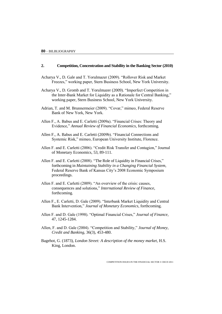# **2. Competition, Concentration and Stability in the Banking Sector (2010)**

- Acharya V., D. Gale and T. Yorulmazer (2009). "Rollover Risk and Market Freezes," working paper, Stern Business School, New York University.
- Acharya V., D. Gromb and T. Yorulmazer (2009). "Imperfect Competition in the Inter-Bank Market for Liquidity as a Rationale for Central Banking," working paper, Stern Business School, New York University.
- Adrian, T. and M. Brunnermeier (2009). "Covar," mimeo, Federal Reserve Bank of New York, New York.
- Allen F., A. Babus and E. Carletti (2009a). "Financial Crises: Theory and Evidence," *Annual Review of Financial Economics*, forthcoming.
- Allen F., A. Babus and E. Carletti (2009b). "Financial Connections and Systemic Risk," mimeo, European University Institute, Florence.
- Allen F. and E. Carletti (2006). "Credit Risk Transfer and Contagion," Journal of Monetary Economics, 53, 89-111.
- Allen F. and E. Carletti (2008). "The Role of Liquidity in Financial Crises," forthcoming in *Maintaining Stability in a Changing Financial System*, Federal Reserve Bank of Kansas City"s 2008 Economic Symposium proceedings.
- Allen F. and E. Carletti (2009). "An overview of the crisis: causes, consequences and solutions," *International Review of Finance,* forthcoming.
- Allen F., E. Carletti, D. Gale (2009). "Interbank Market Liquidity and Central Bank Intervention," *Journal of Monetary Economics*, forthcoming.
- Allen F. and D. Gale (1998). "Optimal Financial Crises," *Journal of Finance*, 47, 1245-1284.
- Allen, F. and D. Gale (2004). "Competition and Stability," *Journal of Money, Credit and Banking*, 36(3), 453-480.
- Bagehot, G. (1873), *London Street: A description of the money market*, H.S. King, London.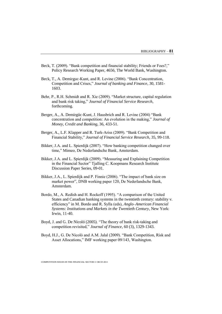- Beck, T. (2009). "Bank competition and financial stability; Friends or Foes?," Policy Research Working Paper, 4656, The World Bank, Washington.
- Beck, T., A. Demirguc-Kunt, and R. Levine (2006). "Bank Concentration, Competition and Crises," *Journal of banking and Finance*, 30, 1581- 1603.
- Behr, P., R.H. Schmidt and R. Xie (2009). "Market structure, capital regulation and bank risk taking," *Journal of Financial Service Research*, forthcoming.
- Berger, A., A. Demirgüc-Kunt, J. Hausbrich and R. Levine (2004) "Bank concentration and competition: An evolution in the making," *Journal of Money, Credit and Banking*, 36, 433-51.
- Berger, A., L.F. Klapper and R. Turk-Ariss (2009). "Bank Competition and Financial Stability," *Journal of Financial Service Research*, 35, 99-118.
- Bikker, J.A. and L. Spierdijk (2007). "How banking competition changed over time," Mimeo, De Nederlandsche Bank, Amsterdam.
- Bikker, J.A. and L. Spierdijk (2009). "Measuring and Explaining Competition in the Financial Sector" Tjalling C. Koopmans Research Institute Discussion Paper Series, 09-01.
- Bikker, J.A., L. Spierdijk and P. Finnie (2006). "The impact of bank size on market power", DNB working paper 120, De Nederlandsche Bank, Amsterdam.
- Bordo, M., A. Redish and H. Rockoff (1995). "A comparison of the United States and Canadian banking systems in the twentieth century: stability v. efficiency" in M. Bordo and R. Sylla (eds), *Anglo–American Financial Systems: Institutions and Markets in the Twentieth Century*, New York: Irwin, 11-40.
- Boyd, J. and G. De Nicoló (2005). "The theory of bank risk-taking and competition revisited," *Journal of Finance*, 60 (3), 1329-1343.
- Boyd, H.J., G. De Nicoló and A.M. Jalal (2009). "Bank Competition, Risk and Asset Allocations," IMF working paper 09/143, Washington.

COMPETITION ISSUES IN THE FINANCIAL SECTOR © OECD 2011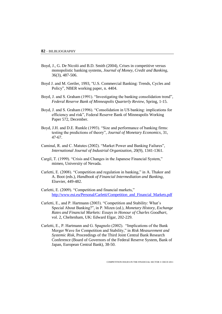- Boyd, J., G. De Nicoló and B.D. Smith (2004), Crises in competitive versus monopolistic banking systems, *Journal of Money, Credit and Banking*, 36(3), 487-506.
- Boyd J. and M. Gertler, 1993, "U.S. Commercial Banking: Trends, Cycles and Policy", NBER working paper, n. 4404.
- Boyd, J. and S. Graham (1991). "Investigating the banking consolidation trend", *Federal Reserve Bank of Minneapolis Quarterly Review*, Spring, 1-15.
- Boyd, J. and S. Graham (1996). "Consolidation in US banking: implications for efficiency and risk", Federal Reserve Bank of Minneapolis Working Paper 572, December.
- Boyd, J.H. and D.E. Runkle (1993). "Size and performance of banking firms: testing the predictions of theory", *Journal of Monetary Economics*, 31, 47-67.
- Caminal, R. and C. Matutes (2002). "Market Power and Banking Failures", *International Journal of Industrial Organization*, 20(9), 1341-1361.
- Cargil, T. (1999). "Crisis and Changes in the Japanese Financial System," mimeo, University of Nevada.
- Carletti, E. (2008). "Competition and regulation in banking," in A. Thakor and A. Boot (eds.), *Handbook of Financial Intermediation and Banking*, Elsevier, 449-482.
- Carletti, E. (2009). "Competition and financial markets," [http://www.eui.eu/Personal/Carletti/Competition\\_and\\_Financial\\_Markets.pdf](http://www.eui.eu/Personal/Carletti/Competition_and_Financial_Markets.pdf)
- Carletti, E., and P. Hartmann (2003). "Competition and Stability: What"s Special About Banking?", in P. Mizen (ed.), *Monetary History, Exchange Rates and Financial Markets: Essays in Honour of Charles Goodhart*, vol. 2, Cheltenham, UK: Edward Elgar, 202-229.
- Carletti, E., P. Hartmann and G. Spagnolo (2002). "Implications of the Bank Merger Wave for Competition and Stability," in *Risk Measurement and Systemic Risk*, Proceedings of the Third Joint Central Bank Research Conference (Board of Governors of the Federal Reserve System, Bank of Japan, European Central Bank), 38-50.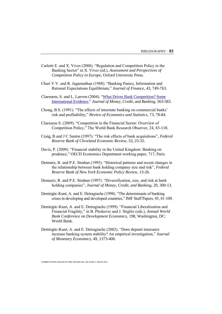- Carletti E. and X. Vives (2008). "Regulation and Competition Policy in the Banking Sector" in X. Vives (ed.), *Assessment and Perspectives of Competition Policy in Europe*, Oxford University Press.
- Chari V.V. and R. Jagannathan (1988). "Banking Panics, Information and Rational Expectations Equilibrium," *Journal of Finance*, 43, 749-763.
- Claessens, S. and L. Laeven (2004). ["What Drives Bank Competition? Some](http://www.luclaeven.com/papers_files/2004%20CL%20Bank%20Competition%20JMCB.pdf)  [International Evidence,](http://www.luclaeven.com/papers_files/2004%20CL%20Bank%20Competition%20JMCB.pdf)" *Journal of Money, Credit, and Banking*, 563-583.
- Chong, B.S. (1991). "The effects of interstate banking on commercial banks" risk and profitability," *Review of Economics and Statistics*, 73, 78-84.
- Claessens S. (2009). "Competition in the Financial Sector: Overview of Competition Policy," The World Bank Research Observer, 24, 83-118.
- Craig, B and J C Santos (1997): "The risk effects of bank acquisitions", *Federal Reserve Bank of Cleveland Economic Review*, 33, 25-35.
- Davis, P. (2009). "Financial stability in the United Kingdom: Banking on prudence," OECD Economics Department working paper, 717, Paris.
- Demsetz, R. and P.E. Strahan (1995). "Historical patterns and recent changes in the relationship between bank holding company size and risk", *Federal Reserve Bank of New York Economic Policy Review*, 13-26.
- Demsetz, R. and P.E. Strahan (1997). "Diversification, size, and risk at bank holding companies", *Journal of Money, Credit, and Banking*, 29, 300-13.
- Demirgüc-Kunt, A. and E. Detragiache (1998). "The determinants of banking crises in developing and developed countries," IMF Staff Papers, 45, 81-109.
- Demirgüc-Kunt, A. and E. Detragiache (1999). "Financial Liberalization and Financial Fragility," in B. Pleskovic and J. Stiglitz (eds.), *Annual World Bank Conference on Development Economics*, 198, Washington, DC: World Bank.
- Demirgüc-Kunt, A. and E. Detragiache (2002). "Does deposit insurance increase banking system stability? An empirical investigation," *Journal of Monetary Economics*, 49, 1373-406.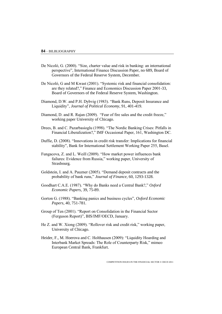- De Nicoló, G. (2000). "Size, charter value and risk in banking: an international perspective", International Finance Discussion Paper, no 689, Board of Governors of the Federal Reserve System, December.
- De Nicoló, G and M Kwast (2001). "Systemic risk and financial consolidation: are they related?," Finance and Economics Discussion Paper 2001-33, Board of Governors of the Federal Reserve System, Washington.
- Diamond, D.W. and P.H. Dybvig (1983). "Bank Runs, Deposit Insurance and Liquidity", *Journal of Political Economy*, 91, 401-419.
- Diamond, D. and R. Rajan (2009). "Fear of fire sales and the credit freeze," working paper University of Chicago.
- Drees, B. and C. Pazarbasioglu (1998). "The Nordic Banking Crises: Pitfalls in Financial Liberalization?," IMF Occasional Paper, 161, Washington DC.
- Duffie, D. (2008). "Innovations in credit risk transfer: Implications for financial stability", Bank for International Settlement Working Paper 255, Basel.
- Fungacova, Z. and L. Weill (2009). "How market power influences bank failures: Evidence from Russia," working paper, University of Strasbourg.
- Goldstein, I. and A. Pauzner (2005). "Demand deposit contracts and the probability of bank runs," *Journal of Finance*, 60, 1293-1328.
- Goodhart C.A.E. (1987). "Why do Banks need a Central Bank?," *Oxford Economic Papers*, 39, 75-89.
- Gorton G. (1988). "Banking panics and business cycles", *Oxford Economic Papers*, 40, 751-781.
- Group of Ten (2001). "Report on Consolidation in the Financial Sector (Ferguson Report)", BIS/IMF/OECD, January.
- He Z. and W. Xiong (2009). "Rollover risk and credit risk," working paper, University of Chicago.
- Heider, F., M. Hoerova and C. Holthausen (2009): "Liquidity Hoarding and Interbank Market Spreads: The Role of Counterparty Risk," mimeo European Central Bank, Frankfurt.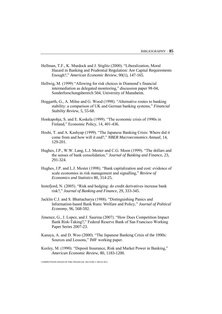- Hellman, T.F., K. Murdock and J. Stiglitz (2000). "Liberalization, Moral Hazard in Banking and Prudential Regulation: Are Capital Requirements Enough?," *American Economic Review*, 90(1), 147-165.
- Hellwig, M. (1999) "Allowing for risk choices in Diamond"s financial intermediation as delegated monitoring," discussion paper 98-04, Sonderforschungsbereich 504, University of Mannheim.
- Hoggarth, G., A. Milne and G. Wood (1998). "Alternative routes to banking stability: a comparison of UK and German banking systems," *Financial Stability Review*, 5, 55-68.
- Honkapohja, S. and E. Koskela (1999). "The economic crisis of 1990s in Finland," Economic Policy, 14, 401-436.
- Hoshi, T. and A. Kashyap (1999). "The Japanese Banking Crisis: Where did it come from and how will it end?," *NBER Macroeconomics Annual*, 14, 129-201.
- Hughes, J.P., W.W. Lang, L.J. Mester and C.G. Moon (1999). "The dollars and the senses of bank consolidation," *Journal of Banking and Finance*, 23, 291-324.
- Hughes, J.P. and L.J. Mester (1998). "Bank capitalization and cost: evidence of scale economies in risk management and signalling," *Review of Economics and Statistics* 80, 314-25.
- Instefjord, N. (2005). "Risk and hedging: do credit derivatives increase bank risk?," *Journal of Banking and Finance*, 29, 333-345.
- Jacklin C.J. and S. Bhattacharya (1988). "Distinguishing Panics and Information-based Bank Runs: Welfare and Policy," *Journal of Political Economy*, 96, 568-592.
- Jimenez, G., J. Lopez, and J. Saurina (2007). "How Does Competition Impact Bank Risk-Taking?," Federal Reserve Bank of San Francisco Working Paper Series 2007-23.
- Kanaya, A. and D. Woo (2000). "The Japanese Banking Crisis of the 1990s: Sources and Lessons," IMF working paper.
- Keeley, M. (1990). "Deposit Insurance, Risk and Market Power in Banking," *American Economic Review*, 80, 1183-1200.

COMPETITION ISSUES IN THE FINANCIAL SECTOR © OECD 2011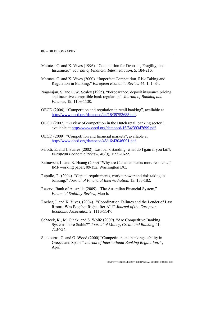- Matutes, C. and X. Vives (1996). ["Competition for Deposits, Fragility, and](http://webprofesores.iese.edu/xvives/Docs/P_English/Competition%20for%20Deposit%20JFI.pdf)  [Insurance,](http://webprofesores.iese.edu/xvives/Docs/P_English/Competition%20for%20Deposit%20JFI.pdf)" *Journal of Financial Intermediation*, 5, 184-216.
- Matutes, C. and X. Vives (2000). "Imperfect Competition, Risk Taking and Regulation in Banking," *European Economic Review* 44. 1, 1–34.
- Nagarajan, S. and C.W. Sealey (1995). "Forbearance, deposit insurance pricing and incentive compatible bank regulation", *Journal of Banking and Finance*, 19, 1109-1130.
- OECD (2006). "Competition and regulation in retail banking", available at [http://www.oecd.org/dataoecd/44/18/39753683.pdf.](http://www.oecd.org/dataoecd/44/18/39753683.pdf)
- OECD (2007). "Review of competition in the Dutch retail banking sector", available at [http://www.oecd.org/dataoecd/16/54/39347699.pdf.](http://www.oecd.org/dataoecd/16/54/39347699.pdf)
- OECD (2009). "Competition and financial markets", available at [http://www.oecd.org/dataoecd/45/16/43046091.pdf.](http://www.oecd.org/dataoecd/45/16/43046091.pdf)
- Perotti, E. and J. Suarez (2002), Last bank standing: what do I gain if you fail?, *European Economic Review*, 46(9), 1599-1622.
- Ratnovski, L. and R. Huang (2009) "Why are Canadian banks more resilient?," IMF working paper, 09/152, Washington DC.
- Repullo, R. (2004). "Capital requirements, market power and risk-taking in banking," *Journal of Financial Intermediation*, 13, 156-182.
- Reserve Bank of Australia (2009). "The Australian Financial System," *Financial Stability Review*, March.
- Rochet, J. and X. Vives, (2004). "Coordination Failures and the Lender of Last Resort: Was Bagehot Right after All?" *Journal of the European Economic Association* 2, 1116-1147.
- Schaeck, K., M. Cihak, and S. Wolfe (2009). "Are Competitive Banking Systems more Stable?" *Journal of Money, Credit and Banking* 41, 713-734.
- Staikouras, C. and G. Wood (2000) "Competition and banking stability in Greece and Spain," *Journal of International Banking Regulation*, 1, April.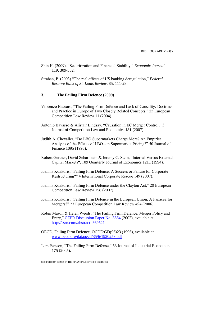- Shin H. (2009). "Securitization and Financial Stability," *Economic Journal*, 119, 309-332.
- Strahan, P. (2003) "The real effects of US banking deregulation," *Federal Reserve Bank of St. Louis Review*, 85, 111-28.

#### **3. The Failing Firm Defence (2009)**

- Vincenzo Baccaro, "The Failing Firm Defence and Lack of Causality: Doctrine and Practice in Europe of Two Closely Related Concepts," 25 European Competition Law Review 11 (2004).
- Antonio Bavasso & Alistair Lindsay, "Causation in EC Merger Control," 3 Journal of Competition Law and Economics 181 (2007).
- Judith A. Chevalier, "Do LBO Supermarkets Charge More? An Empirical Analysis of the Effects of LBOs on Supermarket Pricing?" 50 Journal of Finance 1095 (1995).
- Robert Gertner, David Scharfstein & Jeremy C. Stein, "Internal Versus External Capital Markets", 109 Quarterly Journal of Economics 1211 (1994).
- Ioannis Kokkoris, "Failing Firm Defence: A Success or Failure for Corporate Restructuring?" 4 International Corporate Rescue 149 (2007).
- Ioannis Kokkoris, "Failing Firm Defence under the Clayton Act," 28 European Competition Law Review 158 (2007).
- Ioannis Kokkoris, "Failing Firm Defence in the European Union: A Panacea for Mergers?" 27 European Competition Law Review 494 (2006).
- Robin Mason & Helen Weeds, "The Failing Firm Defence: Merger Policy and Entry," [CEPR Discussion Paper No. 3664](javascript:WinOpen(223793);) (2002), available at <http://ssrn.com/abstract=369521>
- OECD, Failing Firm Defence, OCDE/GD(96)23 (1996), available at [www.oecd.org/dataoecd/35/6/1920253.pdf](http://www.oecd.org/dataoecd/35/6/1920253.pdf)
- Lars Persson, "The Failing Firm Defense," 53 Journal of Industrial Economics 175 (2005).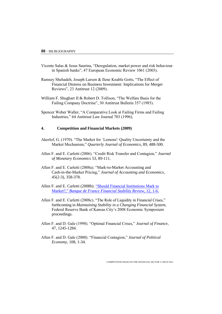- Vicente Salas & Jesus Saurina, "Deregulation, market power and risk behaviour in Spanish banks", 47 European Economic Review 1061 (2003).
- Ramsey Shehadeh, Joseph Larson & Ilene Knable Gotts, "The Effect of Financial Distress on Business Investment: Implications for Merger Reviews", 23 Antitrust 12 (2009).
- William F. Shughart II & Robert D. Tollison, "The Welfare Basis for the Failing Company Doctrine", 30 Antitrust Bulletin 357 (1985).
- Spencer Weber Waller, "A Comparative Look at Failing Firms and Failing Industries," 64 Antitrust Law Journal 703 (1996).

# **4. Competition and Financial Markets (2009)**

- Akerlof, G. (1970). "The Market for `Lemons': Quality Uncertainty and the Market Mechanism," *Quarterly Journal of Economics*, 89, 488-500.
- Allen F. and E. Carletti (2006). "Credit Risk Transfer and Contagion," *Journal of Monetary Economics* 53, 89-111.
- Allen F. and E. Carletti (2008a). "Mark-to-Market Accounting and Cash-in-the-Market Pricing," *Journal of Accounting and Economics*, 45(2-3), 358-378.
- Allen F. and E. Carletti (2008b). ["Should Financial Institutions Mark to](http://finance.wharton.upenn.edu/~allenf/download/Vita/BankofFrance-MTM-24June08-final.pdf)  Market?," *[Banque de France Financial Stability Review](http://finance.wharton.upenn.edu/~allenf/download/Vita/BankofFrance-MTM-24June08-final.pdf)*, 12, 1-6.
- Allen F. and E. Carletti (2008c). "The Role of Liquidity in Financial Crises," forthcoming in *Maintaining Stability in a Changing Financial System*, Federal Reserve Bank of Kansas City"s 2008 Economic Symposium proceedings.
- Allen F. and D. Gale (1998). "Optimal Financial Crises," *Journal of Finance*, 47, 1245-1284.
- Allen F. and D. Gale (2000). "Financial Contagion," *Journal of Political Economy*, 108, 1-34.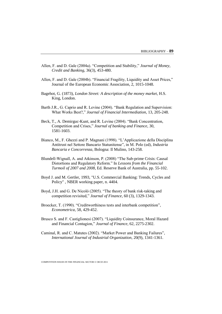- Allen, F. and D. Gale (2004a). "Competition and Stability," *Journal of Money, Credit and Banking*, 36(3), 453-480.
- Allen, F. and D. Gale (2004b). "Financial Fragility, Liquidity and Asset Prices," Journal of the European Economic Association, 2, 1015-1048.
- Bagehot, G. (1873), *London Street: A description of the money market*, H.S. King, London.
- Barth J.R., G. Caprio and R. Levine (2004). "Bank Regulation and Supervision: What Works Best?," *Journal of Financial Intermediation*, 13, 205-248.
- Beck, T., A. Demirguc-Kunt, and R. Levine (2004). "Bank Concentration, Competition and Crises," *Journal of banking and Finance*, 30, 1581-1603.
- Bianco, M., F. Ghezzi and P. Magnani (1998). "L"Applicazione della Disciplina Antitrust nel Settore Bancario Statunitense", in M. Polo (ed), *Industria Bancaria e Concorrenza,* Bologna: Il Mulino, 143-258.
- Blundell-Wignall, A. and Atkinson, P. (2008) "The Sub-prime Crisis: Causal Distortions and Regulatory Reform." In *Lessons from the Financial Turmoil of 2007 and 2008*, Ed. Reserve Bank of Australia, pp. 55-102.
- Boyd J. and M. Gertler, 1993, "U.S. Commercial Banking: Trends, Cycles and Policy" , NBER working paper, n. 4404.
- Boyd, J.H. and G. De Nicoló (2005). "The theory of bank risk-taking and competition revisited," *Journal of Finance*, 60 (3), 1329-1343.
- Broecker, T. (1990). "Creditworthiness tests and interbank competition", *Econometrica*, 58, 429-452.
- Brusco S. and F. Castiglionesi (2007). "Liquidity Coinsurance, Moral Hazard and Financial Contagion," *Journal of Finance*, 62, 2275-2302.
- Caminal, R. and C. Matutes (2002). "Market Power and Banking Failures", *International Journal of Industrial Organization*, 20(9), 1341-1361.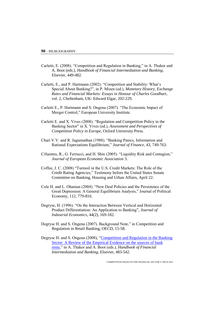- Carletti, E. (2008). "Competition and Regulation in Banking," in A. Thakor and A. Boot (eds.), *Handbook of Financial Intermediation and Banking*, Elsevier, 449-482.
- Carletti, E., and P. Hartmann (2002). "Competition and Stability: What"s Special About Banking?", in P. Mizen (ed.), *Monetary History, Exchange Rates and Financial Markets: Essays in Honour of Charles Goodhart*, vol. 2, Cheltenham, UK: Edward Elgar, 202-229.
- Carletti E., P. Hartmann and S. Ongena (2007). "The Economic Impact of Merger Control," European University Institute.
- Carletti E. and X. Vives (2008). "Regulation and Competition Policy in the Banking Sector" in X. Vives (ed.), *Assessment and Perspectives of Competition Policy in Europe*, Oxford University Press.
- Chari V.V. and R. Jagannathan (1988). "Banking Panics, Information and Rational Expectations Equilibrium," *Journal of Finance*, 43, 749-763.
- Cifuentes, R., G. Ferrucci, and H. Shin (2005). "Liquidity Risk and Contagion," *Journal of European Economic Association* 3.
- Coffee, J. C. (2008) "Turmoil in the U.S. Credit Markets: The Role of the Credit Rating Agencies," Testimony before the United States Senate Committee on Banking, Housing and Urban Affairs, April 22.
- Cole H. and L. Ohanian (2004). "New Deal Policies and the Persistence of the Great Depression: A General Equilibrium Analysis," Journal of Political Economy, 112, 779-816.
- Degryse, H. (1996). "On the Interaction Between Vertical and Horizontal Product Differentiation: An Application to Banking", *Journal of Industrial Economics*, 44(2), 169-182.
- Degryse H. and S. Ongena (2007). Background Note," in Competition and Regulation in Retail Banking, OECD, 15-58.
- Degryse H. and S. Ongena (2008), ["Competition and Regulation in the Banking](http://center.uvt.nl/staff/ongena/preprints/do.pdf)  [Sector: A Review of the Empirical Evidence on the sources of bank](http://center.uvt.nl/staff/ongena/preprints/do.pdf)  [rents,](http://center.uvt.nl/staff/ongena/preprints/do.pdf)" in A. Thakor and A. Boot (eds.), *Handbook of Financial Intermediation and Banking*, Elsevier, 483-542.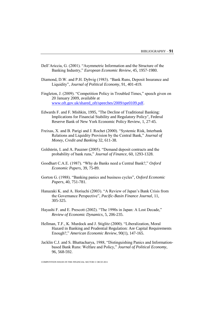- Dell"Ariccia, G. (2001). "Asymmetric Information and the Structure of the Banking Industry," *European Economic Review*, 45, 1957-1980.
- Diamond, D.W. and P.H. Dybvig (1983). "Bank Runs, Deposit Insurance and Liquidity", *Journal of Political Economy*, 91, 401-419.
- Fingleton, J. (2009). "Competition Policy in Troubled Times," speech given on 20 January 2009, available at [www.oft.gov.uk/shared\\_oft/speeches/2009/spe0109.pdf.](http://www.oft.gov.uk/shared_oft/speeches/2009/spe0109.pdf)
- Edwards F. and F. Mishkin, 1995, "The Decline of Traditional Banking: Implications for Financial Stability and Regulatory Policy", Federal Reserve Bank of New York Economic Policy Review, 1, 27-45.
- Freixas, X. and B. Parigi and J. Rochet (2000). "Systemic Risk, Interbank Relations and Liquidity Provision by the Central Bank," *Journal of Money, Credit and Banking* 32, 611-38.
- Goldstein, I. and A. Pauzner (2005). "Demand deposit contracts and the probability of bank runs," *Journal of Finance*, 60, 1293-1328.
- Goodhart C.A.E. (1987). "Why do Banks need a Central Bank?," *Oxford Economic Papers*, 39, 75-89.
- Gorton G. (1988). "Banking panics and business cycles", *Oxford Economic Papers*, 40, 751-781.
- Hanazaki K. and A. Horiuchi (2003). "A Review of Japan"s Bank Crisis from the Governance Perspective", *Pacific-Basin Finance Journal*, 11, 305-325.
- Hayashi F. and E. Prescott (2002). "The 1990s in Japan: A Lost Decade," *Review of Economic Dynamics*, 5, 206-235.
- Hellman, T.F., K. Murdock and J. Stiglitz (2000). "Liberalization, Moral Hazard in Banking and Prudential Regulation: Are Capital Requirements Enough?," *American Economic Review*, 90(1), 147-165.
- Jacklin C.J. and S. Bhattacharya, 1988, "Distinguishing Panics and Informationbased Bank Runs: Welfare and Policy," *Journal of Political Economy*, 96, 568-592.

COMPETITION ISSUES IN THE FINANCIAL SECTOR © OECD 2011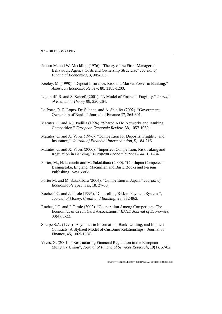- Jensen M. and W. Meckling (1976). "Theory of the Firm: Managerial Behaviour, Agency Costs and Ownership Structure," *Journal of Financial Economics*, 3, 305-360.
- Keeley, M. (1990). "Deposit Insurance, Risk and Market Power in Banking," *American Economic Review*, 80, 1183-1200.
- Lagunoff, R. and S. Schreft (2001). "A Model of Financial Fragility," *Journal of Economic Theory* 99, 220-264.
- La Porta, R. F. Lopez-De-Silanez, and A. Shleifer (2002). "Government Ownership of Banks," Journal of Finance 57, 265-301.
- Matutes, C. and A.J. Padilla (1994). "Shared ATM Networks and Banking Competition," *European Economic Review*, 38, 1057-1069.
- Matutes, C. and X. Vives (1996). ["Competition for Deposits, Fragility, and](http://webprofesores.iese.edu/xvives/Docs/P_English/Competition%20for%20Deposit%20JFI.pdf)  [Insurance,](http://webprofesores.iese.edu/xvives/Docs/P_English/Competition%20for%20Deposit%20JFI.pdf)" *Journal of Financial Intermediation*, 5, 184-216.
- Matutes, C. and X. Vives (2000). "Imperfect Competition, Risk Taking and Regulation in Banking," *European Economic Review* 44. 1, 1–34.
- Porter, M., H.Takeuchi and M. Sakakibara (2000). "Can Japan Compete?," Basingstoke, England: Macmillan and Basic Books and Perseus Publishing, New York.
- Porter M. and M. Sakakibara (2004). "Competition in Japan," *Journal of Economic Perspectives*, 18, 27-50.
- Rochet J.C. and J. Tirole (1996), "Controlling Risk in Payment Systems", *Journal of Money, Credit and Banking*, 28, 832-862.
- Rochet, J.C. and J. Tirole (2002). "Cooperation Among Competitors: The Economics of Credit Card Associations," *RAND Journal of Economics*, 33(4), 1-22.
- Sharpe S.A. (1990) "Asymmetric Information, Bank Lending, and Implicit Contracts: A Stylized Model of Customer Relationships," Journal of Finance, 45, 1069-1087.
- Vives, X. (2001b. "Restructuring Financial Regulation in the European Monetary Union", *Journal of Financial Services Research*, 19(1), 57-82.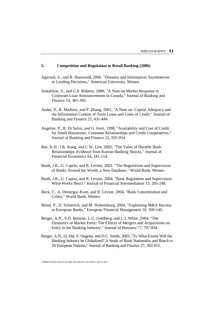#### **5. Competition and Regulation in Retail Banking (2006)**

- Agarwal, S., and R. Hauswald, 2006. "Distance and Information Asymmetries in Lending Decisions," American University, Mimeo.
- Aintablian, S., and G.S. Roberts, 2000, "A Note on Market Response to Corporate Loan Announcements in Canada," Journal of Banking and Finance 24, 381-393.
- Andre, P., R. Mathieu, and P. Zhang, 2001, "A Note on: Capital Adequacy and the Information Content of Term Loans and Lines of Credit," Journal of Banking and Finance 25, 431-444.
- Angelini, P., R. Di Salvo, and G. Ferri, 1998, "Availability and Cost of Credit for Small Businesses: Customer Relationships and Credit Cooperatives," Journal of Banking and Finance 22, 925-954.
- Bae, K.H., J.K. Kang, and C.W. Lim, 2002, "The Value of Durable Bank Relationships: Evidence from Korean Banking Shocks," Journal of Financial Economics 64, 181-214.
- Barth, J.R., G. Caprio, and R. Levine, 2001. "The Regulations and Supervision of Banks Around the World: a New Database," World Bank, Mimeo.
- Barth, J.R., G. Caprio, and R. Levine, 2004, "Bank Regulation and Supervision: What Works Best?," Journal of Financial Intermediation 13, 205-248.
- Beck, T., A. Demirguc-Kunt, and R. Levine, 2004. "Bank Concentration and Crises," World Bank, Mimeo.
- Beitel, P., D. Schiereck, and M. Wahrenburg, 2004, "Explaining M&A Success in European Banks," European Financial Management 10, 109-140.
- Berger, A.N., S.D. Bonime, L.G. Goldberg, and L.J. White, 2004, "The Dynamics of Market Entry: The Effects of Mergers and Acquisitions on Entry in the Banking Industry," Journal of Business 77, 797-834.
- Berger, A.N., Q. Dai, S. Ongena, and D.C. Smith, 2003, "To What Extent Will the Banking Industry be Globalized? A Study of Bank Nationality and Reach in 20 European Nations," Journal of Banking and Finance 27, 383-415.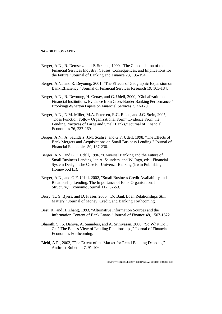- Berger, A.N., R. Demsetz, and P. Strahan, 1999, "The Consolidation of the Financial Services Industry: Causes, Consequences, and Implications for the Future," Journal of Banking and Finance 23, 135-194.
- Berger, A.N., and R. Deyoung, 2001, "The Effects of Geographic Expansion on Bank Efficiency," Journal of Financial Services Research 19, 163-184.
- Berger, A.N., R. Deyoung, H. Genay, and G. Udell, 2000, "Globalization of Financial Institutions: Evidence from Cross-Border Banking Performance," Brookings-Wharton Papers on Financial Services 3, 23-120.
- Berger, A.N., N.M. Miller, M.A. Petersen, R.G. Rajan, and J.C. Stein, 2005, "Does Function Follow Organizational Form? Evidence From the Lending Practices of Large and Small Banks," Journal of Financial Economics 76, 237-269.
- Berger, A.N., A. Saunders, J.M. Scalise, and G.F. Udell, 1998, "The Effects of Bank Mergers and Acquisistions on Small Business Lending," Journal of Financial Economics 50, 187-230.
- Berger, A.N., and G.F. Udell, 1996, "Universal Banking and the Future of Small Business Lending," in A. Saunders, and W. Ingo, eds.: Financial System Design: The Case for Universal Banking (Irwin Publishing, Homewood IL).
- Berger, A.N., and G.F. Udell, 2002, "Small Business Credit Availability and Relationship Lending: The Importance of Bank Organisational Structure," Economic Journal 112, 32-53.
- Berry, T., S. Byers, and D. Fraser, 2006, "Do Bank Loan Relationships Still Matter?," Journal of Money, Credit, and Banking Forthcoming.
- Best, R., and H. Zhang, 1993, "Alternative Information Sources and the Information Content of Bank Loans," Journal of Finance 48, 1507-1522.
- Bharath, S., S. Dahiya, A. Saunders, and A. Srinivasan, 2006, "So What Do I Get? The Bank's View of Lending Relationships," Journal of Financial Economics Forthcoming.
- Biehl, A.R., 2002, "The Extent of the Market for Retail Banking Deposits," Antitrust Bulletin 47, 91-106.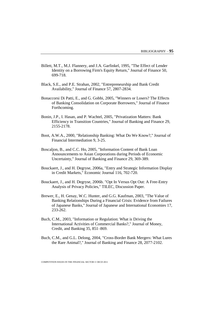- Billett, M.T., M.J. Flannery, and J.A. Garfinkel, 1995, "The Effect of Lender Identity on a Borrowing Firm's Equity Return," Journal of Finance 50, 699-718.
- Black, S.E., and P.E. Strahan, 2002, "Entrepreneurship and Bank Credit Availability," Journal of Finance 57, 2807-2834.
- Bonaccorsi Di Patti, E., and G. Gobbi, 2005, "Winners or Losers? The Effects of Banking Consolidation on Corporate Borrowers," Journal of Finance Forthcoming.
- Bonin, J.P., I. Hasan, and P. Wachtel, 2005, "Privatization Matters: Bank Efficiency in Transition Countries," Journal of Banking and Finance 29, 2155-2178.
- Boot, A.W.A., 2000, "Relationship Banking: What Do We Know?," Journal of Financial Intermediation 9, 3-25.
- Boscalion, B., and C.C. Ho, 2005, "Information Content of Bank Loan Announcements to Asian Corporations during Periods of Economic Uncertainty," Journal of Banking and Finance 29, 369-389.
- Bouckaert, J., and H. Degryse, 2006a, "Entry and Strategic Information Display in Credit Markets," Economic Journal 116, 702-720.
- Bouckaert, J., and H. Degryse, 2006b. "Opt In Versus Opt Out: A Free-Entry Analysis of Privacy Policies," TILEC, Discussion Paper.
- Brewer, E., H. Genay, W.C. Hunter, and G.G. Kaufman, 2003, "The Value of Banking Relationships During a Financial Crisis: Evidence from Failures of Japanese Banks," Journal of Japanese and International Economies 17, 233-262.
- Buch, C.M., 2003, "Information or Regulation: What is Driving the International Activities of Commercial Banks?," Journal of Money, Credit, and Banking 35, 851–869.
- Buch, C.M., and G.L. Delong, 2004, "Cross-Border Bank Mergers: What Lures the Rare Animal?," Journal of Banking and Finance 28, 2077-2102.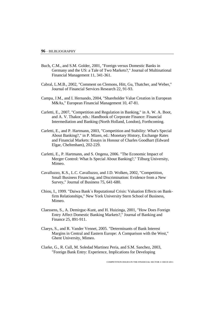- Buch, C.M., and S.M. Golder, 2001, "Foreign versus Domestic Banks in Germany and the US: a Tale of Two Markets?," Journal of Multinational Financial Management 11, 341-361.
- Cabral, L.M.B., 2002, "Comment on Clemons, Hitt, Gu, Thatcher, and Weber," Journal of Financial Services Research 22, 91-93.
- Campa, J.M., and I. Hernando, 2004, "Shareholder Value Creation in European M&As," European Financial Management 10, 47-81.
- Carletti, E., 2007, "Competition and Regulation in Banking," in A. W. A. Boot, and A. V. Thakor, eds.: Handbook of Corporate Finance: Financial Intermediation and Banking (North Holland, London), Forthcoming.
- Carletti, E., and P. Hartmann, 2003, "Competition and Stability: What's Special About Banking?," in P. Mizen, ed.: Monetary History, Exchange Rates and Financial Markets: Essays in Honour of Charles Goodhart (Edward Elgar, Cheltenham), 202-229.
- Carletti, E., P. Hartmann, and S. Ongena, 2006. "The Economic Impact of Merger Control: What Is Special About Banking?," Tilburg University, Mimeo.
- Cavalluzzo, K.S., L.C. Cavalluzzo, and J.D. Wolken, 2002, "Competition, Small Business Financing, and Discrimination: Evidence from a New Survey," Journal of Business 75, 641-680.
- Chiou, I., 1999. "Daiwa Bank´s Reputational Crisis: Valuation Effects on Bankfirm Relationships," New York University Stern School of Business, Mimeo.
- Claessens, S., A. Demirguc-Kunt, and H. Huizinga, 2001, "How Does Foreign Entry Affect Domestic Banking Markets?," Journal of Banking and Finance 25, 891-911.
- Claeys, S., and R. Vander Vennet, 2005. "Determinants of Bank Interest Margins in Central and Eastern Europe: A Comparison with the West," Ghent University, Mimeo.
- Clarke, G., R. Cull, M. Soledad Martinez Peria, and S.M. Sanchez, 2003, "Foreign Bank Entry: Experience, Implications for Developing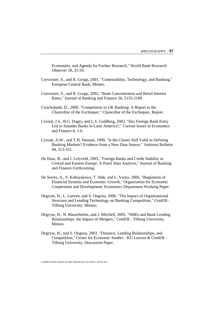Economies, and Agenda for Further Research," World Bank Research Observer 18, 25-59.

- Corvoisier, S., and R. Gropp, 2001. "Contestability, Technology, and Banking," European Central Bank, Mimeo.
- Corvoisier, S., and R. Gropp, 2002, "Bank Concentration and Retail Interest Rates," Journal of Banking and Finance 26, 2155-2189.
- Cruickshank, D., 2000. "Competition in UK Banking: A Report to the Chancellor of the Exchequer," Chancellor of the Exchequer, Report.
- Crystal, J.S., B.G. Dages, and L.S. Goldberg, 2002, "Has Foreign Bank Entry Led to Sounder Banks in Latin America?," Current Issues in Economics and Finance 8, 1-6.
- Cyrnak, A.W., and T.H. Hannan, 1999, "Is the Cluster Still Valid in Defining Banking Markets? Evidence from a New Data Source," Antitrust Bulletin 44, 313-331.
- De Haas, R., and I. Lelyveld, 2005, "Foreign Banks and Credit Stability in Central and Eastern Europe. A Panel Data Analysis," Journal of Banking and Finance Forthcoming.
- De Serres, A., S. Kobayakawa, T. Sløk, and L. Vartia, 2006. "Regulation of Financial Systems and Economic Growth," Organisation for Economic Cooperation and Development, Economics Department Working Paper.
- Degryse, H., L. Laeven, and S. Ongena, 2006. "The Impact of Organizational Structure and Lending Technology on Banking Competition," CentER-Tilburg University, Mimeo.
- Degryse, H., N. Masschelein, and J. Mitchell, 2005. "SMEs and Bank Lending Relationships: the Impact of Mergers," CentER - Tilburg University, Mimeo.
- Degryse, H., and S. Ongena, 2003. "Distance, Lending Relationships, and Competition," Center for Economic Studies - KU Leuven & CentER - Tilburg University, Discussion Paper.

COMPETITION ISSUES IN THE FINANCIAL SECTOR © OECD 2011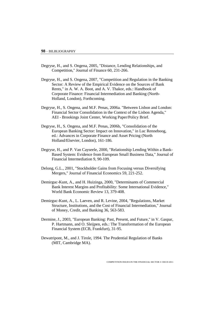- Degryse, H., and S. Ongena, 2005, "Distance, Lending Relationships, and Competition," Journal of Finance 60, 231-266.
- Degryse, H., and S. Ongena, 2007, "Competition and Regulation in the Banking Sector: A Review of the Empirical Evidence on the Sources of Bank Rents," in A. W. A. Boot, and A. V. Thakor, eds.: Handbook of Corporate Finance: Financial Intermediation and Banking (North-Holland, London), Forthcoming.
- Degryse, H., S. Ongena, and M.F. Penas, 2006a. "Between Lisbon and London: Financial Sector Consolidation in the Context of the Lisbon Agenda," AEI - Brookings Joint Center, Working Paper/Policy Brief.
- Degryse, H., S. Ongena, and M.F. Penas, 2006b, "Consolidation of the European Banking Sector: Impact on Innovation," in Luc Renneboog, ed.: Advances in Corporate Finance and Asset Pricing (North Holland/Elsevier, London), 161-186.
- Degryse, H., and P. Van Cayseele, 2000, "Relationship Lending Within a Bank-Based System: Evidence from European Small Business Data," Journal of Financial Intermediation 9, 90-109.
- Delong, G.L., 2001, "Stockholder Gains from Focusing versus Diversifying Mergers," Journal of Financial Economics 59, 221-252.
- Demirguc-Kunt, A., and H. Huizinga, 2000, "Determinants of Commercial Bank Interest Margins and Profitability: Some International Evidence," World Bank Economic Review 13, 379-408.
- Demirguc-Kunt, A., L. Laeven, and R. Levine, 2004, "Regulations, Market Structure, Institutions, and the Cost of Financial Intermediation," Journal of Money, Credit, and Banking 36, 563-583.
- Dermine, J., 2003, "European Banking: Past, Present, and Future," in V. Gaspar, P. Hartmann, and O. Sleijpen, eds.: The Transformation of the European Financial System (ECB, Frankfurt), 31-95.
- Dewatripont, M., and J. Tirole, 1994. The Prudential Regulation of Banks (MIT, Cambridge MA).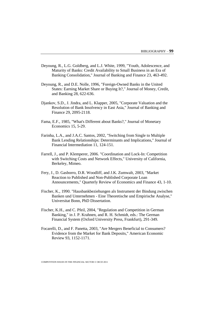- Deyoung, R., L.G. Goldberg, and L.J. White, 1999, "Youth, Adolescence, and Maturity of Banks: Credit Availability to Small Business in an Era of Banking Consolidation," Journal of Banking and Finance 23, 463-492.
- Deyoung, R., and D.E. Nolle, 1996, "Foreign-Owned Banks in the United States: Earning Market Share or Buying It?," Journal of Money, Credit, and Banking 28, 622-636.
- Djankov, S.D., J. Jindra, and L. Klapper, 2005, "Corporate Valuation and the Resolution of Bank Insolvency in East Asia," Journal of Banking and Finance 29, 2095-2118.
- Fama, E.F., 1985, "What's Different about Banks?," Journal of Monetary Economics 15, 5-29.
- Farinha, L.A., and J.A.C. Santos, 2002, "Switching from Single to Multiple Bank Lending Relationships: Determinants and Implications," Journal of Financial Intermediation 11, 124-151.
- Farrell, J., and P. Klemperer, 2006. "Coordination and Lock-In: Competition with Switching Costs and Network Effects," University of California, Berkeley, Mimeo.
- Fery, J., D. Gasborro, D.R. Woodliff, and J.K. Zumwalt, 2003, "Market Reaction to Published and Non-Published Corporate Loan Announcements," Quarterly Review of Economics and Finance 43, 1-10.
- Fischer, K., 1990. "Hausbankbeziehungen als Instrument der Bindung zwischen Banken und Unternehmen - Eine Theoretische und Empirische Analyse," Universitat Bonn, PhD Dissertation.
- Fischer, K.H., and C. Pfeil, 2004, "Regulation and Competition in German Banking," in J. P. Krahnen, and R. H. Schmidt, eds.: The German Financial System (Oxford University Press, Frankfurt), 291-349.
- Focarelli, D., and F. Panetta, 2003, "Are Mergers Beneficial to Consumers? Evidence from the Market for Bank Deposits," American Economic Review 93, 1152-1171.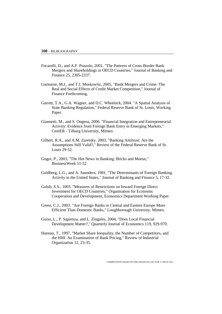- Focarelli, D., and A.F. Pozzolo, 2001, "The Patterns of Cross-Border Bank Mergers and Shareholdings in OECD Countries," Journal of Banking and Finance 25, 2305-2337.
- Garmaise, M.J., and T.J. Moskowitz, 2005, "Bank Mergers and Crime: The Real and Social Effects of Credit Market Competition," Journal of Finance Forthcoming.
- Garrett, T.A., G.A. Wagner, and D.C. Wheelock, 2004. "A Spatial Analysis of State Banking Regulation," Federal Reserve Bank of St. Louis, Working Paper.
- Giannetti, M., and S. Ongena, 2006. "Financial Integration and Entrepreneurial Activity: Evidence from Foreign Bank Entry in Emerging Markets," CentER - Tilburg University, Mimeo.
- Gilbert, R.A., and A.M. Zaretsky, 2003, "Banking Antitrust: Are the Assumptions Still Valid?," Review of the Federal Reserve Bank of St. Louis 29-52.
- Gogoi, P., 2003, "The Hot News in Banking: Bricks and Mortar," BusinessWeek 51-52.
- Goldberg, L.G., and A. Saunders, 1981, "The Determinants of Foreign Banking Activity in the United States," Journal of Banking and Finance 5, 17-32.
- Golub, S.S., 1003. "Measures of Restrictions on Inward Foreign Direct Investment for OECD Countries," Organisation for Economic Cooperation and Development, Economics Department Working Paper.
- Green, C.J., 2003. "Are Foreign Banks in Central and Eastern Europe More Efficient Than Domestic Banks," Loughborough University, Mimeo.
- Guiso, L., P. Sapienza, and L. Zingales, 2004, "Does Local Financial Development Matter?," Quarterly Journal of Economics 119, 929-970.
- Hannan, T., 1997, "Market Share Inequality, the Number of Competitors, and the HHI: An Examination of Bank Pricing," Review of Industrial Organization 12, 23-35.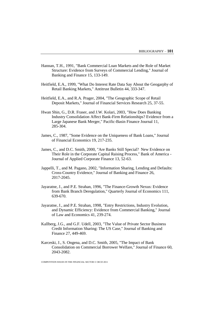- Hannan, T.H., 1991, "Bank Commercial Loan Markets and the Role of Market Structure: Evidence from Surveys of Commercial Lending," Journal of Banking and Finance 15, 133-149.
- Heitfield, E.A., 1999, "What Do Interest Rate Data Say About the Geogarphy of Retail Banking Markets," Antitrust Bulletin 44, 333-347.
- Heitfield, E.A., and R.A. Prager, 2004, "The Geographic Scope of Retail Deposit Markets," Journal of Financial Services Research 25, 37-55.
- Hwan Shin, G., D.R. Fraser, and J.W. Kolari, 2003, "How Does Banking Industry Consolidation Affect Bank-Firm Relationships? Evidence from a Large Japanese Bank Merger," Pacific-Basin Finance Journal 11, 285-304.
- James, C., 1987, "Some Evidence on the Uniqueness of Bank Loans," Journal of Financial Economics 19, 217-235.
- James, C., and D.C. Smith, 2000, "Are Banks Still Special? New Evidence on Their Role in the Corporate Capital Raising Process," Bank of America - Journal of Applied Corporate Finance 13, 52-63.
- Jappelli, T., and M. Pagano, 2002, "Information Sharing, Lending and Defaults: Cross-Country Evidence," Journal of Banking and Finance 26, 2017-2045.
- Jayaratne, J., and P.E. Strahan, 1996, "The Finance-Growth Nexus: Evidence from Bank Branch Deregulation," Quarterly Journal of Economics 111, 639-670.
- Jayaratne, J., and P.E. Strahan, 1998, "Entry Restrictions, Industry Evolution, and Dynamic Efficiency: Evidence from Commercial Banking," Journal of Law and Economics 41, 239-274.
- Kallberg, J.G., and G.F. Udell, 2003, "The Value of Private Sector Business Credit Information Sharing: The US Case," Journal of Banking and Finance 27, 449-469.
- Karceski, J., S. Ongena, and D.C. Smith, 2005, "The Impact of Bank Consolidation on Commercial Borrower Welfare," Journal of Finance 60, 2043-2082.

COMPETITION ISSUES IN THE FINANCIAL SECTOR © OECD 2011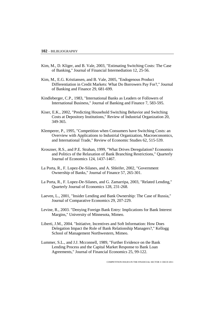- Kim, M., D. Kliger, and B. Vale, 2003, "Estimating Switching Costs: The Case of Banking," Journal of Financial Intermediation 12, 25-56.
- Kim, M., E.G. Kristiansen, and B. Vale, 2005, "Endogenous Product Differentiation in Credit Markets: What Do Borrowers Pay For?," Journal of Banking and Finance 29, 681-699.
- Kindleberger, C.P., 1983, "International Banks as Leaders or Followers of International Business," Journal of Banking and Finance 7, 583-595.
- Kiser, E.K., 2002, "Predicting Household Switching Behavior and Switching Costs at Depository Institutions," Review of Industrial Organization 20, 349-365.
- Klemperer, P., 1995, "Competition when Consumers have Switching Costs: an Overview with Applications to Industrial Organization, Macroeconomics, and International Trade," Review of Economic Studies 62, 515-539.
- Kroszner, R.S., and P.E. Strahan, 1999, "What Drives Deregulation? Economics and Politics of the Relaxation of Bank Branching Restrictions," Quarterly Journal of Economics 124, 1437-1467.
- La Porta, R., F. Lopez-De-Silanes, and A. Shleifer, 2002, "Government Ownership of Banks," Journal of Finance 57, 265-301.
- La Porta, R., F. Lopez-De-Silanes, and G. Zamarripa, 2003, "Related Lending," Quarterly Journal of Economics 128, 231-268.
- Laeven, L., 2001, "Insider Lending and Bank Ownership: The Case of Russia," Journal of Comparative Economics 29, 207-229.
- Levine, R., 2003. "Denying Foreign Bank Entry: Implications for Bank Interest Margins," University of Minnesota, Mimeo.
- Liberti, J.M., 2004. "Initiative, Incentives and Soft Information: How Does Delegation Impact the Role of Bank Relationship Managers?," Kellogg School of Management Northwestern, Mimeo.
- Lummer, S.L., and J.J. Mcconnell, 1989, "Further Evidence on the Bank Lending Process and the Capital Market Response to Bank Loan Agreements," Journal of Financial Economics 25, 99-122.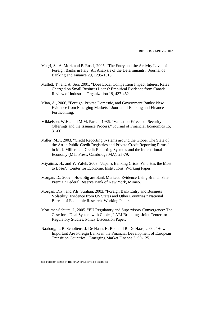- Magri, S., A. Mori, and P. Rossi, 2005, "The Entry and the Activity Level of Foreign Banks in Italy: An Analysis of the Determinants," Journal of Banking and Finance 29, 1295-1310.
- Mallett, T., and A. Sen, 2001, "Does Local Competition Impact Interest Rates Charged on Small Business Loans? Empirical Evidence from Canada," Review of Industrial Organization 19, 437-452.
- Mian, A., 2006, "Foreign, Private Domestic, and Government Banks: New Evidence from Emerging Markets," Journal of Banking and Finance Forthcoming.
- Mikkelson, W.H., and M.M. Partch, 1986, "Valuation Effects of Security Offerings and the Issuance Process," Journal of Financial Economics 15, 31-60.
- Miller, M.J., 2003, "Credit Reporting Systems around the Globe: The State of the Art in Public Credit Registries and Private Credit Reporting Firms," in M. J. Miller, ed.: Credit Reporting Systems and the International Economy (MIT Press, Cambridge MA), 25-79.
- Miyajima, H., and Y. Yafeh, 2003. "Japan's Banking Crisis: Who Has the Most to Lose?," Center for Economic Institutions, Working Paper.
- Morgan, D., 2002. "How Big are Bank Markets: Evidence Using Branch Sale Premia," Federal Reserve Bank of New York, Mimeo.
- Morgan, D.P., and P.E. Strahan, 2003. "Foreign Bank Entry and Business Volatility: Evidence from US States and Other Countries," National Bureau of Economic Research, Working Paper.
- Mortimer-Schutts, I., 2005. "EU Regulatory and Supervisory Convergence: The Case for a Dual System with Choice," AEI-Brookings Joint Center for Regulatory Studies, Policy Discussion Paper.
- Naaborg, I., B. Scholtens, J. De Haan, H. Bol, and R. De Haas, 2004, "How Important Are Foreign Banks in the Financial Development of European Transition Countries," Emerging Market Finance 3, 99-125.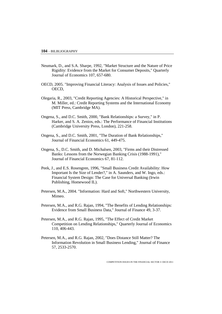- Neumark, D., and S.A. Sharpe, 1992, "Market Structure and the Nature of Price Rigidity: Evidence from the Market for Consumer Deposits," Quarterly Journal of Economics 107, 657-680.
- OECD, 2005. "Improving Financial Literacy: Analysis of Issues and Policies," OECD,
- Olegaria, R., 2003, "Credit Reporting Agencies: A Historical Perspective," in M. Miller, ed.: Credit Reporting Systems and the International Economy (MIT Press, Cambridge MA).
- Ongena, S., and D.C. Smith, 2000, "Bank Relationships: a Survey," in P. Harker, and S. A. Zenios, eds.: The Performance of Financial Institutions (Cambridge University Press, London), 221-258.
- Ongena, S., and D.C. Smith, 2001, "The Duration of Bank Relationships," Journal of Financial Economics 61, 449-475.
- Ongena, S., D.C. Smith, and D. Michalsen, 2003, "Firms and their Distressed Banks: Lessons from the Norwegian Banking Crisis (1988-1991)," Journal of Financial Economics 67, 81-112.
- Peek, J., and E.S. Rosengren, 1996, "Small Business Credit Availability: How Important Is the Size of Lender?," in A. Saunders, and W. Ingo, eds.: Financial System Design: The Case for Universal Banking (Irwin Publishing, Homewood IL).
- Petersen, M.A., 2004. "Information: Hard and Soft," Northwestern University, Mimeo.
- Petersen, M.A., and R.G. Rajan, 1994, "The Benefits of Lending Relationships: Evidence from Small Business Data," Journal of Finance 49, 3-37.
- Petersen, M.A., and R.G. Rajan, 1995, "The Effect of Credit Market Competition on Lending Relationships," Quarterly Journal of Economics 110, 406-443.
- Petersen, M.A., and R.G. Rajan, 2002, "Does Distance Still Matter? The Information Revolution in Small Business Lending," Journal of Finance 57, 2533-2570.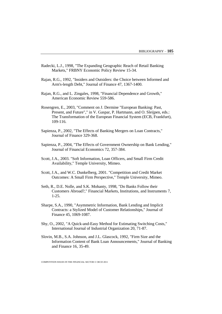- Radecki, L.J., 1998, "The Expanding Geographic Reach of Retail Banking Markets," FRBNY Economic Policy Review 15-34.
- Rajan, R.G., 1992, "Insiders and Outsiders: the Choice between Informed and Arm's-length Debt," Journal of Finance 47, 1367-1400.
- Rajan, R.G., and L. Zingales, 1998, "Financial Dependence and Growth," American Economic Review 559-586.
- Rosengren, E., 2003, "Comment on J. Dermine "European Banking: Past, Present, and Future"," in V. Gaspar, P. Hartmann, and O. Sleijpen, eds.: The Transformation of the European Financial System (ECB, Frankfurt), 109-116.
- Sapienza, P., 2002, "The Effects of Banking Mergers on Loan Contracts," Journal of Finance 329-368.
- Sapienza, P., 2004, "The Effects of Government Ownership on Bank Lending," Journal of Financial Economics 72, 357-384.
- Scott, J.A., 2003. "Soft Information, Loan Officers, and Small Firm Credit Availability," Temple University, Mimeo.
- Scott, J.A., and W.C. Dunkelberg, 2001. "Competition and Credit Market Outcomes: A Small Firm Perspective," Temple University, Mimeo.
- Seth, R., D.E. Nolle, and S.K. Mohanty, 1998, "Do Banks Follow their Customers Abroad?," Financial Markets, Institutions, and Instruments 7, 1-25.
- Sharpe, S.A., 1990, "Asymmetric Information, Bank Lending and Implicit Contracts: a Stylized Model of Customer Relationships," Journal of Finance 45, 1069-1087.
- Shy, O., 2002, "A Quick-and-Easy Method for Estimating Switching Costs," International Journal of Industrial Organization 20, 71-87.
- Slovin, M.B., S.A. Johnson, and J.L. Glascock, 1992, "Firm Size and the Information Content of Bank Loan Announcements," Journal of Banking and Finance 16, 35-49.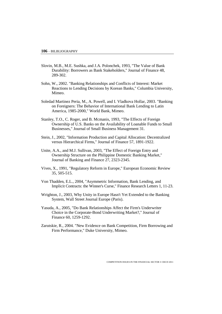- Slovin, M.B., M.E. Sushka, and J.A. Polonchek, 1993, "The Value of Bank Durability: Borrowers as Bank Stakeholders," Journal of Finance 48, 289-302.
- Sohn, W., 2002. "Banking Relationships and Conflicts of Interest: Market Reactions to Lending Decisions by Korean Banks," Columbia University, Mimeo.
- Soledad Martinez Peria, M., A. Powell, and I. Vladkova Hollar, 2003. "Banking on Foreigners: The Behavior of International Bank Lending to Latin America, 1985-2000," World Bank, Mimeo.
- Stanley, T.O., C. Roger, and B. Mcmanis, 1993, "The Effects of Foreign Ownership of U.S. Banks on the Availability of Loanable Funds to Small Businesses," Journal of Small Business Management 31.
- Stein, J., 2002, "Information Production and Capital Allocation: Decentralized versus Hierarchical Firms," Journal of Finance 57, 1891-1922.
- Unite, A.A., and M.J. Sullivan, 2003, "The Effect of Foreign Entry and Ownership Structure on the Philippine Domestic Banking Market," Journal of Banking and Finance 27, 2323-2345.
- Vives, X., 1991, "Regulatory Reform in Europe," European Economic Review 35, 505-515.
- Von Thadden, E.L., 2004, "Asymmetric Information, Bank Lending, and Implicit Contracts: the Winner's Curse," Finance Research Letters 1, 11-23.
- Wrighton, J., 2003, Why Unity in Europe Hasn't Yet Extended to the Banking System, Wall Street Journal Europe (Paris).
- Yasuda, A., 2005, "Do Bank Relationships Affect the Firm's Underwriter Choice in the Corporate-Bond Underwriting Market?," Journal of Finance 60, 1259-1292.
- Zarutskie, R., 2004. "New Evidence on Bank Competition, Firm Borrowing and Firm Performance," Duke University, Mimeo.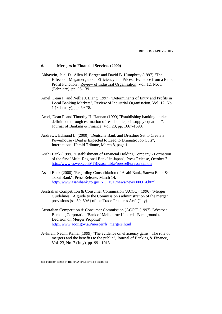### **6. Mergers in Financial Services (2000)**

- Akhavein, Jalal D., Allen N. Berger and David B. Humphrey (1997) "The Effects of Megamergers on Efficiency and Prices: Evidence from a Bank Profit Function", Review of Industrial Organisation, Vol. 12, No. 1 (February), pp. 95-139.
- Amel, Dean F. and Nellie J. Liang (1997) "Determinants of Entry and Profits in Local Banking Markets", Review of Industrial Organisation, Vol. 12, No. 1 (February), pp. 59-78.
- Amel, Dean F. and Timothy H. Hannan (1999) "Establishing banking market definitions through estimation of residual deposit supply equations", Journal of Banking & Finance, Vol. 23, pp. 1667-1690.
- Andrews, Edmund L. (2000) "Deutsche Bank and Dresdner Set to Create a Powerhouse - Deal is Expected to Lead to Dramatic Job Cuts", International Herald Tribune, March 8, page 1.
- Asahi Bank (1999) "Establishment of Financial Holding Company Formation of the first "Multi-Regional Bank" in Japan", Press Release, October 7 http://www.csweb.co.jb/TBK/asahibke/presse8/presse8a.htm
- Asahi Bank (2000) "Regarding Consolidation of Asahi Bank, Sanwa Bank & Tokai Bank", Press Release, March 14, http://www.asahibank.co.jp/ENGLISH/news/news000314.html
- Australian Competition & Consumer Commission (ACCC) (1996) "Merger Guidelines: A guide to the Commission's administration of the merger provisions (ss. 50, 50A) of the Trade Practices Act" (July).
- Australian Competition & Consumer Commission (ACCC) (1997) "Westpac Banking Corporation/Bank of Melbourne Limited - Background to Decision on Merger Proposal", [http://www.accc.gov.au/merger/fr\\_mergers.html](http://www.accc.gov.au/merger/fr_mergers.html)
- Avkiran, Necmi Kemal (1999) "The evidence on efficiency gains: The role of mergers and the benefits to the public", Journal of Banking & Finance, Vol. 23, No. 7 (July), pp. 991-1013.

COMPETITION ISSUES IN THE FINANCIAL SECTOR © OECD 2011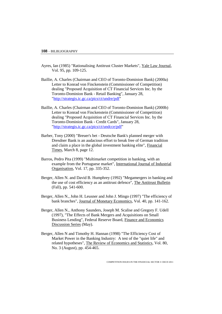- Ayres, Ian (1985) "Rationalising Antitrust Cluster Markets", Yale Law Journal, Vol. 95, pp. 109-125.
- Baillie, A. Charles (Chairman and CEO of Toronto-Dominion Bank) (2000a) Letter to Konrad von Finckenstein (Commissioner of Competition) dealing "Proposed Acquisition of CT Financial Services Inc. by the Toronto-Dominion Bank - Retail Banking", January 28, ["http://strategis.ic.gc.ca/pics/ct/undre/pdf"](http://strategis.ic.gc.ca/pics/ct/undre/pdf)
- Baillie, A. Charles (Chairman and CEO of Toronto-Dominion Bank) (2000b) Letter to Konrad von Finckenstein (Commissioner of Competition) dealing "Proposed Acquisition of CT Financial Services Inc. by the Toronto-Dominion Bank - Credit Cards", January 28, ["http://strategis.ic.gc.ca/pics/ct/undcce/pdf"](http://strategis.ic.gc.ca/pics/ct/undcce/pdf)
- Barber, Tony (2000) "Breuer's bet Deutsche Bank's planned merger with Dresdner Bank is an audacious effort to break free of German tradition and claim a place in the global investment banking elite", Financial Times, March 8, page 12.
- Barros, Pedro Pita (1999) "Multimarket competition in banking, with an example from the Portuguese market", International Journal of Industrial Organisation, Vol. 17, pp. 335-352.
- Berger, Allen N. and David B. Humphrey (1992) "Megamergers in banking and the use of cost efficiency as an antitrust defence", The Antitrust Bulletin (Fall), pp. 541-600.
- Berger, Allen N., John H. Leusner and John J. Mingo (1997) "The efficiency of bank branches", Journal of Monetary Economics, Vol. 40, pp. 141-162.
- Berger, Allen N., Anthony Saunders, Joseph M. Scalise and Gregory F. Udell (1997), "The Effects of Bank Mergers and Acquisitions on Small Business Lending", Federal Reserve Board, Finance and Economics Discussion Series (May).
- Berger, Allen N and Timothy H. Hannan (1998) "The Efficiency Cost of Market Power in the Banking Industry: A test of the "quiet life" and related hypotheses", The Review of Economics and Statistics, Vol. 80, No. 3 (August), pp. 454-465.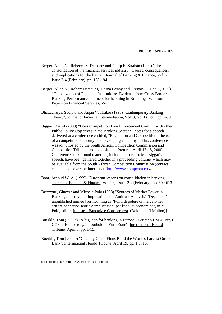- Berger, Allen N., Rebecca S. Demsetz and Philip E. Strahan (1999) "The consolidation of the financial services industry: Causes, consequences, and implications for the future", Journal of Banking & Finance, Vol. 23, Issue 2-4 (February), pp. 135-194.
- Berger, Allen N., Robert DeYoung, Hesna Genay and Gregory F. Udell (2000) "Globalization of Financial Institutions: Evidence from Cross-Border Banking Performance", mimeo, forthcoming in Brookings-Wharton Papers on Financial Services, Vol. 3.
- Bhattacharya, Sudipto and Anjan V. Thakor (1993) "Contemporary Banking Theory", Journal of Financial Intermediation, Vol. 3, No. 1 (Oct.), pp. 2-50.
- Biggar, Darryl (2000) "Does Competition Law Enforcement Conflict with other Public Policy Objectives in the Banking Sector?", notes for a speech delivered at a conference entitled, "Regulation and Competition - the role of a competition authority in a developing economy". This conference was joint hosted by the South African Competition Commission and Competition Tribunal and took place in Pretoria, April 17-18, 2000. Conference background materials, including notes for Mr. Biggar's speech, have been gathered together in a proceeding volume, which may be available from the South African Competition Commission (contact can be made over the Internet at "http://www.compcom.co.za".
- Boot, Arnoud W. A. (1999) "European lessons on consolidation in banking", Journal of Banking & Finance, Vol. 23, Issues 2-4 (February), pp. 609-613.
- Bruzzone, Ginevra and Michele Polo (1998) "Sources of Market Power in Banking: Theory and Implications for Antitrust Analysis" (December) unpublished mimeo [forthcoming as "Fonti di potere di mercato nel settore bancario: teoria e implicazioni per l'analisi economica", in M. Polo, editor, Industria Bancaria e Concorrenza, (Bologna: Il Mulino)].
- Buerkle, Tom (2000a) "A big leap for banking in Europe Britain's HSBC Buys CCF of France to gain foothold in Euro Zone", International Herald Tribune, April 3, pp. 1-15.
- Buerkle, Tom (2000b) "Click by Click, Finns Build the World's Largest Online Bank", International Herald Tribune, April 19, pp. 1 & 16.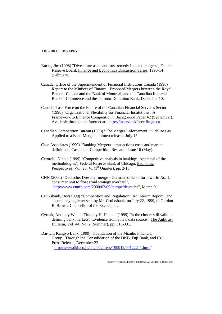- Burke, Jim (1998) "Divestiture as an antitrust remedy in bank mergers", Federal Reserve Board, Finance and Economics Discussion Series, 1998-14 (February).
- Canada, Office of the Superintendent of Financial Institutions Canada (1998) Report to the Minister of Finance - Proposed Mergers between the Royal Bank of Canada and the Bank of Montreal, and the Canadian Imperial Bank of Commerce and the Toronto-Dominion Bank, December 10.
- Canada, Task Force on the Future of the Canadian Financial Services Sector (1998) "Organisational Flexibility for Financial Institutions: A Framework to Enhance Competition", Background Paper #2 (September). Available through the Internet at: [http://finservtaskforce.fin.gc.ca.](http://finservtaskforce.fin.gc.ca/)
- Canadian Competition Bureau (1998) "The Merger Enforcement Guidelines as Applied to a Bank Merger", mimeo released July 15.
- Case Associates (1999) "Banking Mergers transactions costs and market definition", Casenote - Competition Research Issue 16 (May).
- Cetorelli, Nicola (1999) "Competitive analysis in banking: Appraisal of the methodologies", Federal Reserve Bank of Chicago, Economic Perspectives, Vol. 23,  $#1$  ( $1^{\text{st}}$  Quarter), pp. 2-15.
- CNN (2000) "Deutsche, Dresdner merge German banks to form world No. 1; consumer unit to float amid strategy overhaul", ["http://www.cnnfn.com/2000/03/09/europe/deutsche"](http://www.cnnfn.com/2000/03/09/europe/deutsche), March 9.
- Cruikshank, Don(1999) "Competition and Regulation: An Interim Report", and accompanying letter sent by Mr. Cruikshank, on July 22, 1999, to Gordon B. Brown, Chancellor of the Exchequer.
- Cyrnak, Anthony W. and Timothy H. Hannan (1999) "Is the cluster still valid in defining bank markets? Evidence from a new data source", The Antitrust Bulletin, Vol. 44, No. 2 (Summer), pp. 313-331.
- Dai-Ichi Kangyo Bank (1999) "Foundation of the Mizuho Financial Group...Through the Consolidation of the DKB, Fuji Bank, and IBJ", Press Release, December 22 "http://www.dkb.co.jp/english/press/199912/991222\_1.html"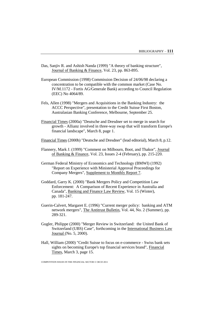- Das, Sanjiv R. and Ashish Nanda (1999) "A theory of banking structure", Journal of Banking & Finance, Vol. 23, pp. 863-895.
- European Commission (1998) Commission Decision of 24/06/98 declaring a concentration to be compatible with the common market (Case No. IV/M.1172 - Fortis AG/Generale Bank) according to Council Regulation (EEC) No 4064/89.
- Fels, Allen (1998) "Mergers and Acquisitions in the Banking Industry: the ACCC Perspective", presentation to the Credit Suisse First Boston, Australasian Banking Conference, Melbourne, September 25.
- Financial Times (2000a) "Deutsche and Dresdner set to merge in search for growth - Allianz involved in three-way swap that will transform Europe's financial landscape", March 8, page 1.

Financial Times (2000b) "Deutsche and Dresdner" (lead editorial), March 8, p.12.

- Flannery, Mark J. (1999) "Comment on Milbourn, Boot, and Thakor", Journal of Banking & Finance, Vol. 23, Issues 2-4 (February), pp. 215-220.
- German Federal Ministry of Economics and Technology (BMWI) (1992) "Report on Experience with Ministerial Approval Proceedings for Company Mergers", Supplement to Monthly Report 7.
- Goddard, Garry K. (2000) "Bank Mergers Policy and Competition Law Enforcement: A Comparison of Recent Experience in Australia and Canada", Banking and Finance Law Review, Vol. 15 (Winter), pp. 181-247.
- Guerin-Calvert, Margaret E. (1996) "Current merger policy: banking and ATM network mergers", The Antitrust Bulletin, Vol. 44, No. 2 (Summer), pp. 289-321.
- Gugler, Philippe (2000) "Merger Review in Switzerland: the United Bank of Switzerland (UBS) Case", forthcoming in the International Business Law Journal (No. 5, 2000).
- Hall, William (2000) "Credit Suisse to focus on e-commerce Swiss bank sets sights on becoming Europe's top financial services brand", Financial Times, March 3, page 15.

COMPETITION ISSUES IN THE FINANCIAL SECTOR © OECD 2011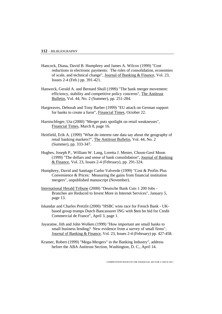- Hancock, Diana, David B. Humphrey and James A. Wilcox (1999) "Cost reductions in electronic payments: The roles of consolidation, economies of scale, and technical change", Journal of Banking & Finance, Vol. 23, Issues 2-4 (Feb.) pp. 391-421.
- Hanweck, Gerald A. and Bernard Shull (1999) "The bank merger movement: efficiency, stability and competitive policy concerns", The Antitrust Bulletin, Vol. 44, No. 2 (Summer), pp. 251-284.
- Hargreaves, Deborah and Tony Barber (1999) "EU attack on German support for banks to create a furor", Financial Times, October 22.
- Harnischfeger, Uta (2000) "Merger puts spotlight on retail weaknesses", Financial Times, March 8, page 16.
- Heitfield, Erik A. (1999) "What do interest rate data say about the geography of retail banking markets?", The Antitrust Bulletin, Vol. 44, No. 2 (Summer), pp. 333-347.
- Hughes, Joseph P., William W. Lang, Loretta J. Mester, Choon-Geol Moon (1999) "The dollars and sense of bank consolidation", Journal of Banking & Finance, Vol. 23, Issues 2-4 (February), pp. 291-324.
- Humphrey, David and Santiago Carbo Valverde (1999) "Cost & Profits Plus Convenience & Prices: Measuring the gains from financial institution mergers", unpublished manuscript (November).
- International Herald Tribune (2000) "Deutsche Bank Cuts 1 200 Jobs Branches are Reduced to Invest More in Internet Services", January 5, page 13.
- Iskandar and Charles Pretzlit (2000) "HSBC wins race for French Bank UKbased group trumps Dutch Bancassurer ING with \$ten bn bid for Credit Commercial de France", April 3, page 1.
- Jayaratne, Jith and John Wolken (1999) "How important are small banks to small business lending? New evidence from a survey of small firms", Journal of Banking & Finance, Vol. 23, Issues 2-4 (February) pp. 427-458.
- Kramer, Robert (1999) "Mega-Mergers" in the Banking Industry", address before the ABA Antitrust Section, Washington, D. C., April 14.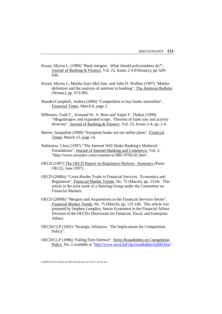- Kwast, Myron L. (1999) "Bank mergers: What should policymakers do?", Journal of Banking & Finance, Vol. 23, Issues 2-4 (February), pp. 629- 636.
- Kwast, Myron L, Martha Starr-McCluer, and John D. Wolken (1997) "Market definition and the analysis of antitrust in banking", The Antitrust Bulletin (Winter), pp. 973-995.
- Mandel-Campbell, Andrea (2000) "Competition to buy banks intensifies", Financial Times, March 6, page 2.
- Milbourn, Todd T., Arnound W. A. Boot and Anjan V. Thakor (1999) "Megamergers and expanded scope: Theories of bank size and activity diversity", Journal of Banking & Finance, Vol. 23, Issues 2-4, pp. 2-4.
- Moore, Jacqueline (2000) "European banks set out online plans", Financial Times, March 15, page 14.
- Nehmzow, Claus (1997) "The Internet Will Shake Banking's Medieval Foundations", Journal of Internet Banking and Commerce, Vol. 2, "http://www.arraydev.com/commerce/JIBC/9702-01.htm".
- OECD (1997) The OECD Report on Regulatory Reform Summary (Paris: OECD, June 1997).
- OECD (2000a) "Cross-Border Trade in Financial Services: Economics and Regulation", Financial Market Trends, No. 75 (March), pp. 23-60. This article is the joint work of a Steering Group under the Committee on Financial Markets.
- OECD (2000b) "Mergers and Acquisitions in the Financial Services Sector", Financial Market Trends, No. 75 (March), pp. 123-140. This article was prepared by Stephen Lumpkin, Senior Economist in the Financial Affairs Division of the OECD's Directorate for Financial, Fiscal, and Enterprise Affairs.
- OECD/CLP (1992) "Strategic Alliances: The Implications for Competition Policy".
- OECD/CLP (1996) "Failing Firm Defence", Series Roundtables on Competition Policy, No. 2 available at "http://www.oecd.daf/clp/roundtables/fail00.htm".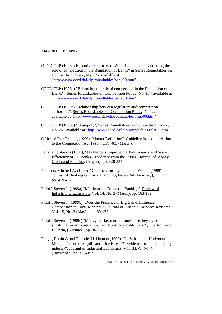- OECD/CLP (1998a) Executive Summary to WP2 Roundtable, "Enhancing the role of competition in the Regulation of Banks" in Series Roundtables on Competition Policy, No. 17 - available at ["http://www.oecd.daf/clp/roundtables/bank00.htm"](http://www.oecd.daf/clp/roundtables/bank00.htm).
- OECD/CLP (1998b) "Enhancing the role of competition in the Regulation of Banks", Series Roundtables on Competition Policy, No. 17 - available at ["http://www.oecd.daf/clp/roundtables/bank00.htm"](http://www.oecd.daf/clp/roundtables/bank00.htm).
- OECD/CLP (1999a) "Relationship between regulators and competition authorities", Series Roundtables on Competition Policy, No. 22 available at "http://www.oecd.daf/clp/roundtables/oligo00.htm"
- OECD/CLP (1999b) "Oligopoly", Series Roundtables on Competition Policy, No. 25 - available at "http://www.oecd.daf/clp/roundtables/relat00.htm".
- Office of Fair Trading (1999) "Market Definition", Guideline issued in relation to the Competition Act 1998", OFT 403 (March).
- Peristiani, Stavros (1997), "Do Mergers Improve the X-Efficiency and Scale Efficiency of US Banks? Evidence from the 1980s", Journal of Money, Credit and Banking, (August), pp. 326-337.
- Petersen, Mitchell A. (1999) "Comment on Jayaratne and Wolken(1999), Journal of Banking & Finance, Vol. 23, Issues 2-4 (February), pp. 459-462.
- Pilloff, Steven J. (1999a) "Multimarket Contact in Banking", Review of Industrial Organisation, Vol. 14, No. 2 (March), pp. 163-182.
- Pilloff, Steven J. (1999b) "Does the Presence of Big Banks Influence Competition in Local Markets?", Journal of Financial Services Research, Vol. 15, No. 3 (May), pp. 159-178.
- Pilloff, Steven J. (1999c) "Money market mutual funds: are they a close substitute for accounts at insured depository institutions?", The Antitrust Bulletin, (Summer), pp. 365-385.
- Prager, Robin A.and Timothy H. Hannan (1998) "Do Substantial Horizontal Mergers Generate Significant Price Effects? Evidence from the banking industry", Journal of Industrial Economics, Vol. XLVI, No. 4 (December), pp. 433-452.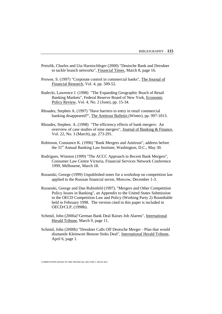- Pretzlik, Charles and Uta Harnischfeger (2000) "Deutsche Bank and Dresdner to tackle branch networks", Financial Times, March 8, page 16.
- Prowse, S. (1997) "Corporate control in commercial banks", The Journal of Financial Research, Vol. 4, pp. 509-52.
- Radecki, Lawrence J. (1998) "The Expanding Geographic Reach of Retail Banking Markets", Federal Reserve Board of New York, Economic Policy Review, Vol. 4, No. 2 (June), pp. 15-34.
- Rhoades, Stephen A. (1997) "Have barriers to entry in retail commercial banking disappeared?", The Antitrust Bulletin (Winter), pp. 997-1013.
- Rhoades, Stephen. A. (1998) "The efficiency effects of bank mergers: An overview of case studies of nine mergers", Journal of Banking & Finance, Vol. 22, No. 3 (March), pp. 273-291.
- Robinson, Constance K. (1996) "Bank Mergers and Antitrust", address before the 31<sup>st</sup> Annual Banking Law Institute, Washington, D.C., May 30.
- Rodrigues, Winston (1999) "The ACCC Approach in Recent Bank Mergers", Consumer Law Centre Victoria, Financial Services Network Conference 1999, Melbourne, March 18.
- Rozanski, George (1999) Unpublished notes for a workshop on competition law applied to the Russian financial sector, Moscow, December 1-3.
- Rozanski, George and Dan Rubinfeld (1997), "Mergers and Other Competition Policy Issues in Banking", an Appendix to the United States Submission to the OECD Competition Law and Policy (Working Party 2) Roundtable held in February 1998. The version cited in this paper is included in OECD/CLP, (1998b).
- Schmid, John (2000a)"German Bank Deal Raises Job Alarms", International Herald Tribune, March 9, page 11.
- Schmid, John (2000b) "Dresdner Calls Off Deutsche Merger Plan that would dismantle Kleinwort Benson Sinks Deal", International Herald Tribune, April 6, page 1.